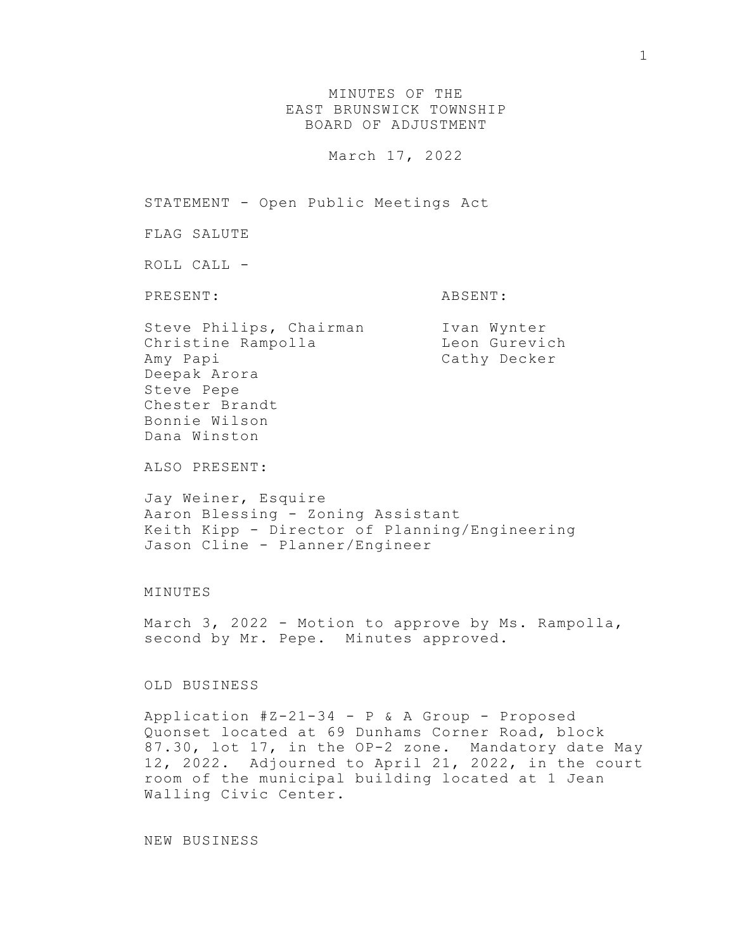MINUTES OF THE EAST BRUNSWICK TOWNSHIP BOARD OF ADJUSTMENT

March 17, 2022

STATEMENT - Open Public Meetings Act

FLAG SALUTE

ROLL CALL -

PRESENT: ABSENT:

Steve Philips, Chairman Ivan Wynter Christine Rampolla Leon Gurevich Amy Papi Cathy Decker Deepak Arora Steve Pepe Chester Brandt Bonnie Wilson Dana Winston

ALSO PRESENT:

Jay Weiner, Esquire Aaron Blessing - Zoning Assistant Keith Kipp - Director of Planning/Engineering Jason Cline - Planner/Engineer

## MINUTES

March 3, 2022 - Motion to approve by Ms. Rampolla, second by Mr. Pepe. Minutes approved.

## OLD BUSINESS

Application #Z-21-34 - P & A Group - Proposed Quonset located at 69 Dunhams Corner Road, block 87.30, lot 17, in the OP-2 zone. Mandatory date May 12, 2022. Adjourned to April 21, 2022, in the court room of the municipal building located at 1 Jean Walling Civic Center.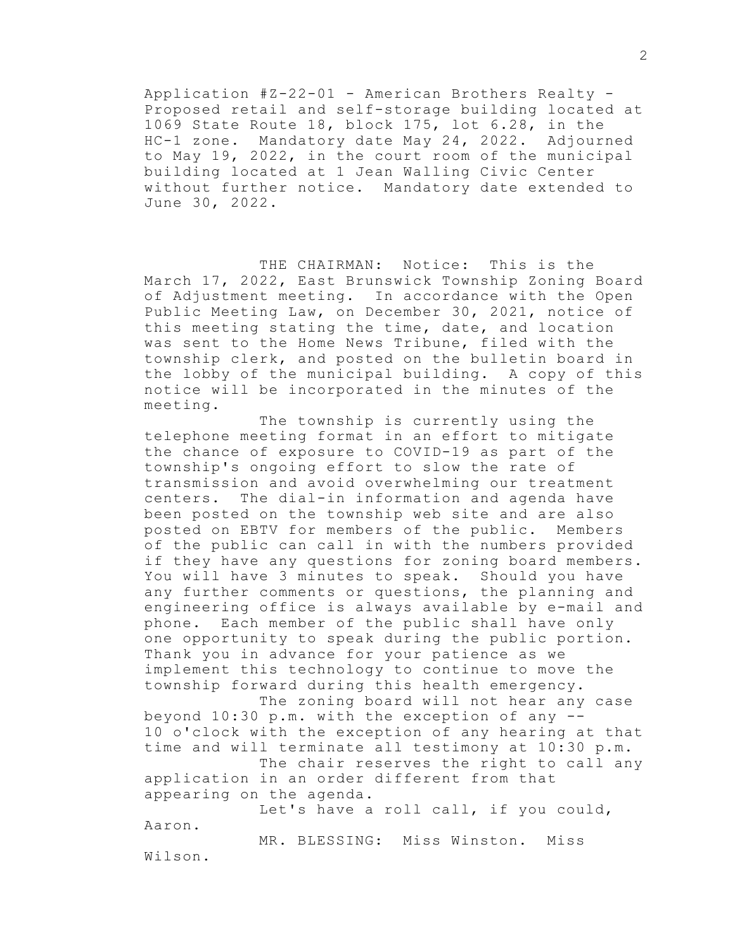Application #Z-22-01 - American Brothers Realty - Proposed retail and self-storage building located at 1069 State Route 18, block 175, lot 6.28, in the HC-1 zone. Mandatory date May 24, 2022. Adjourned to May 19, 2022, in the court room of the municipal building located at 1 Jean Walling Civic Center without further notice. Mandatory date extended to June 30, 2022.

THE CHAIRMAN: Notice: This is the March 17, 2022, East Brunswick Township Zoning Board of Adjustment meeting. In accordance with the Open Public Meeting Law, on December 30, 2021, notice of this meeting stating the time, date, and location was sent to the Home News Tribune, filed with the township clerk, and posted on the bulletin board in the lobby of the municipal building. A copy of this notice will be incorporated in the minutes of the meeting.

The township is currently using the telephone meeting format in an effort to mitigate the chance of exposure to COVID-19 as part of the township's ongoing effort to slow the rate of transmission and avoid overwhelming our treatment centers. The dial-in information and agenda have been posted on the township web site and are also posted on EBTV for members of the public. Members of the public can call in with the numbers provided if they have any questions for zoning board members. You will have 3 minutes to speak. Should you have any further comments or questions, the planning and engineering office is always available by e-mail and phone. Each member of the public shall have only one opportunity to speak during the public portion. Thank you in advance for your patience as we implement this technology to continue to move the township forward during this health emergency.

The zoning board will not hear any case beyond 10:30 p.m. with the exception of any -- 10 o'clock with the exception of any hearing at that time and will terminate all testimony at 10:30 p.m. The chair reserves the right to call any application in an order different from that

appearing on the agenda.

Let's have a roll call, if you could, Aaron.

MR. BLESSING: Miss Winston. Miss Wilson.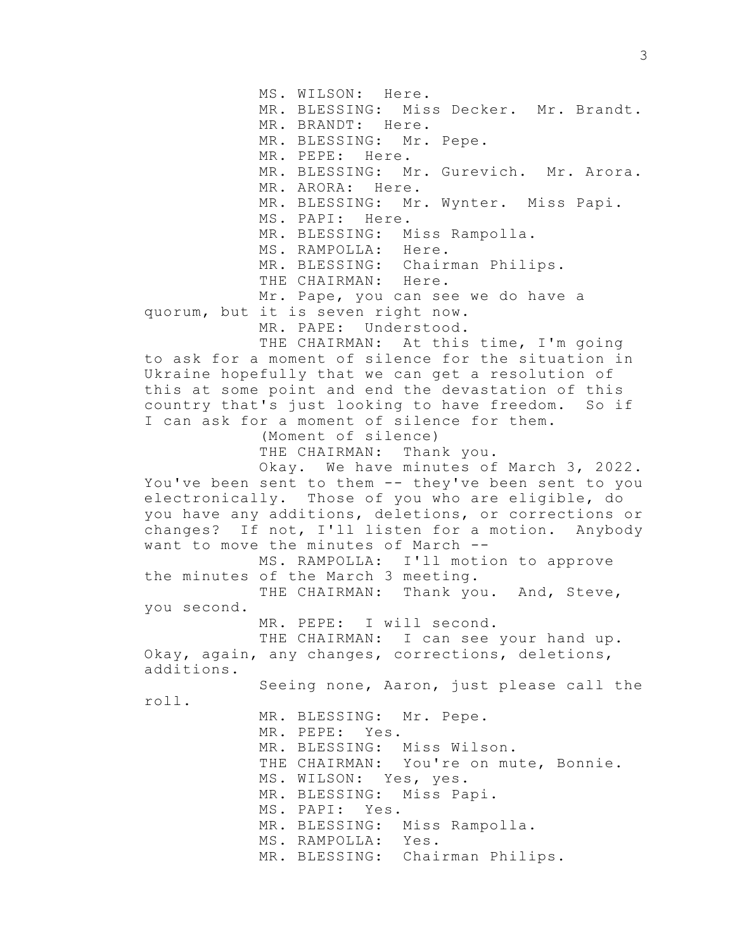MS. WILSON: Here. MR. BLESSING: Miss Decker. Mr. Brandt. MR. BRANDT: Here. MR. BLESSING: Mr. Pepe. MR. PEPE: Here. MR. BLESSING: Mr. Gurevich. Mr. Arora. MR. ARORA: Here. MR. BLESSING: Mr. Wynter. Miss Papi. MS. PAPI: Here. MR. BLESSING: Miss Rampolla. MS. RAMPOLLA: Here. MR. BLESSING: Chairman Philips. THE CHAIRMAN: Here. Mr. Pape, you can see we do have a quorum, but it is seven right now. MR. PAPE: Understood. THE CHAIRMAN: At this time, I'm going to ask for a moment of silence for the situation in Ukraine hopefully that we can get a resolution of this at some point and end the devastation of this country that's just looking to have freedom. So if I can ask for a moment of silence for them. (Moment of silence) THE CHAIRMAN: Thank you. Okay. We have minutes of March 3, 2022. You've been sent to them -- they've been sent to you electronically. Those of you who are eligible, do you have any additions, deletions, or corrections or changes? If not, I'll listen for a motion. Anybody want to move the minutes of March -- MS. RAMPOLLA: I'll motion to approve the minutes of the March 3 meeting. THE CHAIRMAN: Thank you. And, Steve, you second. MR. PEPE: I will second. THE CHAIRMAN: I can see your hand up. Okay, again, any changes, corrections, deletions, additions. Seeing none, Aaron, just please call the roll. MR. BLESSING: Mr. Pepe. MR. PEPE: Yes. MR. BLESSING: Miss Wilson. THE CHAIRMAN: You're on mute, Bonnie. MS. WILSON: Yes, yes. MR. BLESSING: Miss Papi. MS. PAPI: Yes. MR. BLESSING: Miss Rampolla. MS. RAMPOLLA: Yes. MR. BLESSING: Chairman Philips.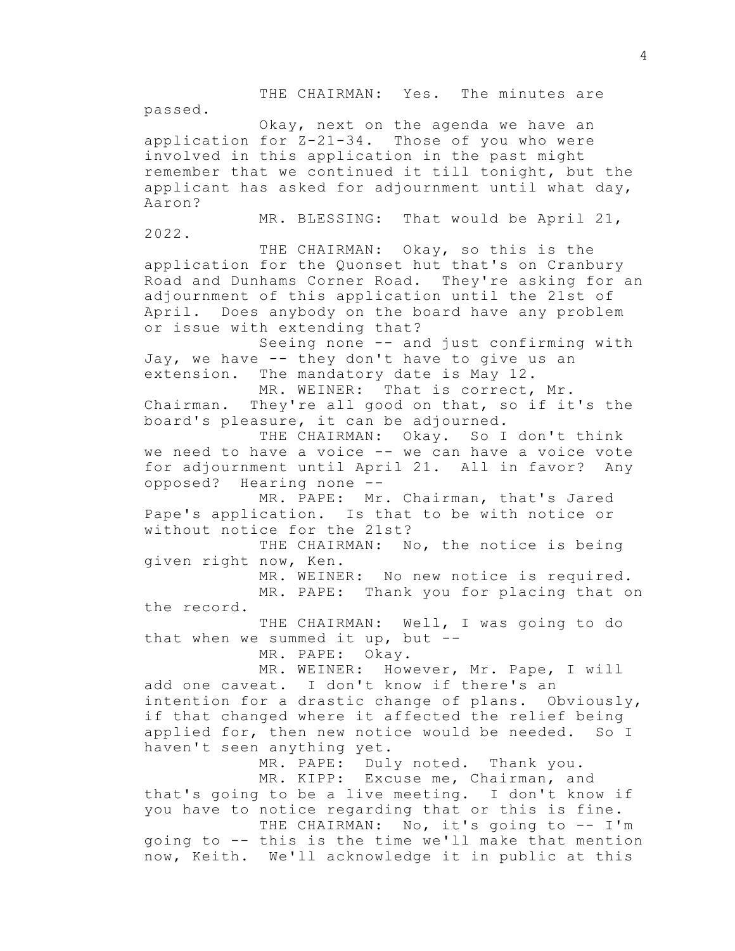THE CHAIRMAN: Yes. The minutes are

passed.

Okay, next on the agenda we have an application for Z-21-34. Those of you who were involved in this application in the past might remember that we continued it till tonight, but the applicant has asked for adjournment until what day, Aaron?

MR. BLESSING: That would be April 21,

2022. THE CHAIRMAN: Okay, so this is the application for the Quonset hut that's on Cranbury Road and Dunhams Corner Road. They're asking for an adjournment of this application until the 21st of April. Does anybody on the board have any problem or issue with extending that?

Seeing none -- and just confirming with Jay, we have -- they don't have to give us an extension. The mandatory date is May 12.

MR. WEINER: That is correct, Mr. Chairman. They're all good on that, so if it's the board's pleasure, it can be adjourned.

THE CHAIRMAN: Okay. So I don't think we need to have a voice -- we can have a voice vote for adjournment until April 21. All in favor? Any opposed? Hearing none --

MR. PAPE: Mr. Chairman, that's Jared Pape's application. Is that to be with notice or without notice for the 21st?

THE CHAIRMAN: No, the notice is being given right now, Ken.

MR. WEINER: No new notice is required.

MR. PAPE: Thank you for placing that on the record.

THE CHAIRMAN: Well, I was going to do that when we summed it up, but  $--$ 

MR. PAPE: Okay.

MR. WEINER: However, Mr. Pape, I will add one caveat. I don't know if there's an intention for a drastic change of plans. Obviously, if that changed where it affected the relief being applied for, then new notice would be needed. So I haven't seen anything yet.

> MR. PAPE: Duly noted. Thank you. MR. KIPP: Excuse me, Chairman, and

that's going to be a live meeting. I don't know if you have to notice regarding that or this is fine. THE CHAIRMAN: No, it's going to -- I'm going to -- this is the time we'll make that mention now, Keith. We'll acknowledge it in public at this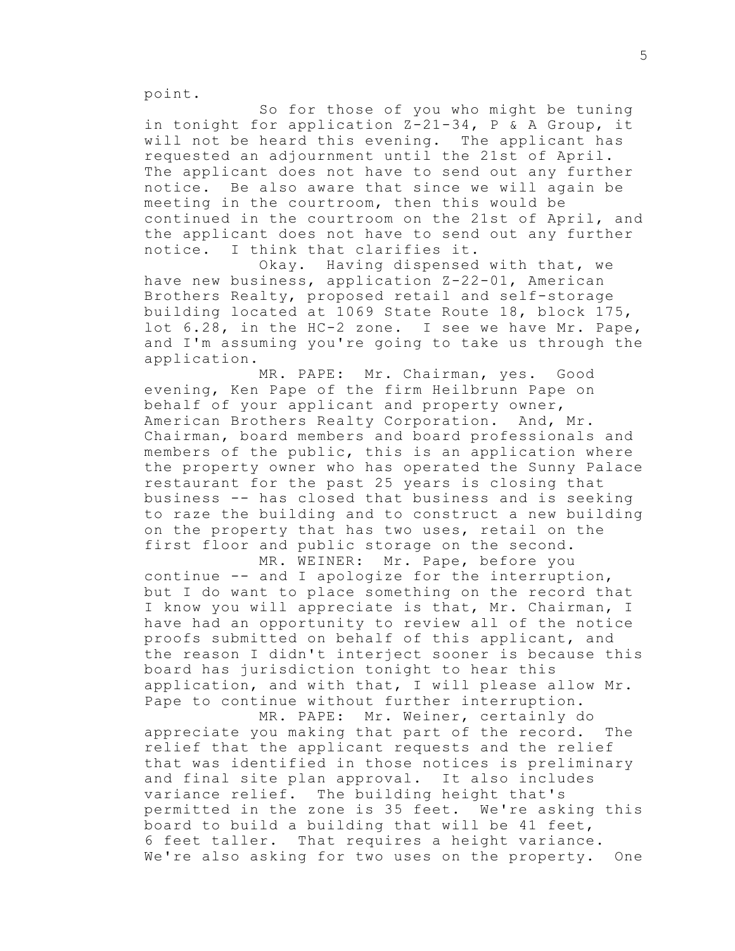point.

So for those of you who might be tuning in tonight for application Z-21-34, P & A Group, it will not be heard this evening. The applicant has requested an adjournment until the 21st of April. The applicant does not have to send out any further notice. Be also aware that since we will again be meeting in the courtroom, then this would be continued in the courtroom on the 21st of April, and the applicant does not have to send out any further notice. I think that clarifies it.

Okay. Having dispensed with that, we have new business, application Z-22-01, American Brothers Realty, proposed retail and self-storage building located at 1069 State Route 18, block 175, lot 6.28, in the HC-2 zone. I see we have Mr. Pape, and I'm assuming you're going to take us through the application.

MR. PAPE: Mr. Chairman, yes. Good evening, Ken Pape of the firm Heilbrunn Pape on behalf of your applicant and property owner, American Brothers Realty Corporation. And, Mr. Chairman, board members and board professionals and members of the public, this is an application where the property owner who has operated the Sunny Palace restaurant for the past 25 years is closing that business -- has closed that business and is seeking to raze the building and to construct a new building on the property that has two uses, retail on the first floor and public storage on the second.

MR. WEINER: Mr. Pape, before you continue -- and I apologize for the interruption, but I do want to place something on the record that I know you will appreciate is that, Mr. Chairman, I have had an opportunity to review all of the notice proofs submitted on behalf of this applicant, and the reason I didn't interject sooner is because this board has jurisdiction tonight to hear this application, and with that, I will please allow Mr. Pape to continue without further interruption.

MR. PAPE: Mr. Weiner, certainly do appreciate you making that part of the record. The relief that the applicant requests and the relief that was identified in those notices is preliminary and final site plan approval. It also includes variance relief. The building height that's permitted in the zone is 35 feet. We're asking this board to build a building that will be 41 feet, 6 feet taller. That requires a height variance. We're also asking for two uses on the property. One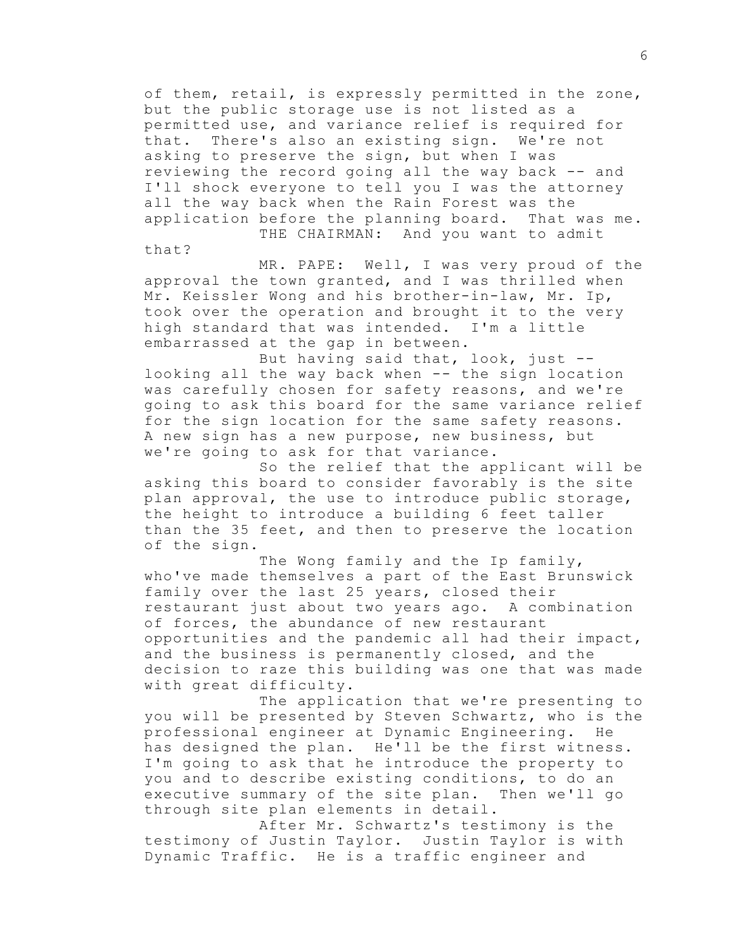of them, retail, is expressly permitted in the zone, but the public storage use is not listed as a permitted use, and variance relief is required for that. There's also an existing sign. We're not asking to preserve the sign, but when I was reviewing the record going all the way back -- and I'll shock everyone to tell you I was the attorney all the way back when the Rain Forest was the application before the planning board. That was me. THE CHAIRMAN: And you want to admit

that?

MR. PAPE: Well, I was very proud of the approval the town granted, and I was thrilled when Mr. Keissler Wong and his brother-in-law, Mr. Ip, took over the operation and brought it to the very high standard that was intended. I'm a little embarrassed at the gap in between.

But having said that, look, just - looking all the way back when -- the sign location was carefully chosen for safety reasons, and we're going to ask this board for the same variance relief for the sign location for the same safety reasons. A new sign has a new purpose, new business, but we're going to ask for that variance.

So the relief that the applicant will be asking this board to consider favorably is the site plan approval, the use to introduce public storage, the height to introduce a building 6 feet taller than the 35 feet, and then to preserve the location of the sign.

The Wong family and the Ip family, who've made themselves a part of the East Brunswick family over the last 25 years, closed their restaurant just about two years ago. A combination of forces, the abundance of new restaurant opportunities and the pandemic all had their impact, and the business is permanently closed, and the decision to raze this building was one that was made with great difficulty.

The application that we're presenting to you will be presented by Steven Schwartz, who is the professional engineer at Dynamic Engineering. He has designed the plan. He'll be the first witness. I'm going to ask that he introduce the property to you and to describe existing conditions, to do an executive summary of the site plan. Then we'll go through site plan elements in detail.

After Mr. Schwartz's testimony is the testimony of Justin Taylor. Justin Taylor is with Dynamic Traffic. He is a traffic engineer and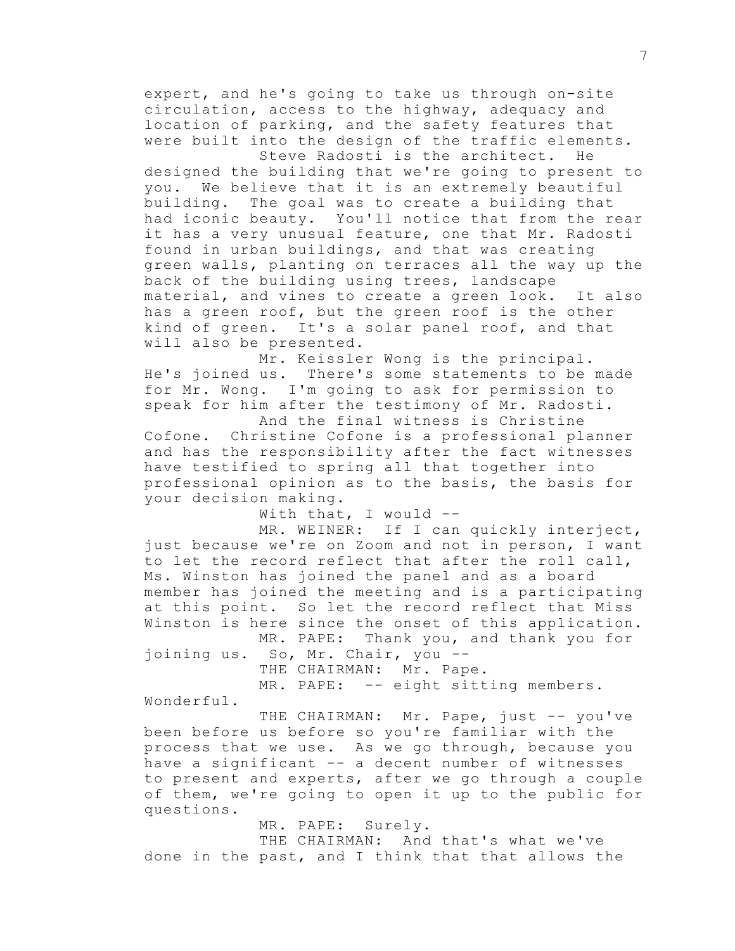expert, and he's going to take us through on-site circulation, access to the highway, adequacy and location of parking, and the safety features that were built into the design of the traffic elements. Steve Radosti is the architect. He

designed the building that we're going to present to you. We believe that it is an extremely beautiful building. The goal was to create a building that had iconic beauty. You'll notice that from the rear it has a very unusual feature, one that Mr. Radosti found in urban buildings, and that was creating green walls, planting on terraces all the way up the back of the building using trees, landscape material, and vines to create a green look. It also has a green roof, but the green roof is the other kind of green. It's a solar panel roof, and that will also be presented.

Mr. Keissler Wong is the principal. He's joined us. There's some statements to be made for Mr. Wong. I'm going to ask for permission to speak for him after the testimony of Mr. Radosti.

And the final witness is Christine Cofone. Christine Cofone is a professional planner and has the responsibility after the fact witnesses have testified to spring all that together into professional opinion as to the basis, the basis for your decision making.

With that, I would --

MR. WEINER: If I can quickly interject, just because we're on Zoom and not in person, I want to let the record reflect that after the roll call, Ms. Winston has joined the panel and as a board member has joined the meeting and is a participating at this point. So let the record reflect that Miss Winston is here since the onset of this application.

MR. PAPE: Thank you, and thank you for joining us. So, Mr. Chair, you --

THE CHAIRMAN: Mr. Pape.

MR. PAPE: -- eight sitting members.

Wonderful.

THE CHAIRMAN: Mr. Pape, just -- you've been before us before so you're familiar with the process that we use. As we go through, because you have a significant -- a decent number of witnesses to present and experts, after we go through a couple of them, we're going to open it up to the public for questions.

MR. PAPE: Surely.

THE CHAIRMAN: And that's what we've done in the past, and I think that that allows the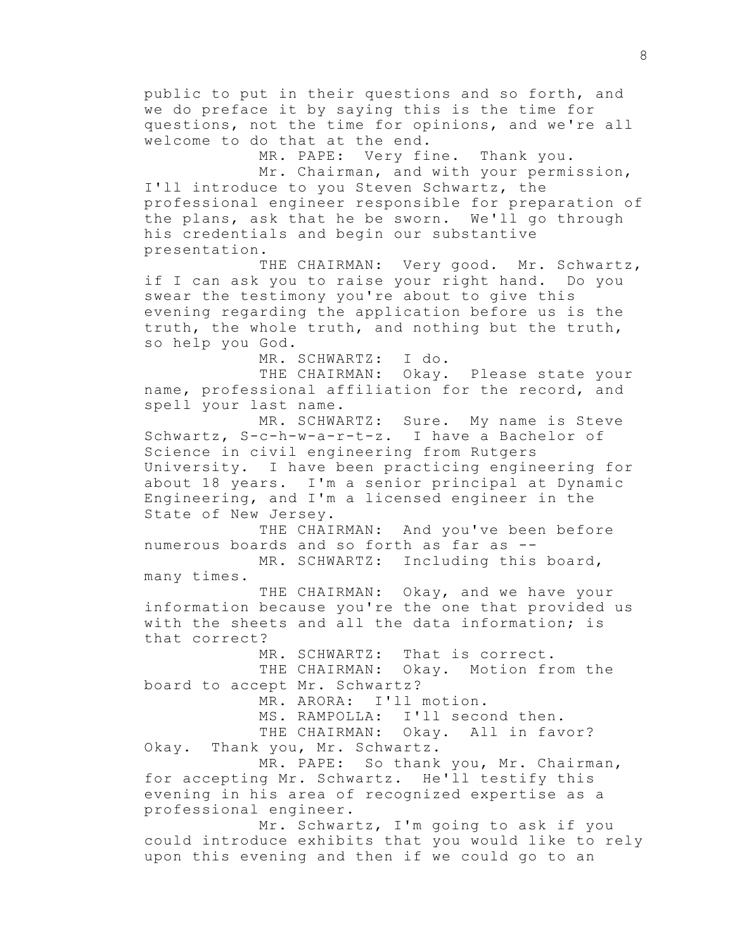public to put in their questions and so forth, and we do preface it by saying this is the time for questions, not the time for opinions, and we're all welcome to do that at the end.

MR. PAPE: Very fine. Thank you.

Mr. Chairman, and with your permission, I'll introduce to you Steven Schwartz, the professional engineer responsible for preparation of the plans, ask that he be sworn. We'll go through his credentials and begin our substantive presentation.

THE CHAIRMAN: Very good. Mr. Schwartz, if I can ask you to raise your right hand. Do you swear the testimony you're about to give this evening regarding the application before us is the truth, the whole truth, and nothing but the truth, so help you God.

MR. SCHWARTZ: I do.<br>THE CHAIRMAN: Okay.

Okay. Please state your name, professional affiliation for the record, and spell your last name.

MR. SCHWARTZ: Sure. My name is Steve Schwartz, S-c-h-w-a-r-t-z. I have a Bachelor of Science in civil engineering from Rutgers University. I have been practicing engineering for about 18 years. I'm a senior principal at Dynamic Engineering, and I'm a licensed engineer in the State of New Jersey.

THE CHAIRMAN: And you've been before numerous boards and so forth as far as --

MR. SCHWARTZ: Including this board, many times.

THE CHAIRMAN: Okay, and we have your information because you're the one that provided us with the sheets and all the data information; is that correct?

MR. SCHWARTZ: That is correct. THE CHAIRMAN: Okay. Motion from the board to accept Mr. Schwartz?

MR. ARORA: I'll motion.

MS. RAMPOLLA: I'll second then.

THE CHAIRMAN: Okay. All in favor? Okay. Thank you, Mr. Schwartz.

MR. PAPE: So thank you, Mr. Chairman, for accepting Mr. Schwartz. He'll testify this evening in his area of recognized expertise as a professional engineer.

Mr. Schwartz, I'm going to ask if you could introduce exhibits that you would like to rely upon this evening and then if we could go to an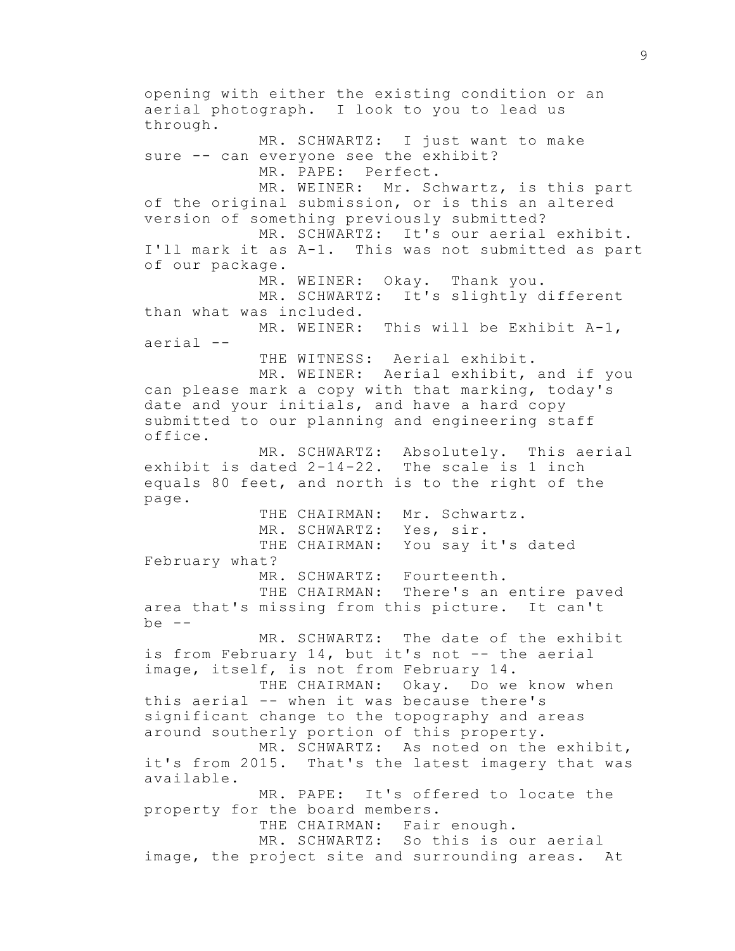opening with either the existing condition or an aerial photograph. I look to you to lead us through. MR. SCHWARTZ: I just want to make sure -- can everyone see the exhibit? MR. PAPE: Perfect. MR. WEINER: Mr. Schwartz, is this part of the original submission, or is this an altered version of something previously submitted? MR. SCHWARTZ: It's our aerial exhibit. I'll mark it as A-1. This was not submitted as part of our package. MR. WEINER: Okay. Thank you. MR. SCHWARTZ: It's slightly different than what was included. MR. WEINER: This will be Exhibit A-1, aerial -- THE WITNESS: Aerial exhibit. MR. WEINER: Aerial exhibit, and if you can please mark a copy with that marking, today's date and your initials, and have a hard copy submitted to our planning and engineering staff office. MR. SCHWARTZ: Absolutely. This aerial exhibit is dated 2-14-22. The scale is 1 inch equals 80 feet, and north is to the right of the page. THE CHAIRMAN: Mr. Schwartz. MR. SCHWARTZ: Yes, sir. THE CHAIRMAN: You say it's dated February what? MR. SCHWARTZ: Fourteenth. THE CHAIRMAN: There's an entire paved area that's missing from this picture. It can't  $be$   $-$ MR. SCHWARTZ: The date of the exhibit is from February 14, but it's not -- the aerial image, itself, is not from February 14. THE CHAIRMAN: Okay. Do we know when this aerial -- when it was because there's significant change to the topography and areas around southerly portion of this property. MR. SCHWARTZ: As noted on the exhibit, it's from 2015. That's the latest imagery that was available. MR. PAPE: It's offered to locate the property for the board members. THE CHAIRMAN: Fair enough. MR. SCHWARTZ: So this is our aerial image, the project site and surrounding areas. At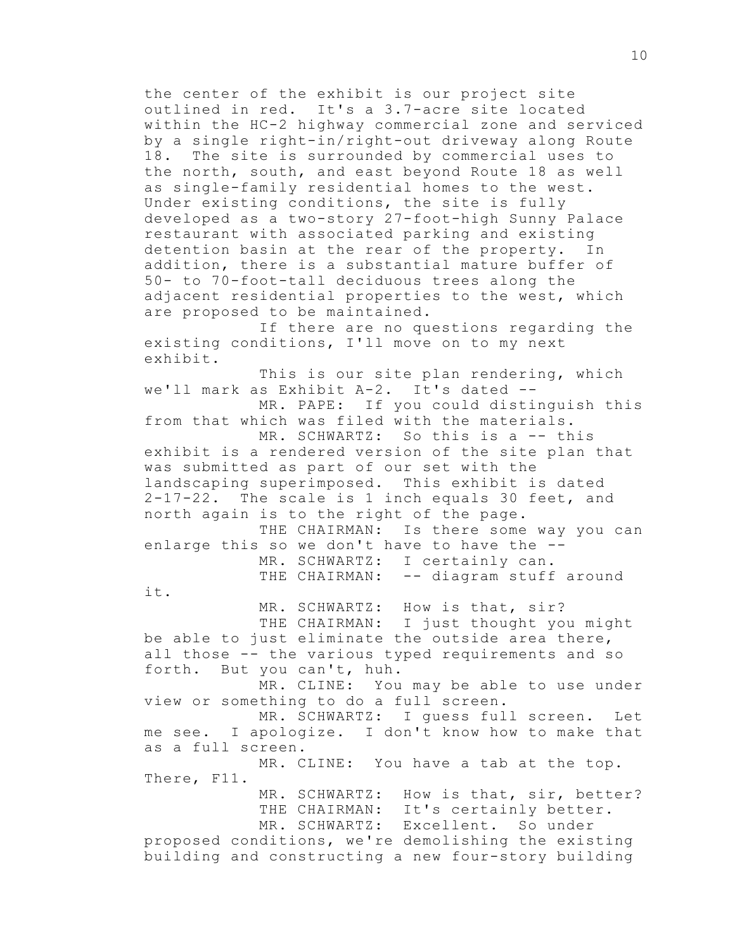the center of the exhibit is our project site outlined in red. It's a 3.7-acre site located within the HC-2 highway commercial zone and serviced by a single right-in/right-out driveway along Route 18. The site is surrounded by commercial uses to the north, south, and east beyond Route 18 as well as single-family residential homes to the west. Under existing conditions, the site is fully developed as a two-story 27-foot-high Sunny Palace restaurant with associated parking and existing detention basin at the rear of the property. In addition, there is a substantial mature buffer of 50- to 70-foot-tall deciduous trees along the adjacent residential properties to the west, which are proposed to be maintained. If there are no questions regarding the existing conditions, I'll move on to my next

exhibit.

This is our site plan rendering, which we'll mark as Exhibit A-2. It's dated -- MR. PAPE: If you could distinguish this from that which was filed with the materials. MR. SCHWARTZ: So this is a -- this exhibit is a rendered version of the site plan that was submitted as part of our set with the landscaping superimposed. This exhibit is dated 2-17-22. The scale is 1 inch equals 30 feet, and north again is to the right of the page. THE CHAIRMAN: Is there some way you can enlarge this so we don't have to have the -- MR. SCHWARTZ: I certainly can.

THE CHAIRMAN: -- diagram stuff around

it.

MR. SCHWARTZ: How is that, sir? THE CHAIRMAN: I just thought you might be able to just eliminate the outside area there, all those -- the various typed requirements and so forth. But you can't, huh.

MR. CLINE: You may be able to use under view or something to do a full screen.

MR. SCHWARTZ: I guess full screen. Let me see. I apologize. I don't know how to make that as a full screen.

MR. CLINE: You have a tab at the top. There, F11.

> MR. SCHWARTZ: How is that, sir, better? THE CHAIRMAN: It's certainly better. MR. SCHWARTZ: Excellent. So under

proposed conditions, we're demolishing the existing building and constructing a new four-story building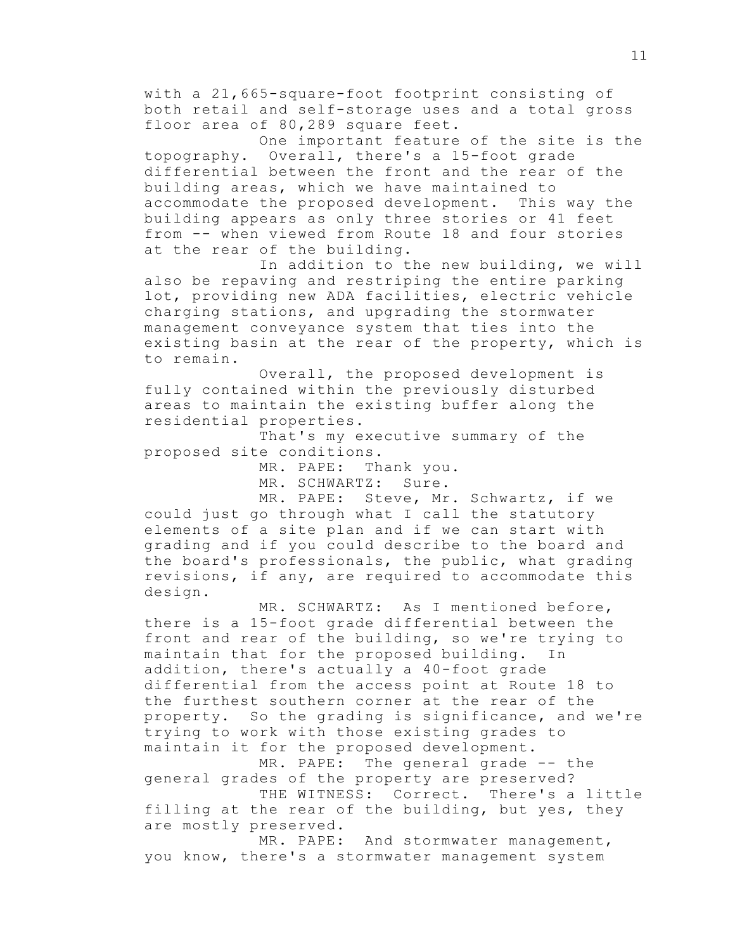with a 21,665-square-foot footprint consisting of both retail and self-storage uses and a total gross floor area of 80,289 square feet.

One important feature of the site is the topography. Overall, there's a 15-foot grade differential between the front and the rear of the building areas, which we have maintained to accommodate the proposed development. This way the building appears as only three stories or 41 feet from -- when viewed from Route 18 and four stories at the rear of the building.

In addition to the new building, we will also be repaving and restriping the entire parking lot, providing new ADA facilities, electric vehicle charging stations, and upgrading the stormwater management conveyance system that ties into the existing basin at the rear of the property, which is to remain.

Overall, the proposed development is fully contained within the previously disturbed areas to maintain the existing buffer along the residential properties.

That's my executive summary of the proposed site conditions.

MR. PAPE: Thank you.

MR. SCHWARTZ: Sure.

MR. PAPE: Steve, Mr. Schwartz, if we could just go through what I call the statutory elements of a site plan and if we can start with grading and if you could describe to the board and the board's professionals, the public, what grading revisions, if any, are required to accommodate this design.

MR. SCHWARTZ: As I mentioned before, there is a 15-foot grade differential between the front and rear of the building, so we're trying to maintain that for the proposed building. In addition, there's actually a 40-foot grade differential from the access point at Route 18 to the furthest southern corner at the rear of the property. So the grading is significance, and we're trying to work with those existing grades to maintain it for the proposed development.

MR. PAPE: The general grade -- the general grades of the property are preserved?

THE WITNESS: Correct. There's a little filling at the rear of the building, but yes, they are mostly preserved.

MR. PAPE: And stormwater management, you know, there's a stormwater management system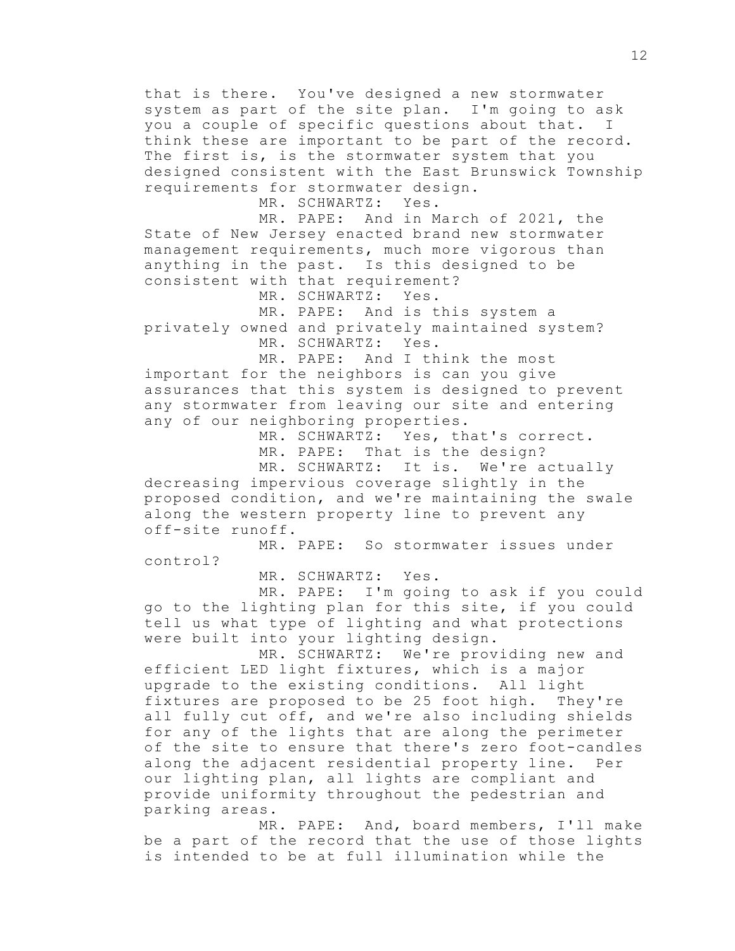that is there. You've designed a new stormwater system as part of the site plan. I'm going to ask you a couple of specific questions about that. I think these are important to be part of the record. The first is, is the stormwater system that you designed consistent with the East Brunswick Township requirements for stormwater design.

MR. SCHWARTZ: Yes.

MR. PAPE: And in March of 2021, the State of New Jersey enacted brand new stormwater management requirements, much more vigorous than anything in the past. Is this designed to be consistent with that requirement?

MR. SCHWARTZ: Yes.

MR. PAPE: And is this system a privately owned and privately maintained system? MR. SCHWARTZ: Yes.

MR. PAPE: And I think the most important for the neighbors is can you give assurances that this system is designed to prevent any stormwater from leaving our site and entering any of our neighboring properties.

MR. SCHWARTZ: Yes, that's correct. MR. PAPE: That is the design?

MR. SCHWARTZ: It is. We're actually decreasing impervious coverage slightly in the proposed condition, and we're maintaining the swale along the western property line to prevent any off-site runoff.

MR. PAPE: So stormwater issues under control?

MR. SCHWARTZ: Yes.

MR. PAPE: I'm going to ask if you could go to the lighting plan for this site, if you could tell us what type of lighting and what protections were built into your lighting design.

MR. SCHWARTZ: We're providing new and efficient LED light fixtures, which is a major upgrade to the existing conditions. All light fixtures are proposed to be 25 foot high. They're all fully cut off, and we're also including shields for any of the lights that are along the perimeter of the site to ensure that there's zero foot-candles along the adjacent residential property line. Per our lighting plan, all lights are compliant and provide uniformity throughout the pedestrian and parking areas.

MR. PAPE: And, board members, I'll make be a part of the record that the use of those lights is intended to be at full illumination while the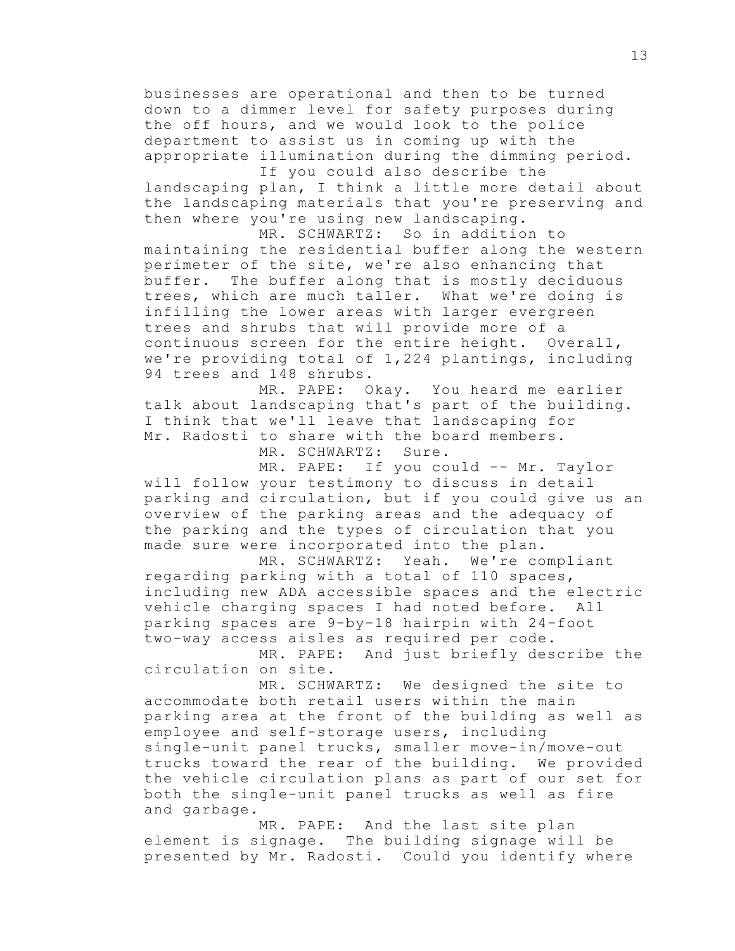businesses are operational and then to be turned down to a dimmer level for safety purposes during the off hours, and we would look to the police department to assist us in coming up with the appropriate illumination during the dimming period. If you could also describe the

landscaping plan, I think a little more detail about the landscaping materials that you're preserving and then where you're using new landscaping.

MR. SCHWARTZ: So in addition to maintaining the residential buffer along the western perimeter of the site, we're also enhancing that buffer. The buffer along that is mostly deciduous trees, which are much taller. What we're doing is infilling the lower areas with larger evergreen trees and shrubs that will provide more of a continuous screen for the entire height. Overall, we're providing total of 1,224 plantings, including 94 trees and 148 shrubs.

MR. PAPE: Okay. You heard me earlier talk about landscaping that's part of the building. I think that we'll leave that landscaping for Mr. Radosti to share with the board members.

MR. SCHWARTZ: Sure.

MR. PAPE: If you could -- Mr. Taylor will follow your testimony to discuss in detail parking and circulation, but if you could give us an overview of the parking areas and the adequacy of the parking and the types of circulation that you made sure were incorporated into the plan.

MR. SCHWARTZ: Yeah. We're compliant regarding parking with a total of 110 spaces, including new ADA accessible spaces and the electric vehicle charging spaces I had noted before. All parking spaces are 9-by-18 hairpin with 24-foot two-way access aisles as required per code.

MR. PAPE: And just briefly describe the circulation on site.

MR. SCHWARTZ: We designed the site to accommodate both retail users within the main parking area at the front of the building as well as employee and self-storage users, including single-unit panel trucks, smaller move-in/move-out trucks toward the rear of the building. We provided the vehicle circulation plans as part of our set for both the single-unit panel trucks as well as fire and garbage.

MR. PAPE: And the last site plan element is signage. The building signage will be presented by Mr. Radosti. Could you identify where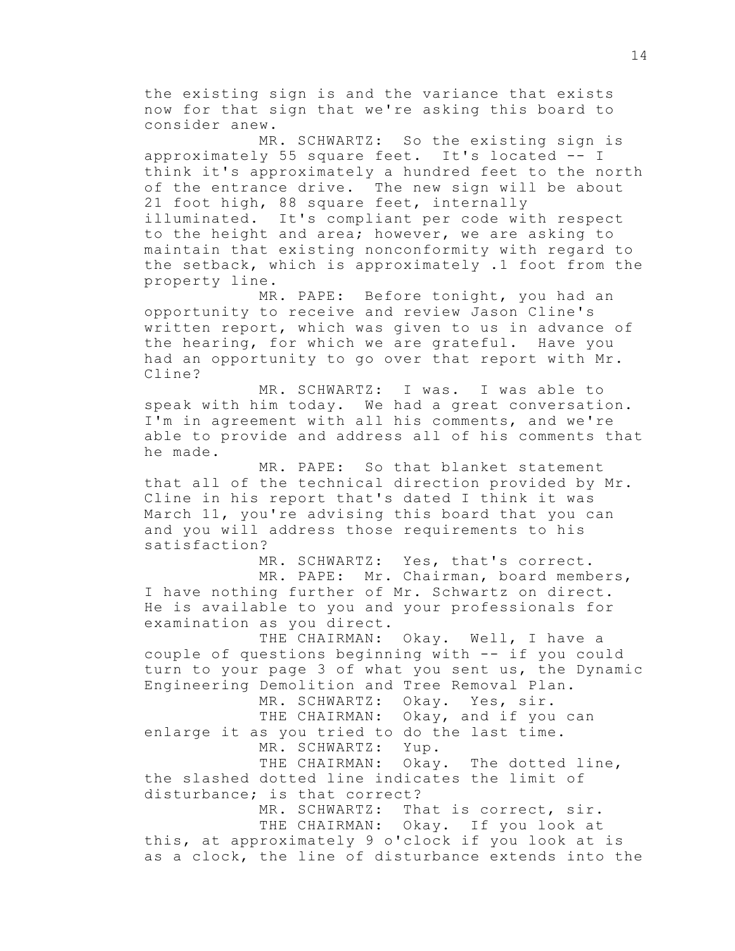the existing sign is and the variance that exists now for that sign that we're asking this board to consider anew.

MR. SCHWARTZ: So the existing sign is approximately 55 square feet. It's located -- I think it's approximately a hundred feet to the north of the entrance drive. The new sign will be about 21 foot high, 88 square feet, internally illuminated. It's compliant per code with respect to the height and area; however, we are asking to maintain that existing nonconformity with regard to the setback, which is approximately .1 foot from the property line.

MR. PAPE: Before tonight, you had an opportunity to receive and review Jason Cline's written report, which was given to us in advance of the hearing, for which we are grateful. Have you had an opportunity to go over that report with Mr. Cline?

MR. SCHWARTZ: I was. I was able to speak with him today. We had a great conversation. I'm in agreement with all his comments, and we're able to provide and address all of his comments that he made.

MR. PAPE: So that blanket statement that all of the technical direction provided by Mr. Cline in his report that's dated I think it was March 11, you're advising this board that you can and you will address those requirements to his satisfaction?

MR. SCHWARTZ: Yes, that's correct. MR. PAPE: Mr. Chairman, board members, I have nothing further of Mr. Schwartz on direct. He is available to you and your professionals for examination as you direct.

THE CHAIRMAN: Okay. Well, I have a couple of questions beginning with -- if you could turn to your page 3 of what you sent us, the Dynamic Engineering Demolition and Tree Removal Plan.

MR. SCHWARTZ: Okay. Yes, sir. THE CHAIRMAN: Okay, and if you can enlarge it as you tried to do the last time. MR. SCHWARTZ: Yup.

THE CHAIRMAN: Okay. The dotted line, the slashed dotted line indicates the limit of disturbance; is that correct?

MR. SCHWARTZ: That is correct, sir. THE CHAIRMAN: Okay. If you look at this, at approximately 9 o'clock if you look at is as a clock, the line of disturbance extends into the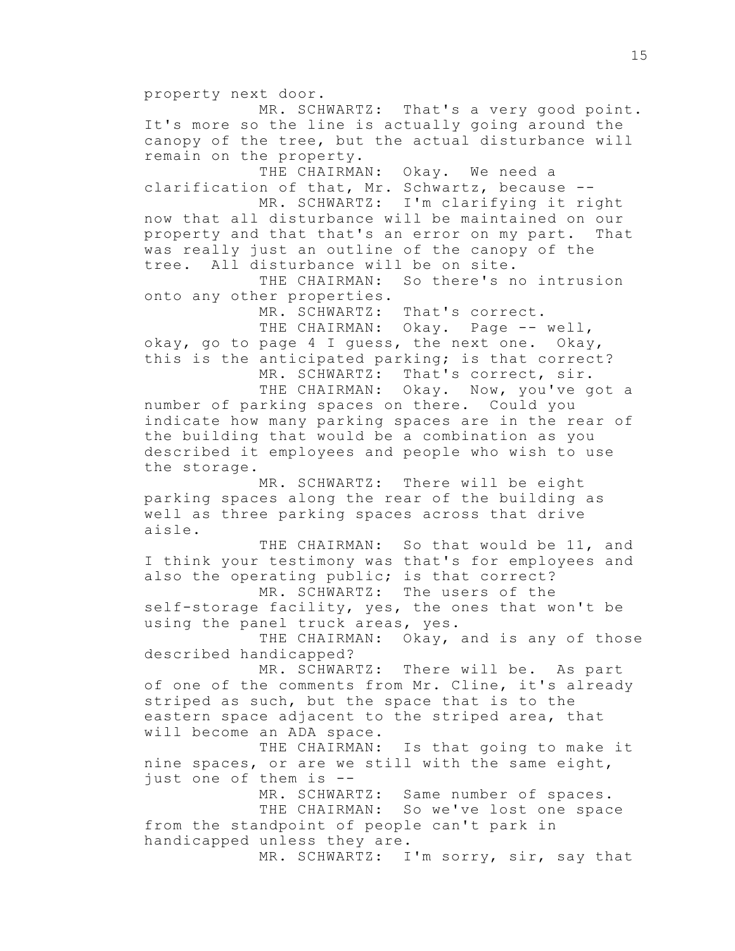property next door. MR. SCHWARTZ: That's a very good point. It's more so the line is actually going around the canopy of the tree, but the actual disturbance will remain on the property. THE CHAIRMAN: Okay. We need a clarification of that, Mr. Schwartz, because -- MR. SCHWARTZ: I'm clarifying it right now that all disturbance will be maintained on our property and that that's an error on my part. That was really just an outline of the canopy of the tree. All disturbance will be on site. THE CHAIRMAN: So there's no intrusion onto any other properties. MR. SCHWARTZ: That's correct. THE CHAIRMAN: Okay. Page -- well, okay, go to page 4 I guess, the next one. Okay, this is the anticipated parking; is that correct? MR. SCHWARTZ: That's correct, sir. THE CHAIRMAN: Okay. Now, you've got a number of parking spaces on there. Could you indicate how many parking spaces are in the rear of the building that would be a combination as you described it employees and people who wish to use the storage. MR. SCHWARTZ: There will be eight parking spaces along the rear of the building as well as three parking spaces across that drive aisle. THE CHAIRMAN: So that would be 11, and I think your testimony was that's for employees and also the operating public; is that correct? MR. SCHWARTZ: The users of the self-storage facility, yes, the ones that won't be using the panel truck areas, yes. THE CHAIRMAN: Okay, and is any of those described handicapped? MR. SCHWARTZ: There will be. As part of one of the comments from Mr. Cline, it's already striped as such, but the space that is to the eastern space adjacent to the striped area, that will become an ADA space. THE CHAIRMAN: Is that going to make it nine spaces, or are we still with the same eight, just one of them is -- MR. SCHWARTZ: Same number of spaces. THE CHAIRMAN: So we've lost one space from the standpoint of people can't park in handicapped unless they are. MR. SCHWARTZ: I'm sorry, sir, say that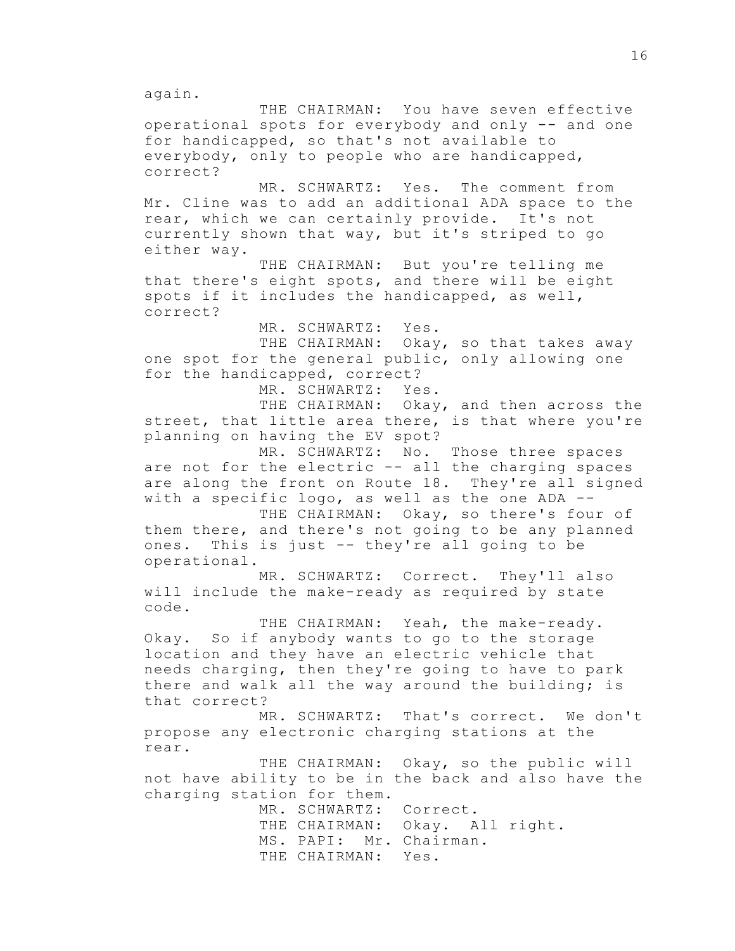again.

THE CHAIRMAN: You have seven effective operational spots for everybody and only -- and one for handicapped, so that's not available to everybody, only to people who are handicapped, correct?

MR. SCHWARTZ: Yes. The comment from Mr. Cline was to add an additional ADA space to the rear, which we can certainly provide. It's not currently shown that way, but it's striped to go either way.

THE CHAIRMAN: But you're telling me that there's eight spots, and there will be eight spots if it includes the handicapped, as well, correct?

MR. SCHWARTZ: Yes.

THE CHAIRMAN: Okay, so that takes away one spot for the general public, only allowing one for the handicapped, correct?

MR. SCHWARTZ: Yes.

THE CHAIRMAN: Okay, and then across the street, that little area there, is that where you're planning on having the EV spot?

MR. SCHWARTZ: No. Those three spaces are not for the electric -- all the charging spaces are along the front on Route 18. They're all signed with a specific logo, as well as the one ADA --

THE CHAIRMAN: Okay, so there's four of them there, and there's not going to be any planned ones. This is just -- they're all going to be operational.

MR. SCHWARTZ: Correct. They'll also will include the make-ready as required by state code.

THE CHAIRMAN: Yeah, the make-ready. Okay. So if anybody wants to go to the storage location and they have an electric vehicle that needs charging, then they're going to have to park there and walk all the way around the building; is that correct?

MR. SCHWARTZ: That's correct. We don't propose any electronic charging stations at the rear.

THE CHAIRMAN: Okay, so the public will not have ability to be in the back and also have the charging station for them.

> MR. SCHWARTZ: Correct. THE CHAIRMAN: Okay. All right. MS. PAPI: Mr. Chairman. THE CHAIRMAN: Yes.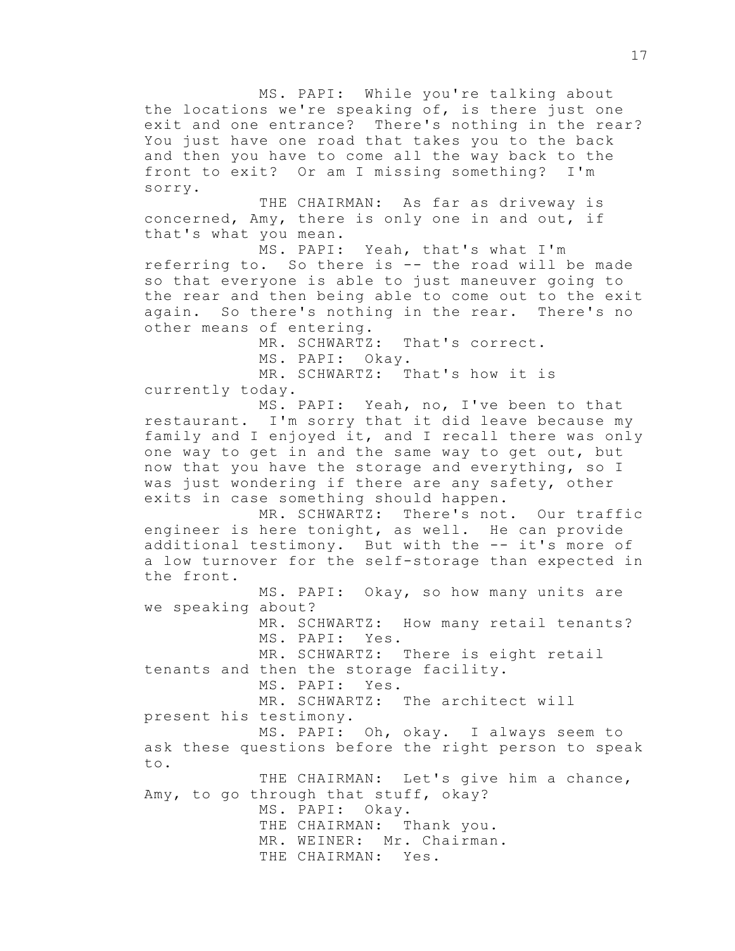MS. PAPI: While you're talking about the locations we're speaking of, is there just one exit and one entrance? There's nothing in the rear? You just have one road that takes you to the back and then you have to come all the way back to the front to exit? Or am I missing something? I'm sorry.

THE CHAIRMAN: As far as driveway is concerned, Amy, there is only one in and out, if that's what you mean.

MS. PAPI: Yeah, that's what I'm referring to. So there is -- the road will be made so that everyone is able to just maneuver going to the rear and then being able to come out to the exit again. So there's nothing in the rear. There's no other means of entering.

MR. SCHWARTZ: That's correct.

MS. PAPI: Okay.

MR. SCHWARTZ: That's how it is currently today.

MS. PAPI: Yeah, no, I've been to that restaurant. I'm sorry that it did leave because my family and I enjoyed it, and I recall there was only one way to get in and the same way to get out, but now that you have the storage and everything, so I was just wondering if there are any safety, other exits in case something should happen.

MR. SCHWARTZ: There's not. Our traffic engineer is here tonight, as well. He can provide additional testimony. But with the -- it's more of a low turnover for the self-storage than expected in the front.

MS. PAPI: Okay, so how many units are we speaking about? MR. SCHWARTZ: How many retail tenants?

MS. PAPI: Yes.

MR. SCHWARTZ: There is eight retail tenants and then the storage facility.

MS. PAPI: Yes.

MR. SCHWARTZ: The architect will

present his testimony.

MS. PAPI: Oh, okay. I always seem to ask these questions before the right person to speak to.

THE CHAIRMAN: Let's give him a chance, Amy, to go through that stuff, okay? MS. PAPI: Okay. THE CHAIRMAN: Thank you. MR. WEINER: Mr. Chairman. THE CHAIRMAN: Yes.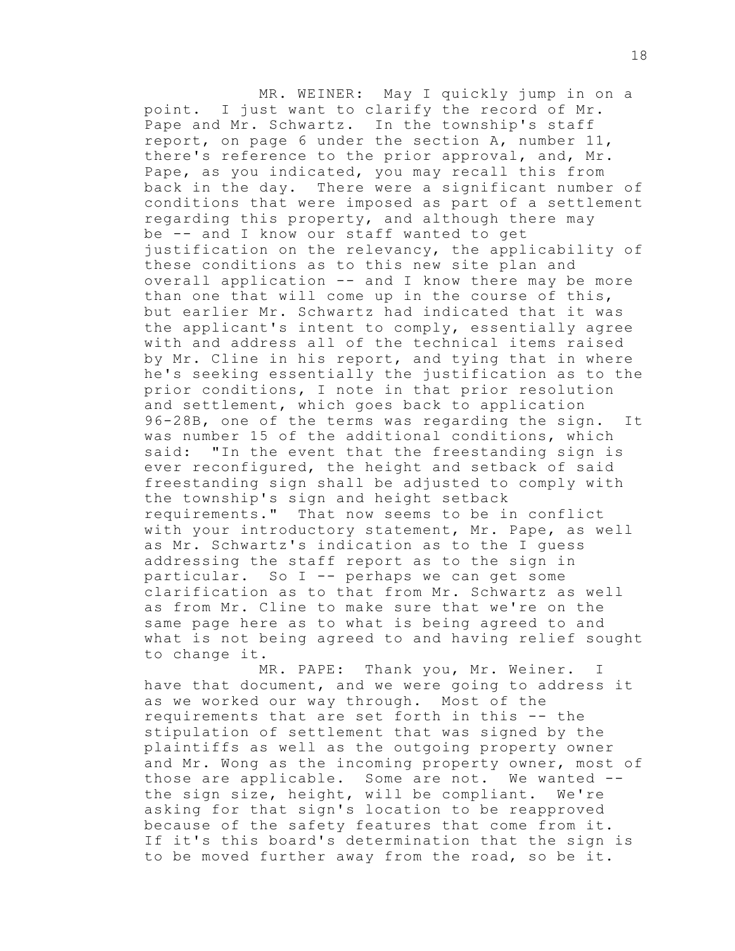MR. WEINER: May I quickly jump in on a point. I just want to clarify the record of Mr. Pape and Mr. Schwartz. In the township's staff report, on page 6 under the section A, number 11, there's reference to the prior approval, and, Mr. Pape, as you indicated, you may recall this from back in the day. There were a significant number of conditions that were imposed as part of a settlement regarding this property, and although there may be -- and I know our staff wanted to get justification on the relevancy, the applicability of these conditions as to this new site plan and overall application -- and I know there may be more than one that will come up in the course of this, but earlier Mr. Schwartz had indicated that it was the applicant's intent to comply, essentially agree with and address all of the technical items raised by Mr. Cline in his report, and tying that in where he's seeking essentially the justification as to the prior conditions, I note in that prior resolution and settlement, which goes back to application 96-28B, one of the terms was regarding the sign. It was number 15 of the additional conditions, which said: "In the event that the freestanding sign is ever reconfigured, the height and setback of said freestanding sign shall be adjusted to comply with the township's sign and height setback requirements." That now seems to be in conflict with your introductory statement, Mr. Pape, as well as Mr. Schwartz's indication as to the I guess addressing the staff report as to the sign in particular. So I -- perhaps we can get some clarification as to that from Mr. Schwartz as well as from Mr. Cline to make sure that we're on the same page here as to what is being agreed to and what is not being agreed to and having relief sought to change it.

MR. PAPE: Thank you, Mr. Weiner. I have that document, and we were going to address it as we worked our way through. Most of the requirements that are set forth in this -- the stipulation of settlement that was signed by the plaintiffs as well as the outgoing property owner and Mr. Wong as the incoming property owner, most of those are applicable. Some are not. We wanted - the sign size, height, will be compliant. We're asking for that sign's location to be reapproved because of the safety features that come from it. If it's this board's determination that the sign is to be moved further away from the road, so be it.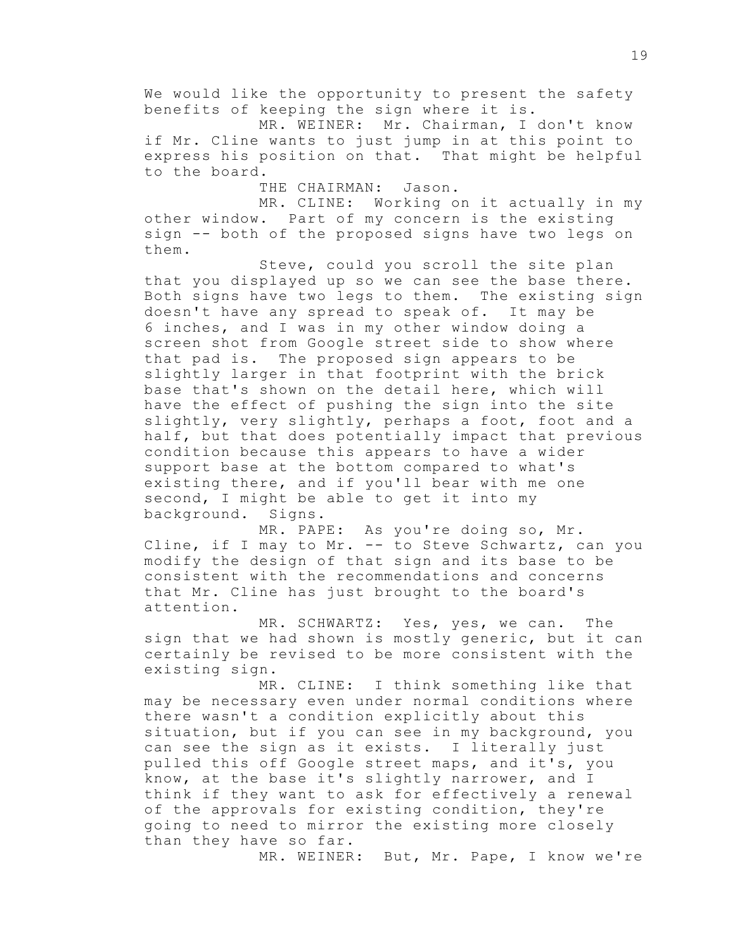We would like the opportunity to present the safety benefits of keeping the sign where it is.

MR. WEINER: Mr. Chairman, I don't know if Mr. Cline wants to just jump in at this point to express his position on that. That might be helpful to the board.

THE CHAIRMAN: Jason.

MR. CLINE: Working on it actually in my other window. Part of my concern is the existing sign -- both of the proposed signs have two legs on them.

Steve, could you scroll the site plan that you displayed up so we can see the base there. Both signs have two legs to them. The existing sign doesn't have any spread to speak of. It may be 6 inches, and I was in my other window doing a screen shot from Google street side to show where that pad is. The proposed sign appears to be slightly larger in that footprint with the brick base that's shown on the detail here, which will have the effect of pushing the sign into the site slightly, very slightly, perhaps a foot, foot and a half, but that does potentially impact that previous condition because this appears to have a wider support base at the bottom compared to what's existing there, and if you'll bear with me one second, I might be able to get it into my background. Signs.

MR. PAPE: As you're doing so, Mr. Cline, if I may to Mr. -- to Steve Schwartz, can you modify the design of that sign and its base to be consistent with the recommendations and concerns that Mr. Cline has just brought to the board's attention.

MR. SCHWARTZ: Yes, yes, we can. The sign that we had shown is mostly generic, but it can certainly be revised to be more consistent with the existing sign.

MR. CLINE: I think something like that may be necessary even under normal conditions where there wasn't a condition explicitly about this situation, but if you can see in my background, you can see the sign as it exists. I literally just pulled this off Google street maps, and it's, you know, at the base it's slightly narrower, and I think if they want to ask for effectively a renewal of the approvals for existing condition, they're going to need to mirror the existing more closely than they have so far.

MR. WEINER: But, Mr. Pape, I know we're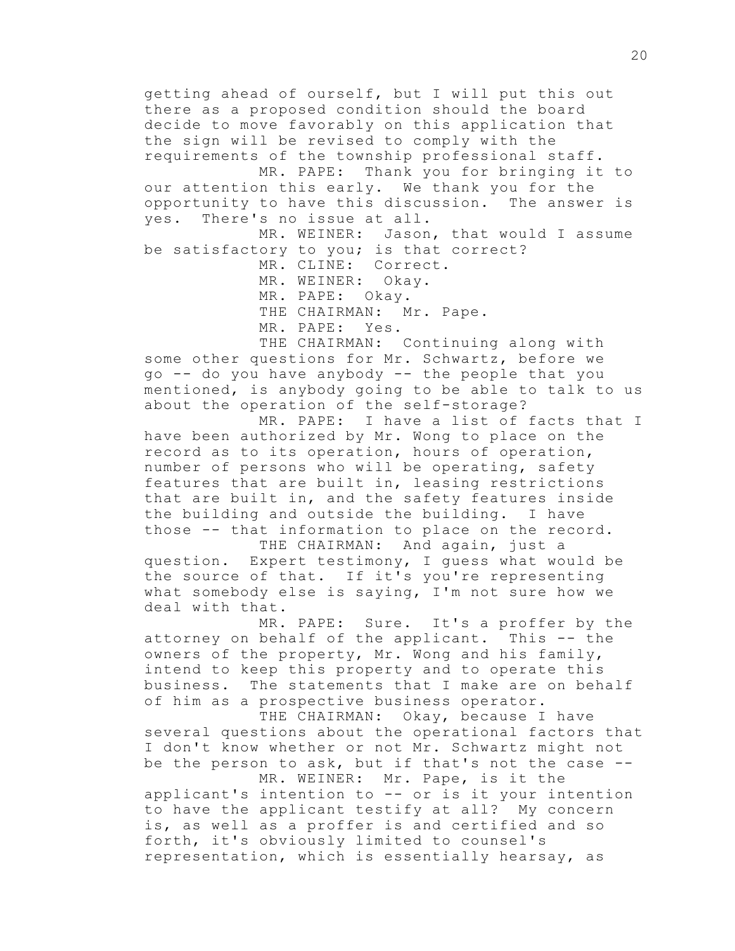getting ahead of ourself, but I will put this out there as a proposed condition should the board decide to move favorably on this application that the sign will be revised to comply with the requirements of the township professional staff. MR. PAPE: Thank you for bringing it to our attention this early. We thank you for the opportunity to have this discussion. The answer is yes. There's no issue at all.

MR. WEINER: Jason, that would I assume be satisfactory to you; is that correct?

> MR. CLINE: Correct. MR. WEINER: Okay. MR. PAPE: Okay. THE CHAIRMAN: Mr. Pape. MR. PAPE: Yes.

THE CHAIRMAN: Continuing along with some other questions for Mr. Schwartz, before we go -- do you have anybody -- the people that you mentioned, is anybody going to be able to talk to us about the operation of the self-storage?

MR. PAPE: I have a list of facts that I have been authorized by Mr. Wong to place on the record as to its operation, hours of operation, number of persons who will be operating, safety features that are built in, leasing restrictions that are built in, and the safety features inside the building and outside the building. I have those -- that information to place on the record.

THE CHAIRMAN: And again, just a question. Expert testimony, I guess what would be the source of that. If it's you're representing what somebody else is saying, I'm not sure how we deal with that.

MR. PAPE: Sure. It's a proffer by the attorney on behalf of the applicant. This -- the owners of the property, Mr. Wong and his family, intend to keep this property and to operate this business. The statements that I make are on behalf of him as a prospective business operator.

THE CHAIRMAN: Okay, because I have several questions about the operational factors that I don't know whether or not Mr. Schwartz might not be the person to ask, but if that's not the case -- MR. WEINER: Mr. Pape, is it the

applicant's intention to -- or is it your intention to have the applicant testify at all? My concern is, as well as a proffer is and certified and so forth, it's obviously limited to counsel's representation, which is essentially hearsay, as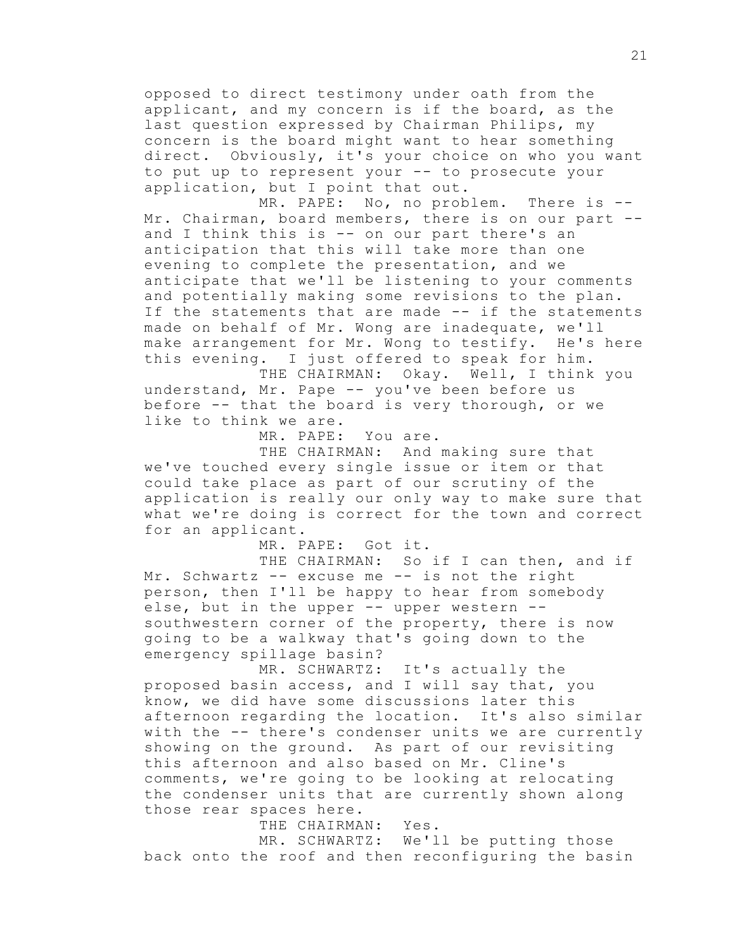opposed to direct testimony under oath from the applicant, and my concern is if the board, as the last question expressed by Chairman Philips, my concern is the board might want to hear something direct. Obviously, it's your choice on who you want to put up to represent your -- to prosecute your application, but I point that out.

MR. PAPE: No, no problem. There is --Mr. Chairman, board members, there is on our part - and I think this is -- on our part there's an anticipation that this will take more than one evening to complete the presentation, and we anticipate that we'll be listening to your comments and potentially making some revisions to the plan. If the statements that are made -- if the statements made on behalf of Mr. Wong are inadequate, we'll make arrangement for Mr. Wong to testify. He's here this evening. I just offered to speak for him.

THE CHAIRMAN: Okay. Well, I think you understand, Mr. Pape -- you've been before us before -- that the board is very thorough, or we like to think we are.

MR. PAPE: You are.

THE CHAIRMAN: And making sure that we've touched every single issue or item or that could take place as part of our scrutiny of the application is really our only way to make sure that what we're doing is correct for the town and correct for an applicant.

MR. PAPE: Got it.

THE CHAIRMAN: So if I can then, and if Mr. Schwartz -- excuse me -- is not the right person, then I'll be happy to hear from somebody else, but in the upper -- upper western -southwestern corner of the property, there is now going to be a walkway that's going down to the emergency spillage basin?

MR. SCHWARTZ: It's actually the proposed basin access, and I will say that, you know, we did have some discussions later this afternoon regarding the location. It's also similar with the -- there's condenser units we are currently showing on the ground. As part of our revisiting this afternoon and also based on Mr. Cline's comments, we're going to be looking at relocating the condenser units that are currently shown along those rear spaces here.

THE CHAIRMAN: Yes.

MR. SCHWARTZ: We'll be putting those back onto the roof and then reconfiguring the basin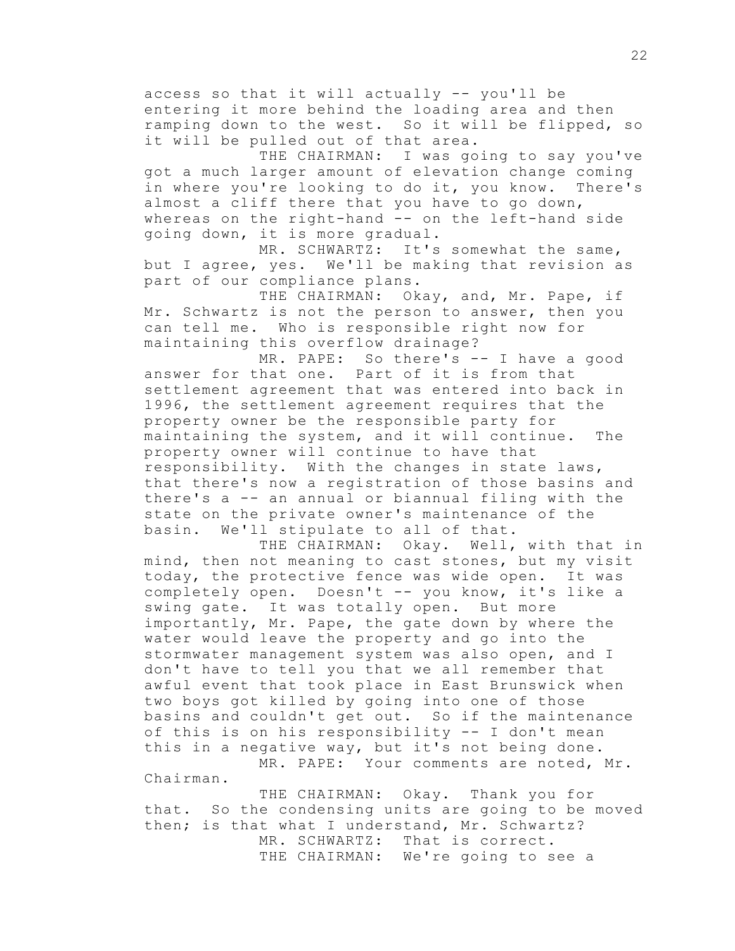access so that it will actually -- you'll be entering it more behind the loading area and then ramping down to the west. So it will be flipped, so it will be pulled out of that area.

THE CHAIRMAN: I was going to say you've got a much larger amount of elevation change coming in where you're looking to do it, you know. There's almost a cliff there that you have to go down, whereas on the right-hand -- on the left-hand side going down, it is more gradual.

MR. SCHWARTZ: It's somewhat the same, but I agree, yes. We'll be making that revision as part of our compliance plans.

THE CHAIRMAN: Okay, and, Mr. Pape, if Mr. Schwartz is not the person to answer, then you can tell me. Who is responsible right now for maintaining this overflow drainage?

MR. PAPE: So there's -- I have a good answer for that one. Part of it is from that settlement agreement that was entered into back in 1996, the settlement agreement requires that the property owner be the responsible party for maintaining the system, and it will continue. The property owner will continue to have that responsibility. With the changes in state laws, that there's now a registration of those basins and there's a -- an annual or biannual filing with the state on the private owner's maintenance of the basin. We'll stipulate to all of that.

THE CHAIRMAN: Okay. Well, with that in mind, then not meaning to cast stones, but my visit today, the protective fence was wide open. It was completely open. Doesn't -- you know, it's like a swing gate. It was totally open. But more importantly, Mr. Pape, the gate down by where the water would leave the property and go into the stormwater management system was also open, and I don't have to tell you that we all remember that awful event that took place in East Brunswick when two boys got killed by going into one of those basins and couldn't get out. So if the maintenance of this is on his responsibility -- I don't mean this in a negative way, but it's not being done. MR. PAPE: Your comments are noted, Mr.

Chairman.

THE CHAIRMAN: Okay. Thank you for that. So the condensing units are going to be moved then; is that what I understand, Mr. Schwartz? MR. SCHWARTZ: That is correct. THE CHAIRMAN: We're going to see a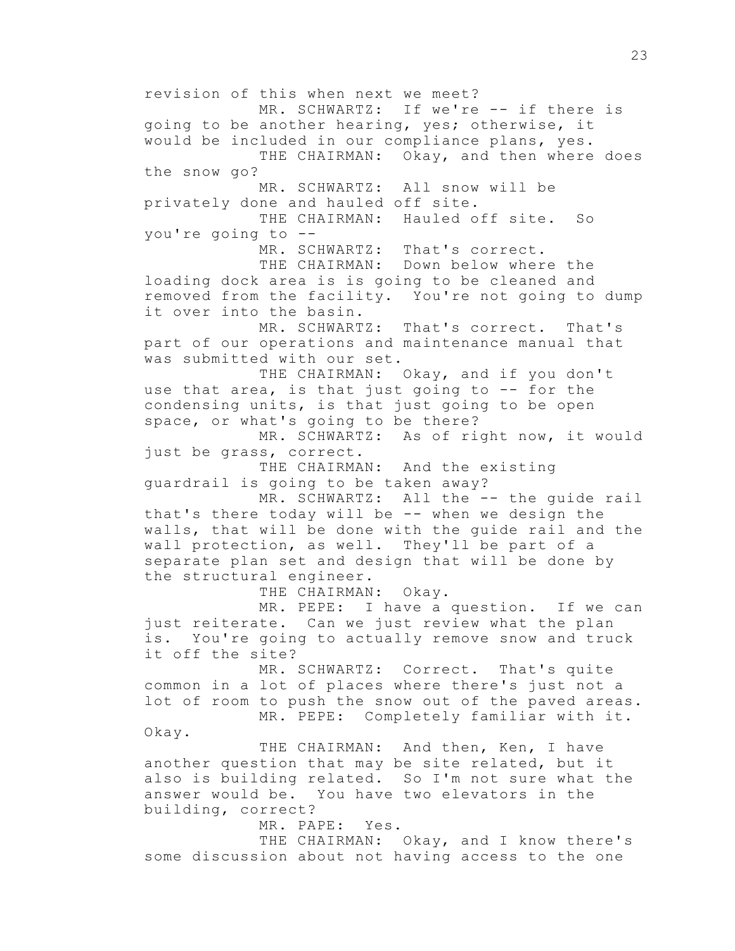revision of this when next we meet? MR. SCHWARTZ: If we're -- if there is going to be another hearing, yes; otherwise, it would be included in our compliance plans, yes. THE CHAIRMAN: Okay, and then where does the snow go? MR. SCHWARTZ: All snow will be privately done and hauled off site. THE CHAIRMAN: Hauled off site. So you're going to -- MR. SCHWARTZ: That's correct. THE CHAIRMAN: Down below where the loading dock area is is going to be cleaned and removed from the facility. You're not going to dump it over into the basin. MR. SCHWARTZ: That's correct. That's part of our operations and maintenance manual that was submitted with our set. THE CHAIRMAN: Okay, and if you don't use that area, is that just going to -- for the condensing units, is that just going to be open space, or what's going to be there? MR. SCHWARTZ: As of right now, it would just be grass, correct. THE CHAIRMAN: And the existing guardrail is going to be taken away? MR. SCHWARTZ: All the -- the guide rail that's there today will be -- when we design the walls, that will be done with the guide rail and the wall protection, as well. They'll be part of a separate plan set and design that will be done by the structural engineer. THE CHAIRMAN: Okay. MR. PEPE: I have a question. If we can just reiterate. Can we just review what the plan is. You're going to actually remove snow and truck it off the site? MR. SCHWARTZ: Correct. That's quite common in a lot of places where there's just not a lot of room to push the snow out of the paved areas. MR. PEPE: Completely familiar with it. Okay. THE CHAIRMAN: And then, Ken, I have another question that may be site related, but it also is building related. So I'm not sure what the answer would be. You have two elevators in the building, correct? MR. PAPE: Yes. THE CHAIRMAN: Okay, and I know there's some discussion about not having access to the one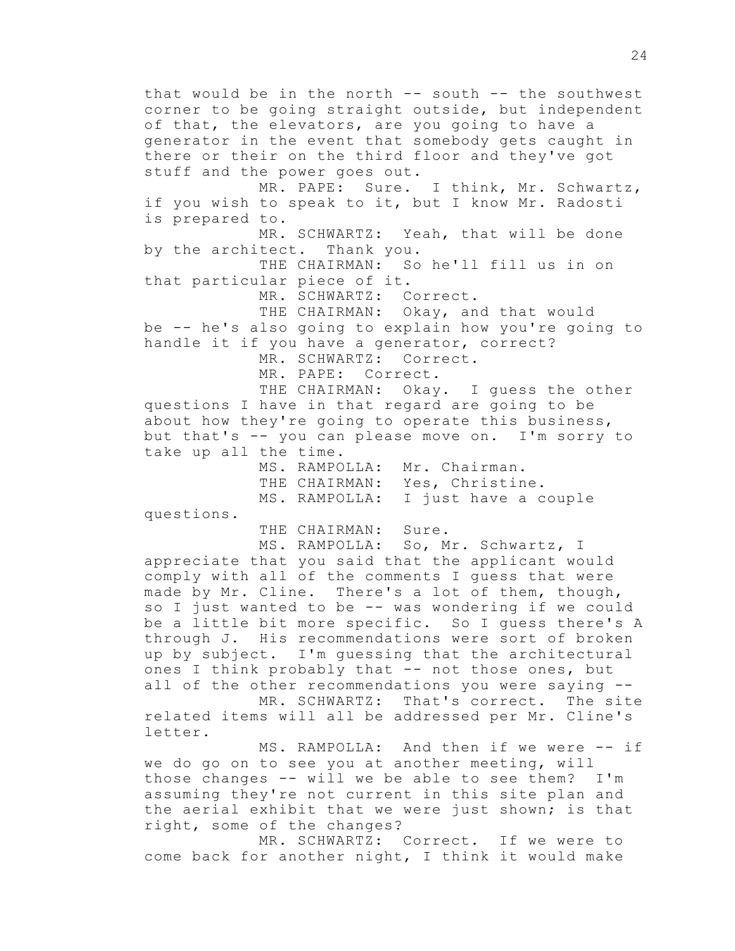that would be in the north -- south -- the southwest corner to be going straight outside, but independent of that, the elevators, are you going to have a generator in the event that somebody gets caught in there or their on the third floor and they've got stuff and the power goes out. MR. PAPE: Sure. I think, Mr. Schwartz, if you wish to speak to it, but I know Mr. Radosti is prepared to. MR. SCHWARTZ: Yeah, that will be done by the architect. Thank you. THE CHAIRMAN: So he'll fill us in on that particular piece of it. MR. SCHWARTZ: Correct. THE CHAIRMAN: Okay, and that would be -- he's also going to explain how you're going to handle it if you have a generator, correct? MR. SCHWARTZ: Correct. MR. PAPE: Correct. THE CHAIRMAN: Okay. I quess the other questions I have in that regard are going to be about how they're going to operate this business, but that's -- you can please move on. I'm sorry to take up all the time. MS. RAMPOLLA: Mr. Chairman. THE CHAIRMAN: Yes, Christine. MS. RAMPOLLA: I just have a couple questions. THE CHAIRMAN: Sure. MS. RAMPOLLA: So, Mr. Schwartz, I appreciate that you said that the applicant would comply with all of the comments I guess that were made by Mr. Cline. There's a lot of them, though, so I just wanted to be -- was wondering if we could be a little bit more specific. So I guess there's A through J. His recommendations were sort of broken up by subject. I'm guessing that the architectural ones I think probably that -- not those ones, but all of the other recommendations you were saying -- MR. SCHWARTZ: That's correct. The site related items will all be addressed per Mr. Cline's letter. MS. RAMPOLLA: And then if we were -- if

we do go on to see you at another meeting, will those changes -- will we be able to see them? I'm assuming they're not current in this site plan and the aerial exhibit that we were just shown; is that right, some of the changes?

MR. SCHWARTZ: Correct. If we were to come back for another night, I think it would make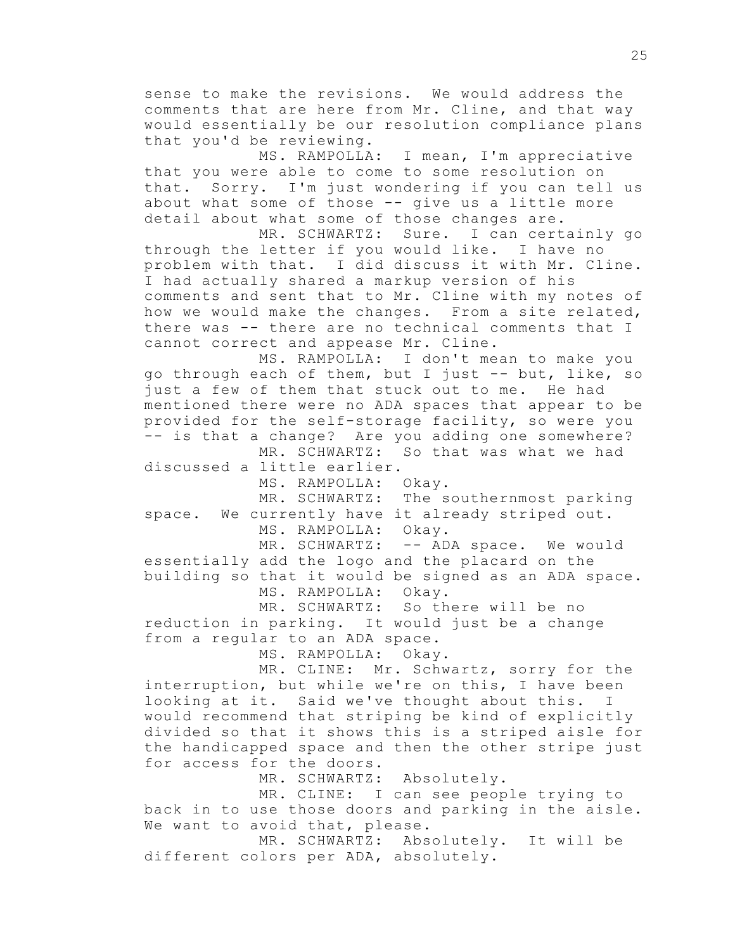sense to make the revisions. We would address the comments that are here from Mr. Cline, and that way would essentially be our resolution compliance plans that you'd be reviewing.

MS. RAMPOLLA: I mean, I'm appreciative that you were able to come to some resolution on that. Sorry. I'm just wondering if you can tell us about what some of those -- give us a little more detail about what some of those changes are.

MR. SCHWARTZ: Sure. I can certainly go through the letter if you would like. I have no problem with that. I did discuss it with Mr. Cline. I had actually shared a markup version of his comments and sent that to Mr. Cline with my notes of how we would make the changes. From a site related, there was -- there are no technical comments that I cannot correct and appease Mr. Cline.

MS. RAMPOLLA: I don't mean to make you go through each of them, but I just -- but, like, so just a few of them that stuck out to me. He had mentioned there were no ADA spaces that appear to be provided for the self-storage facility, so were you -- is that a change? Are you adding one somewhere?

MR. SCHWARTZ: So that was what we had discussed a little earlier.

MS. RAMPOLLA: Okay.

MR. SCHWARTZ: The southernmost parking space. We currently have it already striped out. MS. RAMPOLLA: Okay.

MR. SCHWARTZ: -- ADA space. We would essentially add the logo and the placard on the building so that it would be signed as an ADA space. MS. RAMPOLLA: Okay.

MR. SCHWARTZ: So there will be no reduction in parking. It would just be a change from a regular to an ADA space.

MS. RAMPOLLA: Okay.

MR. CLINE: Mr. Schwartz, sorry for the interruption, but while we're on this, I have been looking at it. Said we've thought about this. I would recommend that striping be kind of explicitly divided so that it shows this is a striped aisle for the handicapped space and then the other stripe just for access for the doors.

MR. SCHWARTZ: Absolutely.

MR. CLINE: I can see people trying to back in to use those doors and parking in the aisle. We want to avoid that, please.

MR. SCHWARTZ: Absolutely. It will be different colors per ADA, absolutely.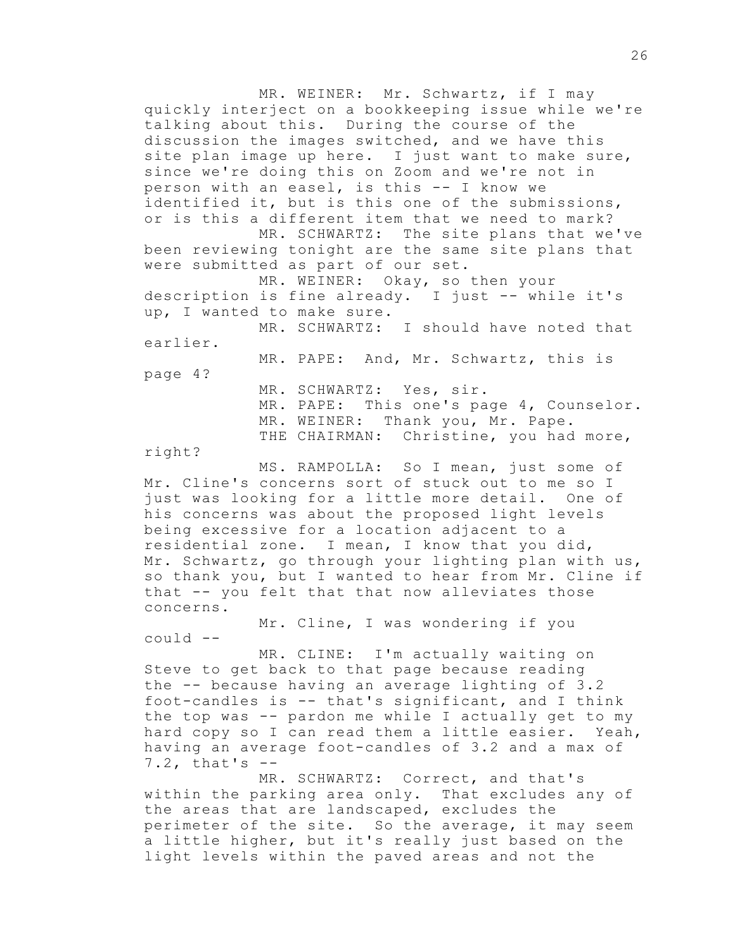MR. WEINER: Mr. Schwartz, if I may quickly interject on a bookkeeping issue while we're talking about this. During the course of the discussion the images switched, and we have this site plan image up here. I just want to make sure, since we're doing this on Zoom and we're not in person with an easel, is this -- I know we identified it, but is this one of the submissions, or is this a different item that we need to mark?

MR. SCHWARTZ: The site plans that we've been reviewing tonight are the same site plans that were submitted as part of our set.

MR. WEINER: Okay, so then your description is fine already. I just -- while it's up, I wanted to make sure.

MR. SCHWARTZ: I should have noted that earlier.

MR. PAPE: And, Mr. Schwartz, this is

page 4?

MR. SCHWARTZ: Yes, sir.

MR. PAPE: This one's page 4, Counselor. MR. WEINER: Thank you, Mr. Pape. THE CHAIRMAN: Christine, you had more,

right?

MS. RAMPOLLA: So I mean, just some of Mr. Cline's concerns sort of stuck out to me so I just was looking for a little more detail. One of his concerns was about the proposed light levels being excessive for a location adjacent to a residential zone. I mean, I know that you did, Mr. Schwartz, go through your lighting plan with us, so thank you, but I wanted to hear from Mr. Cline if that -- you felt that that now alleviates those concerns.

Mr. Cline, I was wondering if you could --

MR. CLINE: I'm actually waiting on Steve to get back to that page because reading the -- because having an average lighting of 3.2 foot-candles is -- that's significant, and I think the top was -- pardon me while I actually get to my hard copy so I can read them a little easier. Yeah, having an average foot-candles of 3.2 and a max of  $7.2$ , that's  $-$ 

MR. SCHWARTZ: Correct, and that's within the parking area only. That excludes any of the areas that are landscaped, excludes the perimeter of the site. So the average, it may seem a little higher, but it's really just based on the light levels within the paved areas and not the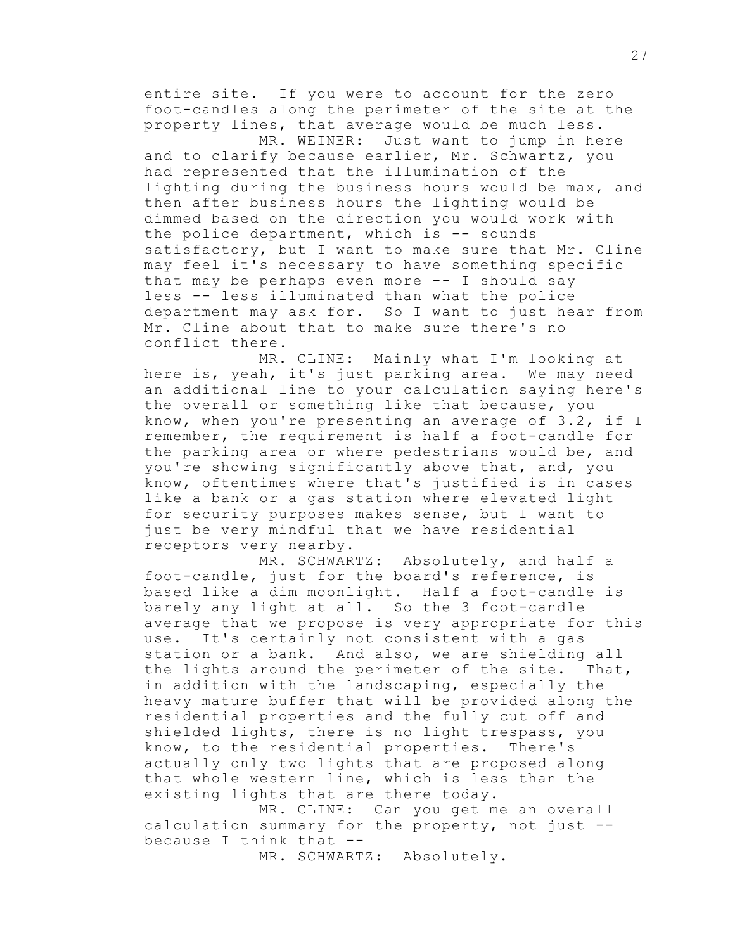entire site. If you were to account for the zero foot-candles along the perimeter of the site at the property lines, that average would be much less.

MR. WEINER: Just want to jump in here and to clarify because earlier, Mr. Schwartz, you had represented that the illumination of the lighting during the business hours would be max, and then after business hours the lighting would be dimmed based on the direction you would work with the police department, which is -- sounds satisfactory, but I want to make sure that Mr. Cline may feel it's necessary to have something specific that may be perhaps even more -- I should say less -- less illuminated than what the police department may ask for. So I want to just hear from Mr. Cline about that to make sure there's no conflict there.

MR. CLINE: Mainly what I'm looking at here is, yeah, it's just parking area. We may need an additional line to your calculation saying here's the overall or something like that because, you know, when you're presenting an average of 3.2, if I remember, the requirement is half a foot-candle for the parking area or where pedestrians would be, and you're showing significantly above that, and, you know, oftentimes where that's justified is in cases like a bank or a gas station where elevated light for security purposes makes sense, but I want to just be very mindful that we have residential receptors very nearby.

MR. SCHWARTZ: Absolutely, and half a foot-candle, just for the board's reference, is based like a dim moonlight. Half a foot-candle is barely any light at all. So the 3 foot-candle average that we propose is very appropriate for this use. It's certainly not consistent with a gas station or a bank. And also, we are shielding all the lights around the perimeter of the site. That, in addition with the landscaping, especially the heavy mature buffer that will be provided along the residential properties and the fully cut off and shielded lights, there is no light trespass, you know, to the residential properties. There's actually only two lights that are proposed along that whole western line, which is less than the existing lights that are there today.

MR. CLINE: Can you get me an overall calculation summary for the property, not just - because I think that --

MR. SCHWARTZ: Absolutely.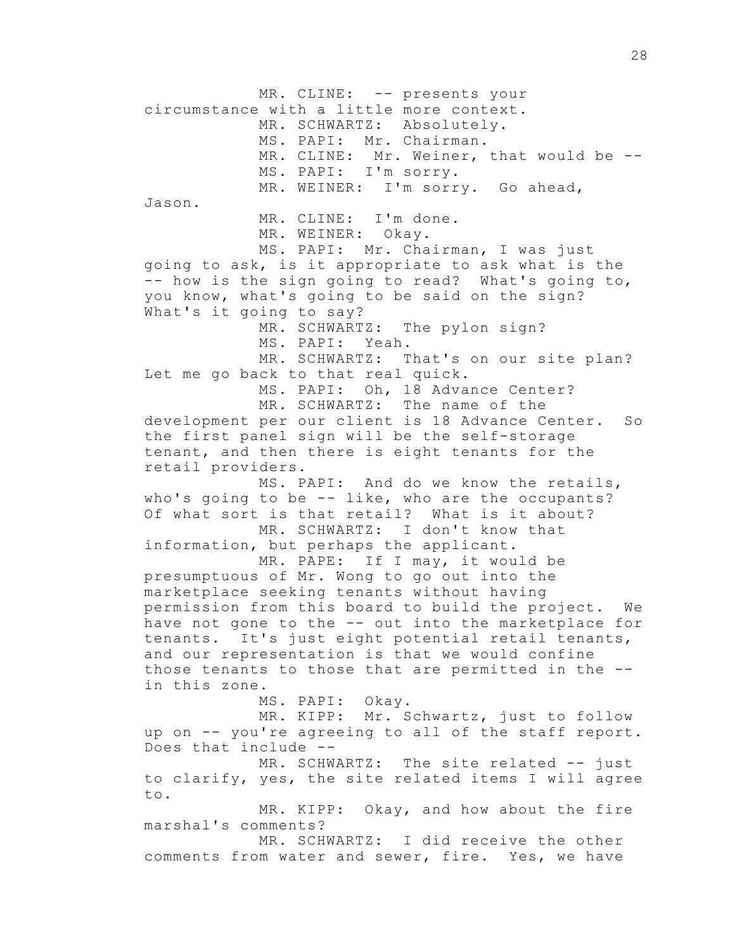MR. CLINE: -- presents your circumstance with a little more context. MR. SCHWARTZ: Absolutely. MS. PAPI: Mr. Chairman. MR. CLINE: Mr. Weiner, that would be --MS. PAPI: I'm sorry. MR. WEINER: I'm sorry. Go ahead, Jason. MR. CLINE: I'm done. MR. WEINER: Okay. MS. PAPI: Mr. Chairman, I was just going to ask, is it appropriate to ask what is the -- how is the sign going to read? What's going to, you know, what's going to be said on the sign? What's it going to say? MR. SCHWARTZ: The pylon sign? MS. PAPI: Yeah. MR. SCHWARTZ: That's on our site plan? Let me go back to that real quick. MS. PAPI: Oh, 18 Advance Center? MR. SCHWARTZ: The name of the development per our client is 18 Advance Center. So the first panel sign will be the self-storage tenant, and then there is eight tenants for the retail providers. MS. PAPI: And do we know the retails, who's going to be -- like, who are the occupants? Of what sort is that retail? What is it about? MR. SCHWARTZ: I don't know that information, but perhaps the applicant. MR. PAPE: If I may, it would be presumptuous of Mr. Wong to go out into the marketplace seeking tenants without having permission from this board to build the project. We have not gone to the -- out into the marketplace for tenants. It's just eight potential retail tenants, and our representation is that we would confine those tenants to those that are permitted in the - in this zone. MS. PAPI: Okay. MR. KIPP: Mr. Schwartz, just to follow up on -- you're agreeing to all of the staff report. Does that include -- MR. SCHWARTZ: The site related -- just to clarify, yes, the site related items I will agree to. MR. KIPP: Okay, and how about the fire marshal's comments? MR. SCHWARTZ: I did receive the other comments from water and sewer, fire. Yes, we have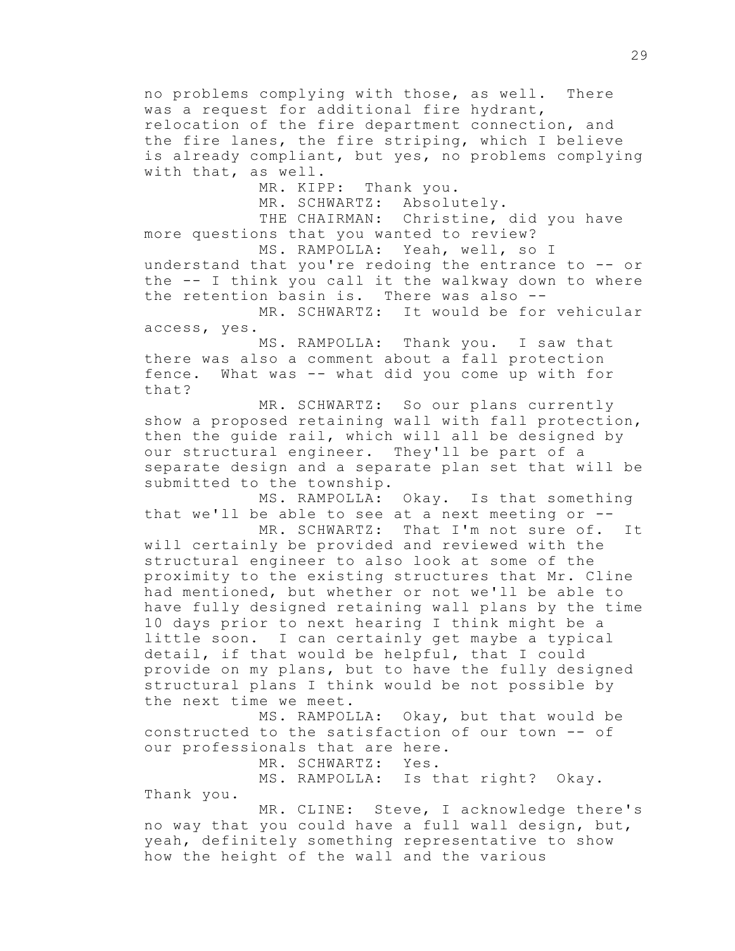no problems complying with those, as well. There was a request for additional fire hydrant, relocation of the fire department connection, and the fire lanes, the fire striping, which I believe is already compliant, but yes, no problems complying with that, as well.

MR. KIPP: Thank you.

MR. SCHWARTZ: Absolutely.

THE CHAIRMAN: Christine, did you have more questions that you wanted to review?

MS. RAMPOLLA: Yeah, well, so I understand that you're redoing the entrance to -- or the -- I think you call it the walkway down to where the retention basin is. There was also --

MR. SCHWARTZ: It would be for vehicular access, yes.

MS. RAMPOLLA: Thank you. I saw that there was also a comment about a fall protection fence. What was -- what did you come up with for that?

MR. SCHWARTZ: So our plans currently show a proposed retaining wall with fall protection, then the guide rail, which will all be designed by our structural engineer. They'll be part of a separate design and a separate plan set that will be submitted to the township.

MS. RAMPOLLA: Okay. Is that something that we'll be able to see at a next meeting or --

MR. SCHWARTZ: That I'm not sure of. It will certainly be provided and reviewed with the structural engineer to also look at some of the proximity to the existing structures that Mr. Cline had mentioned, but whether or not we'll be able to have fully designed retaining wall plans by the time 10 days prior to next hearing I think might be a little soon. I can certainly get maybe a typical detail, if that would be helpful, that I could provide on my plans, but to have the fully designed structural plans I think would be not possible by the next time we meet.

MS. RAMPOLLA: Okay, but that would be constructed to the satisfaction of our town -- of our professionals that are here.

MR. SCHWARTZ: Yes.

MS. RAMPOLLA: Is that right? Okay.

Thank you.

MR. CLINE: Steve, I acknowledge there's no way that you could have a full wall design, but, yeah, definitely something representative to show how the height of the wall and the various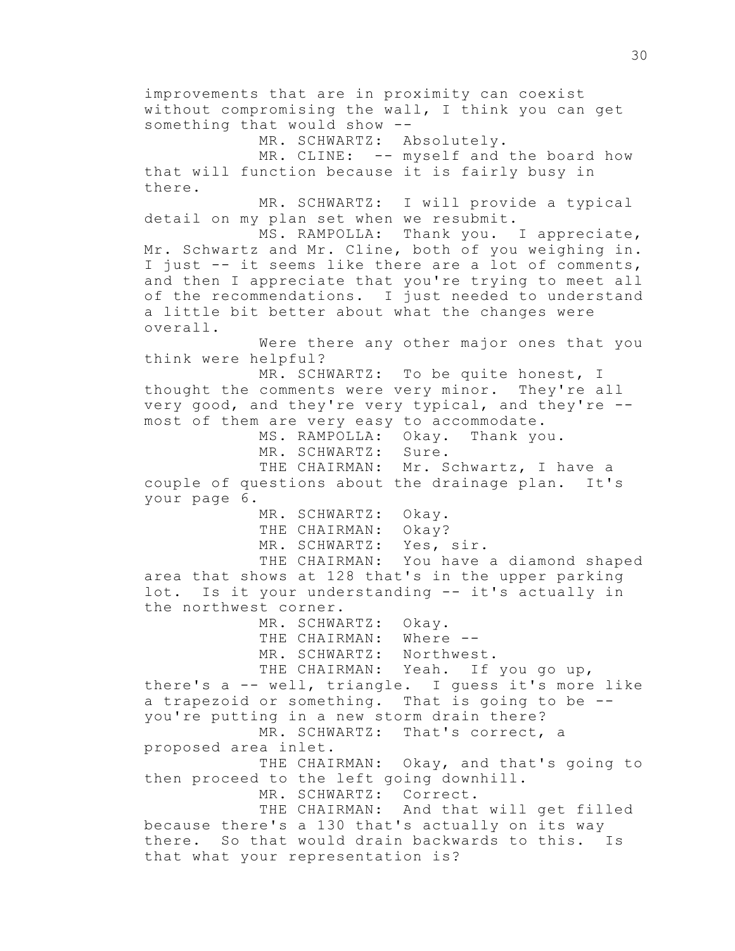improvements that are in proximity can coexist without compromising the wall, I think you can get something that would show -- MR. SCHWARTZ: Absolutely. MR. CLINE: -- myself and the board how that will function because it is fairly busy in there. MR. SCHWARTZ: I will provide a typical detail on my plan set when we resubmit. MS. RAMPOLLA: Thank you. I appreciate, Mr. Schwartz and Mr. Cline, both of you weighing in. I just -- it seems like there are a lot of comments, and then I appreciate that you're trying to meet all of the recommendations. I just needed to understand a little bit better about what the changes were overall. Were there any other major ones that you think were helpful? MR. SCHWARTZ: To be quite honest, I thought the comments were very minor. They're all very good, and they're very typical, and they're - most of them are very easy to accommodate. MS. RAMPOLLA: Okay. Thank you. MR. SCHWARTZ: Sure. THE CHAIRMAN: Mr. Schwartz, I have a couple of questions about the drainage plan. It's your page 6. MR. SCHWARTZ: Okay. THE CHAIRMAN: Okay? MR. SCHWARTZ: Yes, sir. THE CHAIRMAN: You have a diamond shaped area that shows at 128 that's in the upper parking lot. Is it your understanding -- it's actually in the northwest corner. MR. SCHWARTZ: Okay. THE CHAIRMAN: Where --MR. SCHWARTZ: Northwest. THE CHAIRMAN: Yeah. If you go up, there's a -- well, triangle. I guess it's more like a trapezoid or something. That is going to be - you're putting in a new storm drain there? MR. SCHWARTZ: That's correct, a proposed area inlet. THE CHAIRMAN: Okay, and that's going to then proceed to the left going downhill. MR. SCHWARTZ: Correct. THE CHAIRMAN: And that will get filled because there's a 130 that's actually on its way there. So that would drain backwards to this. Is that what your representation is?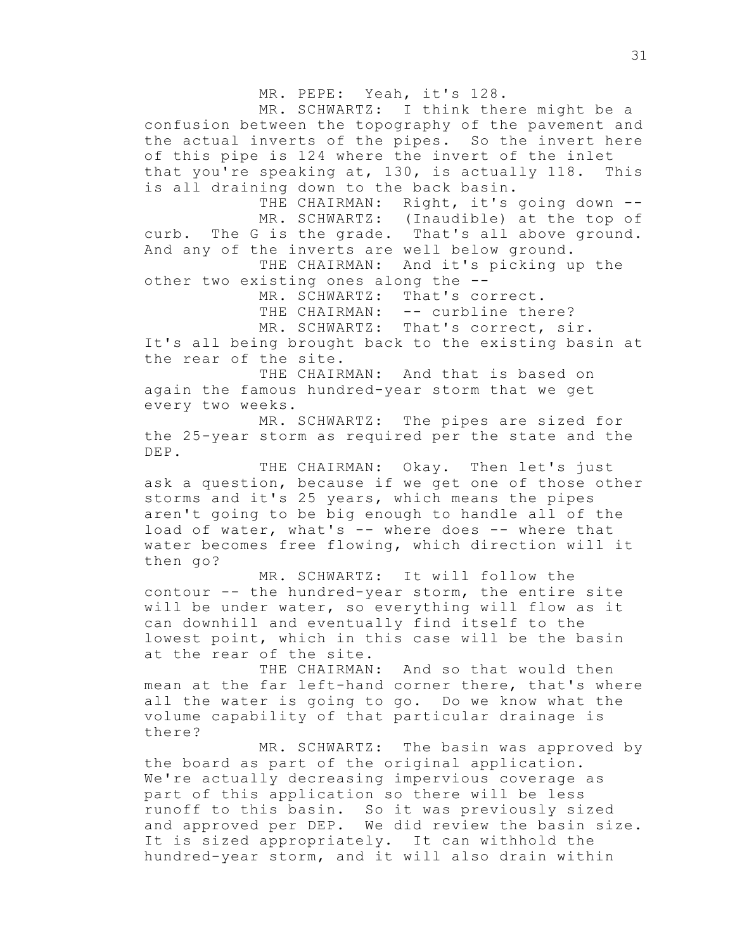MR. PEPE: Yeah, it's 128.

MR. SCHWARTZ: I think there might be a confusion between the topography of the pavement and the actual inverts of the pipes. So the invert here of this pipe is 124 where the invert of the inlet that you're speaking at, 130, is actually 118. This is all draining down to the back basin.

THE CHAIRMAN: Right, it's going down --MR. SCHWARTZ: (Inaudible) at the top of curb. The G is the grade. That's all above ground. And any of the inverts are well below ground. THE CHAIRMAN: And it's picking up the

other two existing ones along the --

MR. SCHWARTZ: That's correct. THE CHAIRMAN: -- curbline there? MR. SCHWARTZ: That's correct, sir.

It's all being brought back to the existing basin at the rear of the site.

THE CHAIRMAN: And that is based on again the famous hundred-year storm that we get every two weeks.

MR. SCHWARTZ: The pipes are sized for the 25-year storm as required per the state and the DEP.

THE CHAIRMAN: Okay. Then let's just ask a question, because if we get one of those other storms and it's 25 years, which means the pipes aren't going to be big enough to handle all of the load of water, what's -- where does -- where that water becomes free flowing, which direction will it then go?

MR. SCHWARTZ: It will follow the contour -- the hundred-year storm, the entire site will be under water, so everything will flow as it can downhill and eventually find itself to the lowest point, which in this case will be the basin at the rear of the site.

THE CHAIRMAN: And so that would then mean at the far left-hand corner there, that's where all the water is going to go. Do we know what the volume capability of that particular drainage is there?

MR. SCHWARTZ: The basin was approved by the board as part of the original application. We're actually decreasing impervious coverage as part of this application so there will be less runoff to this basin. So it was previously sized and approved per DEP. We did review the basin size. It is sized appropriately. It can withhold the hundred-year storm, and it will also drain within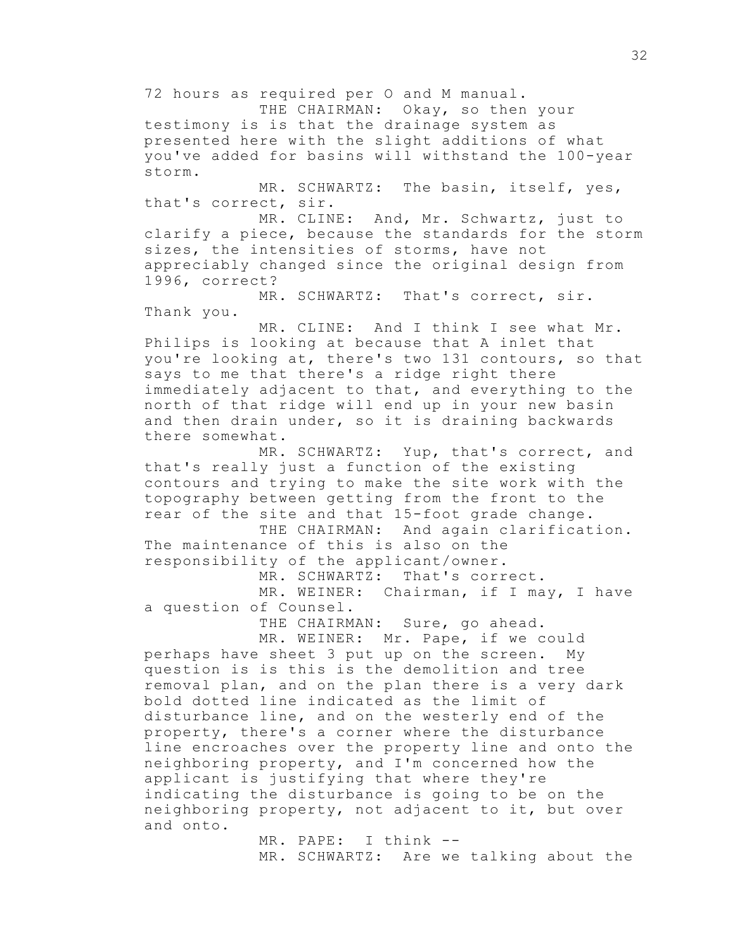72 hours as required per O and M manual. THE CHAIRMAN: Okay, so then your

testimony is is that the drainage system as presented here with the slight additions of what you've added for basins will withstand the 100-year storm.

MR. SCHWARTZ: The basin, itself, yes, that's correct, sir.

MR. CLINE: And, Mr. Schwartz, just to clarify a piece, because the standards for the storm sizes, the intensities of storms, have not appreciably changed since the original design from 1996, correct?

MR. SCHWARTZ: That's correct, sir. Thank you.

MR. CLINE: And I think I see what Mr. Philips is looking at because that A inlet that you're looking at, there's two 131 contours, so that says to me that there's a ridge right there immediately adjacent to that, and everything to the north of that ridge will end up in your new basin and then drain under, so it is draining backwards there somewhat.

MR. SCHWARTZ: Yup, that's correct, and that's really just a function of the existing contours and trying to make the site work with the topography between getting from the front to the rear of the site and that 15-foot grade change.

THE CHAIRMAN: And again clarification. The maintenance of this is also on the responsibility of the applicant/owner.

MR. SCHWARTZ: That's correct.

MR. WEINER: Chairman, if I may, I have a question of Counsel.

THE CHAIRMAN: Sure, go ahead.

MR. WEINER: Mr. Pape, if we could

perhaps have sheet 3 put up on the screen. My question is is this is the demolition and tree removal plan, and on the plan there is a very dark bold dotted line indicated as the limit of disturbance line, and on the westerly end of the property, there's a corner where the disturbance line encroaches over the property line and onto the neighboring property, and I'm concerned how the applicant is justifying that where they're indicating the disturbance is going to be on the neighboring property, not adjacent to it, but over and onto.

> MR. PAPE: I think -- MR. SCHWARTZ: Are we talking about the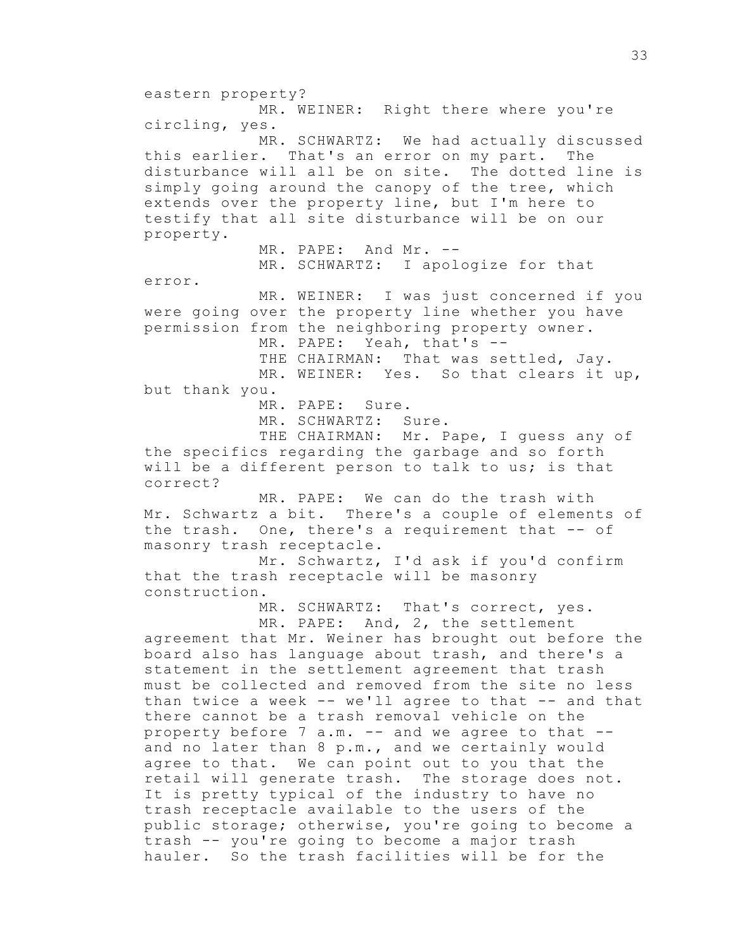eastern property? MR. WEINER: Right there where you're circling, yes. MR. SCHWARTZ: We had actually discussed this earlier. That's an error on my part. The disturbance will all be on site. The dotted line is simply going around the canopy of the tree, which extends over the property line, but I'm here to testify that all site disturbance will be on our property. MR. PAPE: And Mr. -- MR. SCHWARTZ: I apologize for that error. MR. WEINER: I was just concerned if you were going over the property line whether you have permission from the neighboring property owner. MR. PAPE: Yeah, that's -- THE CHAIRMAN: That was settled, Jay. MR. WEINER: Yes. So that clears it up, but thank you. MR. PAPE: Sure. MR. SCHWARTZ: Sure. THE CHAIRMAN: Mr. Pape, I quess any of the specifics regarding the garbage and so forth will be a different person to talk to us; is that correct? MR. PAPE: We can do the trash with Mr. Schwartz a bit. There's a couple of elements of the trash. One, there's a requirement that -- of masonry trash receptacle. Mr. Schwartz, I'd ask if you'd confirm that the trash receptacle will be masonry construction. MR. SCHWARTZ: That's correct, yes. MR. PAPE: And, 2, the settlement agreement that Mr. Weiner has brought out before the board also has language about trash, and there's a statement in the settlement agreement that trash must be collected and removed from the site no less than twice a week -- we'll agree to that -- and that there cannot be a trash removal vehicle on the property before 7 a.m. -- and we agree to that - and no later than 8 p.m., and we certainly would agree to that. We can point out to you that the retail will generate trash. The storage does not. It is pretty typical of the industry to have no trash receptacle available to the users of the public storage; otherwise, you're going to become a trash -- you're going to become a major trash hauler. So the trash facilities will be for the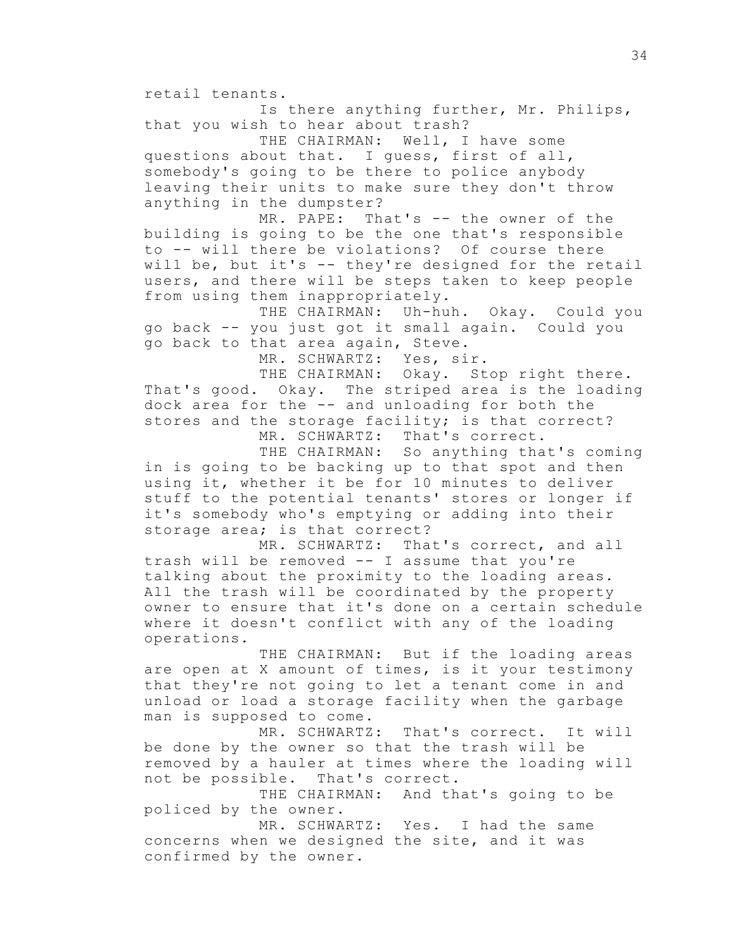retail tenants. Is there anything further, Mr. Philips, that you wish to hear about trash? THE CHAIRMAN: Well, I have some questions about that. I guess, first of all, somebody's going to be there to police anybody leaving their units to make sure they don't throw anything in the dumpster? MR. PAPE: That's -- the owner of the building is going to be the one that's responsible to -- will there be violations? Of course there will be, but it's -- they're designed for the retail users, and there will be steps taken to keep people from using them inappropriately. THE CHAIRMAN: Uh-huh. Okay. Could you go back -- you just got it small again. Could you go back to that area again, Steve. MR. SCHWARTZ: Yes, sir. THE CHAIRMAN: Okay. Stop right there. That's good. Okay. The striped area is the loading dock area for the -- and unloading for both the stores and the storage facility; is that correct? MR. SCHWARTZ: That's correct. THE CHAIRMAN: So anything that's coming in is going to be backing up to that spot and then using it, whether it be for 10 minutes to deliver stuff to the potential tenants' stores or longer if it's somebody who's emptying or adding into their storage area; is that correct? MR. SCHWARTZ: That's correct, and all trash will be removed -- I assume that you're talking about the proximity to the loading areas. All the trash will be coordinated by the property owner to ensure that it's done on a certain schedule where it doesn't conflict with any of the loading operations. THE CHAIRMAN: But if the loading areas are open at X amount of times, is it your testimony that they're not going to let a tenant come in and unload or load a storage facility when the garbage man is supposed to come. MR. SCHWARTZ: That's correct. It will be done by the owner so that the trash will be removed by a hauler at times where the loading will not be possible. That's correct. THE CHAIRMAN: And that's going to be policed by the owner. MR. SCHWARTZ: Yes. I had the same

concerns when we designed the site, and it was confirmed by the owner.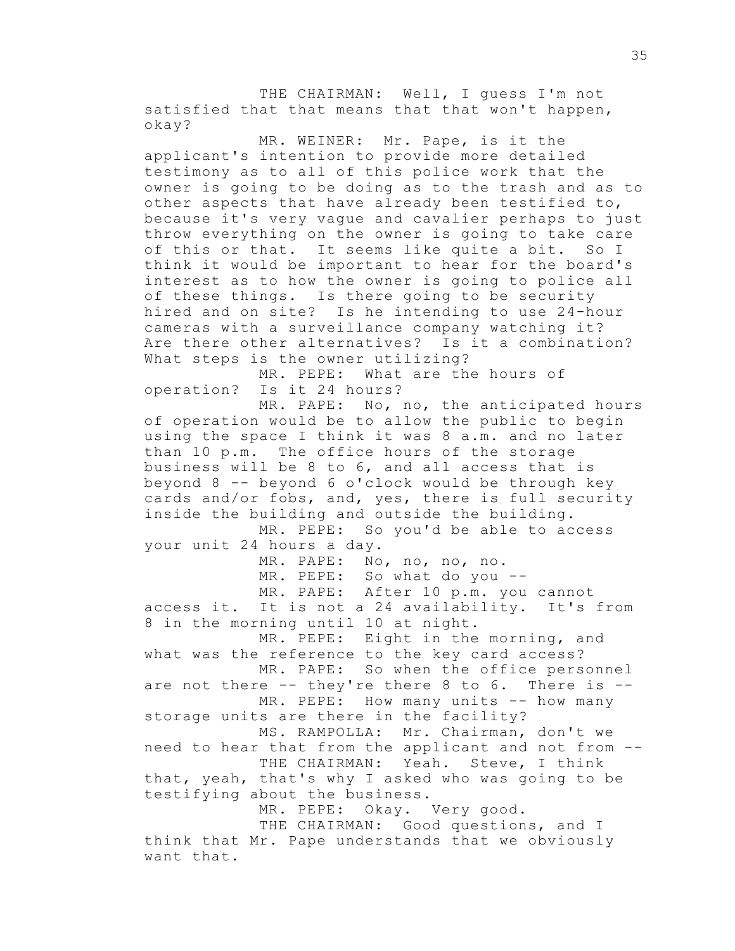THE CHAIRMAN: Well, I guess I'm not satisfied that that means that that won't happen, okay?

MR. WEINER: Mr. Pape, is it the applicant's intention to provide more detailed testimony as to all of this police work that the owner is going to be doing as to the trash and as to other aspects that have already been testified to, because it's very vague and cavalier perhaps to just throw everything on the owner is going to take care of this or that. It seems like quite a bit. So I think it would be important to hear for the board's interest as to how the owner is going to police all of these things. Is there going to be security hired and on site? Is he intending to use 24-hour cameras with a surveillance company watching it? Are there other alternatives? Is it a combination? What steps is the owner utilizing?

MR. PEPE: What are the hours of operation? Is it 24 hours?

MR. PAPE: No, no, the anticipated hours of operation would be to allow the public to begin using the space I think it was 8 a.m. and no later than 10 p.m. The office hours of the storage business will be 8 to 6, and all access that is beyond 8 -- beyond 6 o'clock would be through key cards and/or fobs, and, yes, there is full security inside the building and outside the building.

MR. PEPE: So you'd be able to access your unit 24 hours a day.

MR. PAPE: No, no, no, no. MR. PEPE: So what do you -- MR. PAPE: After 10 p.m. you cannot access it. It is not a 24 availability. It's from 8 in the morning until 10 at night. MR. PEPE: Eight in the morning, and what was the reference to the key card access? MR. PAPE: So when the office personnel are not there  $--$  they're there 8 to 6. There is  $--$ MR. PEPE: How many units -- how many storage units are there in the facility? MS. RAMPOLLA: Mr. Chairman, don't we need to hear that from the applicant and not from -- THE CHAIRMAN: Yeah. Steve, I think that, yeah, that's why I asked who was going to be testifying about the business. MR. PEPE: Okay. Very good. THE CHAIRMAN: Good questions, and I think that Mr. Pape understands that we obviously

want that.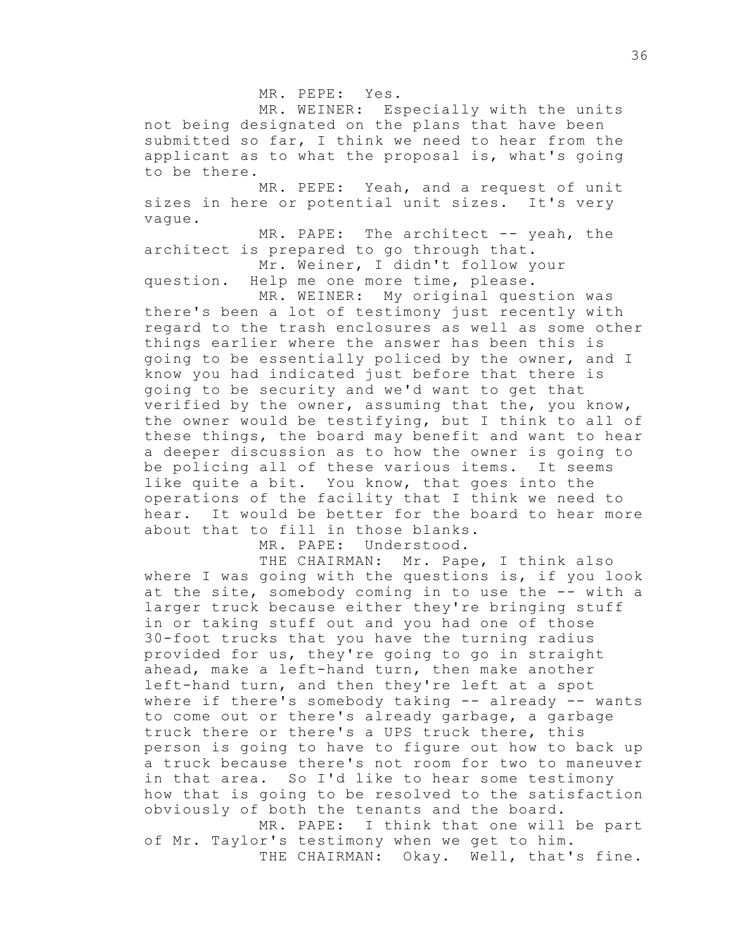MR. PEPE: Yes.

MR. WEINER: Especially with the units not being designated on the plans that have been submitted so far, I think we need to hear from the applicant as to what the proposal is, what's going to be there.

MR. PEPE: Yeah, and a request of unit sizes in here or potential unit sizes. It's very vague.

MR. PAPE: The architect -- yeah, the architect is prepared to go through that. Mr. Weiner, I didn't follow your

question. Help me one more time, please.

MR. WEINER: My original question was there's been a lot of testimony just recently with regard to the trash enclosures as well as some other things earlier where the answer has been this is going to be essentially policed by the owner, and I know you had indicated just before that there is going to be security and we'd want to get that verified by the owner, assuming that the, you know, the owner would be testifying, but I think to all of these things, the board may benefit and want to hear a deeper discussion as to how the owner is going to be policing all of these various items. It seems like quite a bit. You know, that goes into the operations of the facility that I think we need to hear. It would be better for the board to hear more about that to fill in those blanks.

MR. PAPE: Understood.

THE CHAIRMAN: Mr. Pape, I think also where I was going with the questions is, if you look at the site, somebody coming in to use the -- with a larger truck because either they're bringing stuff in or taking stuff out and you had one of those 30-foot trucks that you have the turning radius provided for us, they're going to go in straight ahead, make a left-hand turn, then make another left-hand turn, and then they're left at a spot where if there's somebody taking -- already -- wants to come out or there's already garbage, a garbage truck there or there's a UPS truck there, this person is going to have to figure out how to back up a truck because there's not room for two to maneuver in that area. So I'd like to hear some testimony how that is going to be resolved to the satisfaction obviously of both the tenants and the board. MR. PAPE: I think that one will be part

of Mr. Taylor's testimony when we get to him. THE CHAIRMAN: Okay. Well, that's fine.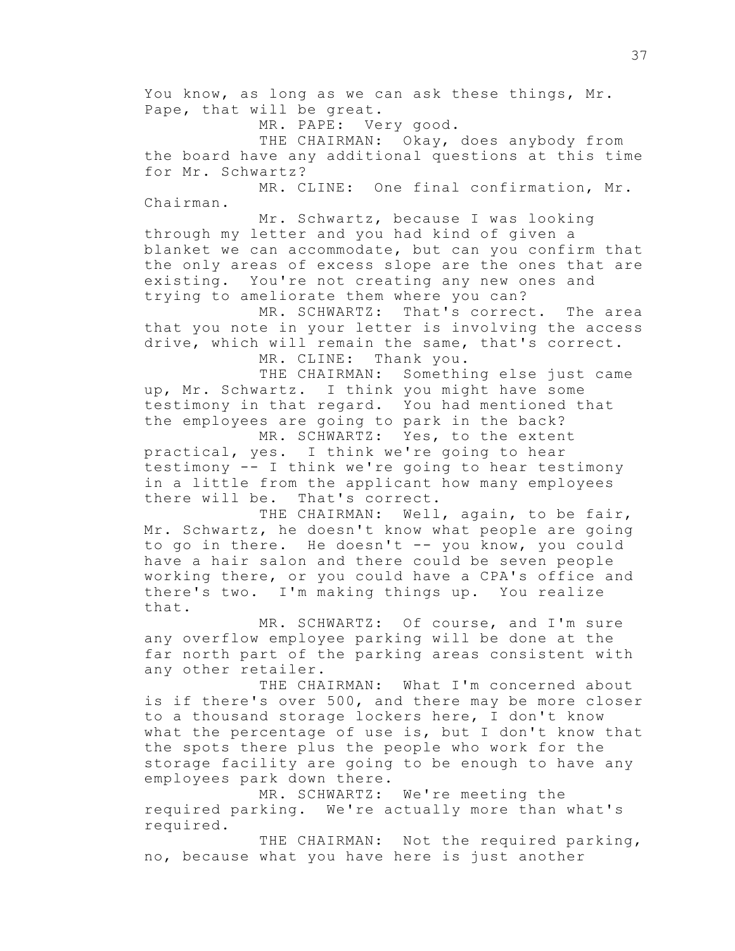You know, as long as we can ask these things, Mr. Pape, that will be great.

MR. PAPE: Very good.

THE CHAIRMAN: Okay, does anybody from the board have any additional questions at this time for Mr. Schwartz?

MR. CLINE: One final confirmation, Mr. Chairman.

Mr. Schwartz, because I was looking through my letter and you had kind of given a blanket we can accommodate, but can you confirm that the only areas of excess slope are the ones that are existing. You're not creating any new ones and trying to ameliorate them where you can?

MR. SCHWARTZ: That's correct. The area that you note in your letter is involving the access drive, which will remain the same, that's correct. MR. CLINE: Thank you.

THE CHAIRMAN: Something else just came up, Mr. Schwartz. I think you might have some testimony in that regard. You had mentioned that the employees are going to park in the back? MR. SCHWARTZ: Yes, to the extent

practical, yes. I think we're going to hear testimony -- I think we're going to hear testimony in a little from the applicant how many employees there will be. That's correct.

THE CHAIRMAN: Well, again, to be fair, Mr. Schwartz, he doesn't know what people are going to go in there. He doesn't -- you know, you could have a hair salon and there could be seven people working there, or you could have a CPA's office and there's two. I'm making things up. You realize that.

MR. SCHWARTZ: Of course, and I'm sure any overflow employee parking will be done at the far north part of the parking areas consistent with any other retailer.

THE CHAIRMAN: What I'm concerned about is if there's over 500, and there may be more closer to a thousand storage lockers here, I don't know what the percentage of use is, but I don't know that the spots there plus the people who work for the storage facility are going to be enough to have any employees park down there.

MR. SCHWARTZ: We're meeting the required parking. We're actually more than what's required.

THE CHAIRMAN: Not the required parking, no, because what you have here is just another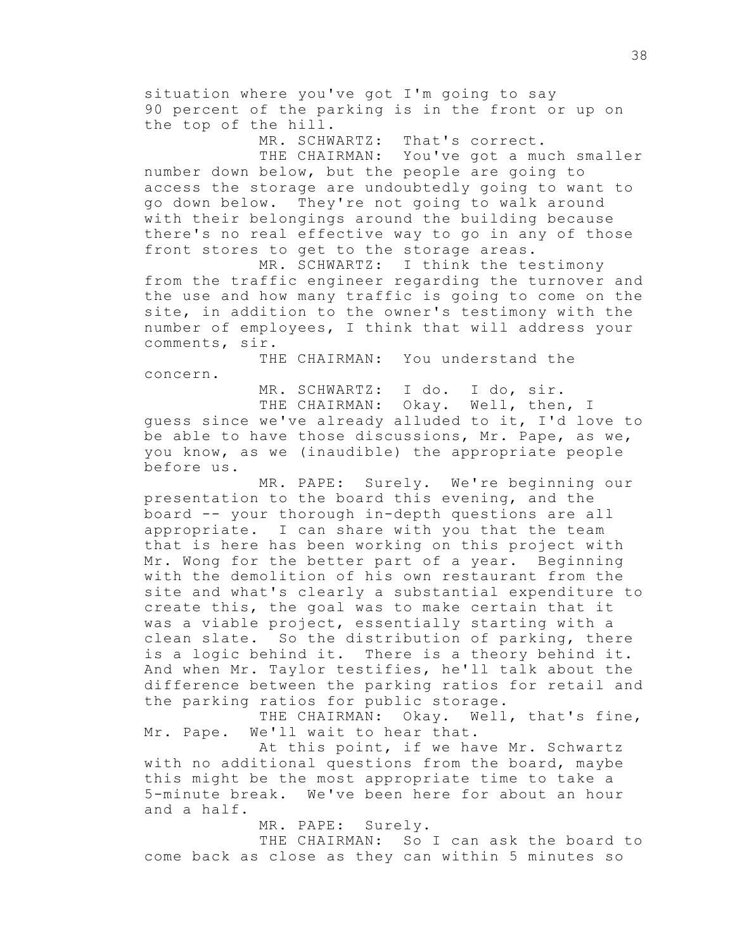situation where you've got I'm going to say 90 percent of the parking is in the front or up on the top of the hill.

MR. SCHWARTZ: That's correct.

THE CHAIRMAN: You've got a much smaller number down below, but the people are going to access the storage are undoubtedly going to want to go down below. They're not going to walk around with their belongings around the building because there's no real effective way to go in any of those front stores to get to the storage areas.

MR. SCHWARTZ: I think the testimony from the traffic engineer regarding the turnover and the use and how many traffic is going to come on the site, in addition to the owner's testimony with the number of employees, I think that will address your comments, sir.

THE CHAIRMAN: You understand the concern.

MR. SCHWARTZ: I do. I do, sir. THE CHAIRMAN: Okay. Well, then, I guess since we've already alluded to it, I'd love to be able to have those discussions, Mr. Pape, as we, you know, as we (inaudible) the appropriate people before us.

MR. PAPE: Surely. We're beginning our presentation to the board this evening, and the board -- your thorough in-depth questions are all appropriate. I can share with you that the team that is here has been working on this project with Mr. Wong for the better part of a year. Beginning with the demolition of his own restaurant from the site and what's clearly a substantial expenditure to create this, the goal was to make certain that it was a viable project, essentially starting with a clean slate. So the distribution of parking, there is a logic behind it. There is a theory behind it. And when Mr. Taylor testifies, he'll talk about the difference between the parking ratios for retail and the parking ratios for public storage.

THE CHAIRMAN: Okay. Well, that's fine, Mr. Pape. We'll wait to hear that.

At this point, if we have Mr. Schwartz with no additional questions from the board, maybe this might be the most appropriate time to take a 5-minute break. We've been here for about an hour and a half.

MR. PAPE: Surely.

THE CHAIRMAN: So I can ask the board to come back as close as they can within 5 minutes so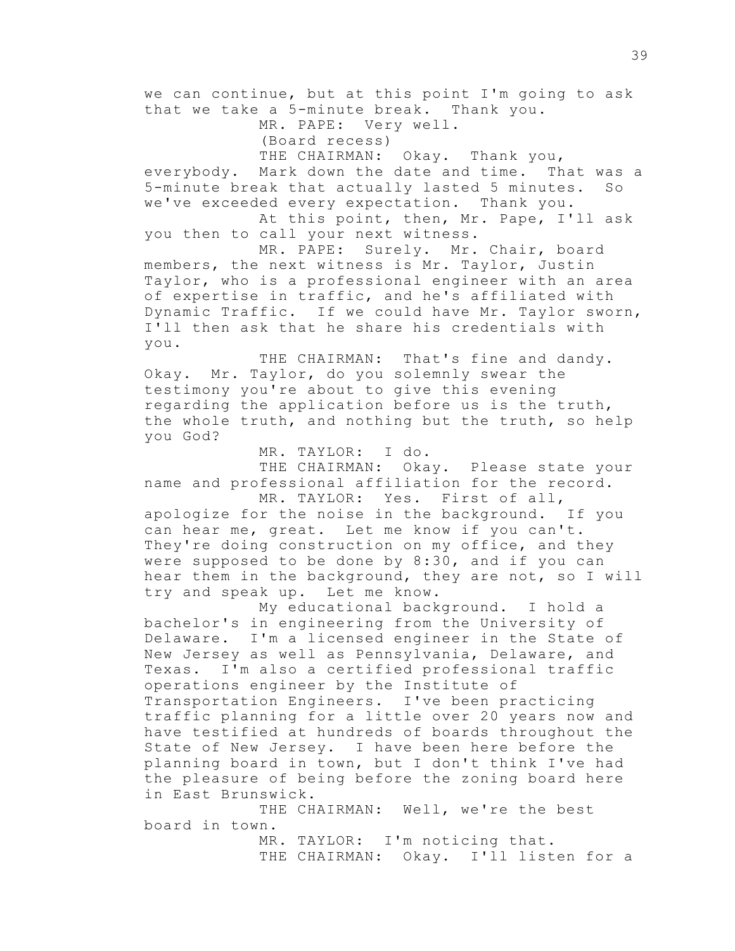we can continue, but at this point I'm going to ask that we take a 5-minute break. Thank you.

> MR. PAPE: Very well. (Board recess)

THE CHAIRMAN: Okay. Thank you,

everybody. Mark down the date and time. That was a 5-minute break that actually lasted 5 minutes. So we've exceeded every expectation. Thank you.

At this point, then, Mr. Pape, I'll ask you then to call your next witness.

MR. PAPE: Surely. Mr. Chair, board members, the next witness is Mr. Taylor, Justin Taylor, who is a professional engineer with an area of expertise in traffic, and he's affiliated with Dynamic Traffic. If we could have Mr. Taylor sworn, I'll then ask that he share his credentials with you.

THE CHAIRMAN: That's fine and dandy. Okay. Mr. Taylor, do you solemnly swear the testimony you're about to give this evening regarding the application before us is the truth, the whole truth, and nothing but the truth, so help you God?

MR. TAYLOR: I do.

THE CHAIRMAN: Okay. Please state your name and professional affiliation for the record. MR. TAYLOR: Yes. First of all,

apologize for the noise in the background. If you can hear me, great. Let me know if you can't. They're doing construction on my office, and they were supposed to be done by 8:30, and if you can hear them in the background, they are not, so I will try and speak up. Let me know.

My educational background. I hold a bachelor's in engineering from the University of Delaware. I'm a licensed engineer in the State of New Jersey as well as Pennsylvania, Delaware, and Texas. I'm also a certified professional traffic operations engineer by the Institute of Transportation Engineers. I've been practicing traffic planning for a little over 20 years now and have testified at hundreds of boards throughout the State of New Jersey. I have been here before the planning board in town, but I don't think I've had the pleasure of being before the zoning board here in East Brunswick.

THE CHAIRMAN: Well, we're the best board in town.

> MR. TAYLOR: I'm noticing that. THE CHAIRMAN: Okay. I'll listen for a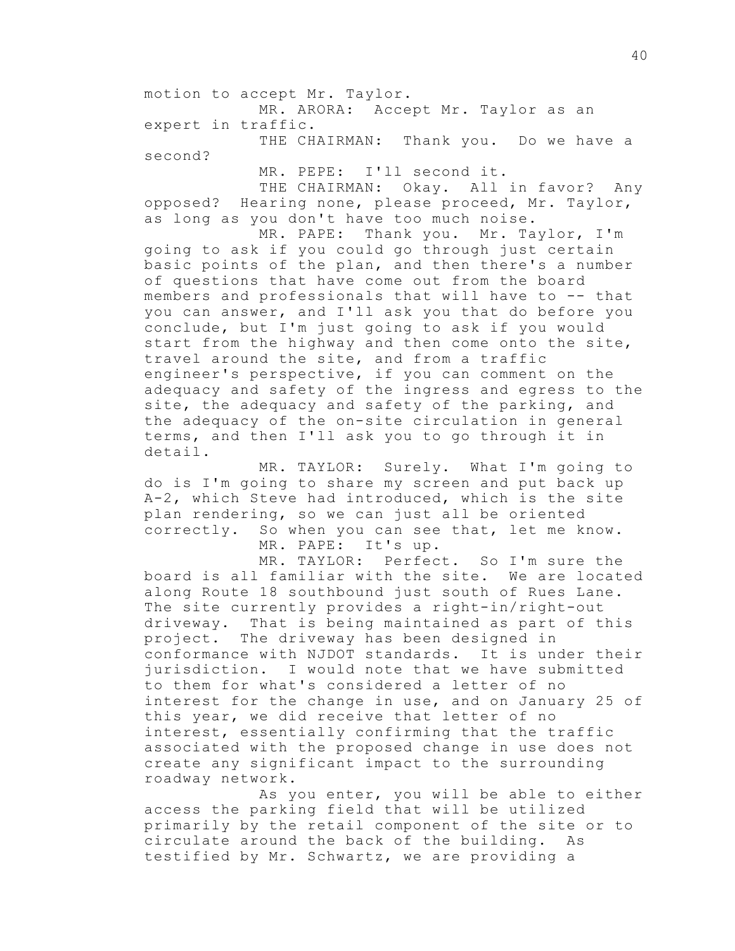motion to accept Mr. Taylor.

MR. ARORA: Accept Mr. Taylor as an expert in traffic.

THE CHAIRMAN: Thank you. Do we have a second?

MR. PEPE: I'll second it.

THE CHAIRMAN: Okay. All in favor? Any opposed? Hearing none, please proceed, Mr. Taylor, as long as you don't have too much noise.

MR. PAPE: Thank you. Mr. Taylor, I'm going to ask if you could go through just certain basic points of the plan, and then there's a number of questions that have come out from the board members and professionals that will have to -- that you can answer, and I'll ask you that do before you conclude, but I'm just going to ask if you would start from the highway and then come onto the site, travel around the site, and from a traffic engineer's perspective, if you can comment on the adequacy and safety of the ingress and egress to the site, the adequacy and safety of the parking, and the adequacy of the on-site circulation in general terms, and then I'll ask you to go through it in detail.

MR. TAYLOR: Surely. What I'm going to do is I'm going to share my screen and put back up A-2, which Steve had introduced, which is the site plan rendering, so we can just all be oriented correctly. So when you can see that, let me know. MR. PAPE: It's up.

MR. TAYLOR: Perfect. So I'm sure the board is all familiar with the site. We are located along Route 18 southbound just south of Rues Lane. The site currently provides a right-in/right-out driveway. That is being maintained as part of this project. The driveway has been designed in conformance with NJDOT standards. It is under their jurisdiction. I would note that we have submitted to them for what's considered a letter of no interest for the change in use, and on January 25 of this year, we did receive that letter of no interest, essentially confirming that the traffic associated with the proposed change in use does not create any significant impact to the surrounding roadway network.

As you enter, you will be able to either access the parking field that will be utilized primarily by the retail component of the site or to circulate around the back of the building. As testified by Mr. Schwartz, we are providing a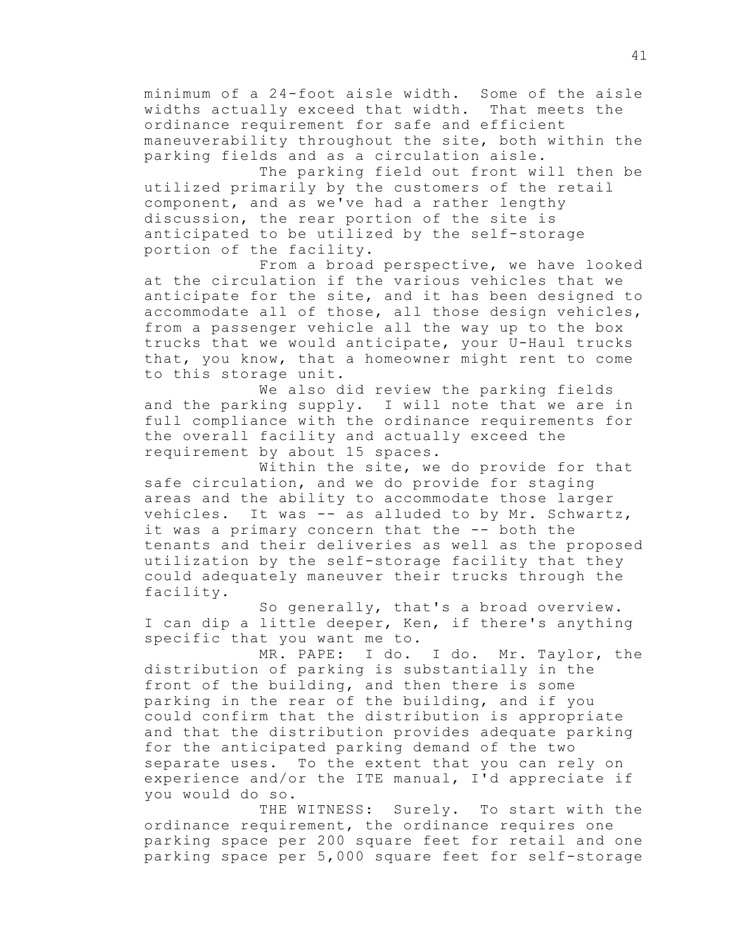minimum of a 24-foot aisle width. Some of the aisle widths actually exceed that width. That meets the ordinance requirement for safe and efficient maneuverability throughout the site, both within the parking fields and as a circulation aisle.

The parking field out front will then be utilized primarily by the customers of the retail component, and as we've had a rather lengthy discussion, the rear portion of the site is anticipated to be utilized by the self-storage portion of the facility.

From a broad perspective, we have looked at the circulation if the various vehicles that we anticipate for the site, and it has been designed to accommodate all of those, all those design vehicles, from a passenger vehicle all the way up to the box trucks that we would anticipate, your U-Haul trucks that, you know, that a homeowner might rent to come to this storage unit.

We also did review the parking fields and the parking supply. I will note that we are in full compliance with the ordinance requirements for the overall facility and actually exceed the requirement by about 15 spaces.

Within the site, we do provide for that safe circulation, and we do provide for staging areas and the ability to accommodate those larger vehicles. It was -- as alluded to by Mr. Schwartz, it was a primary concern that the -- both the tenants and their deliveries as well as the proposed utilization by the self-storage facility that they could adequately maneuver their trucks through the facility.

So generally, that's a broad overview. I can dip a little deeper, Ken, if there's anything specific that you want me to.

MR. PAPE: I do. I do. Mr. Taylor, the distribution of parking is substantially in the front of the building, and then there is some parking in the rear of the building, and if you could confirm that the distribution is appropriate and that the distribution provides adequate parking for the anticipated parking demand of the two separate uses. To the extent that you can rely on experience and/or the ITE manual, I'd appreciate if you would do so.

THE WITNESS: Surely. To start with the ordinance requirement, the ordinance requires one parking space per 200 square feet for retail and one parking space per 5,000 square feet for self-storage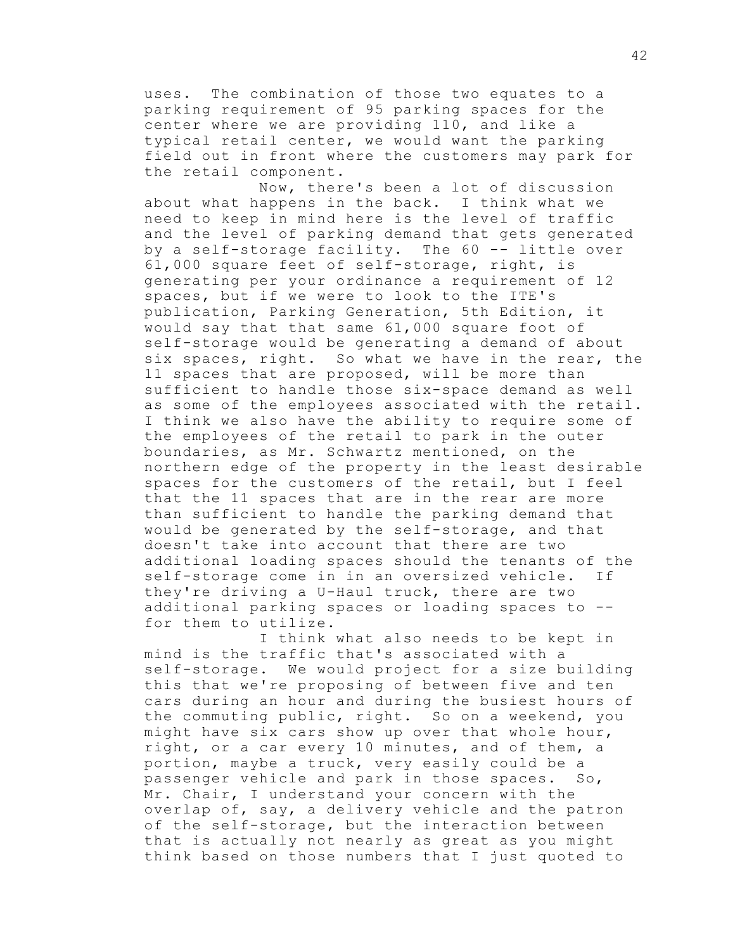uses. The combination of those two equates to a parking requirement of 95 parking spaces for the center where we are providing 110, and like a typical retail center, we would want the parking field out in front where the customers may park for the retail component.

Now, there's been a lot of discussion about what happens in the back. I think what we need to keep in mind here is the level of traffic and the level of parking demand that gets generated by a self-storage facility. The 60 -- little over 61,000 square feet of self-storage, right, is generating per your ordinance a requirement of 12 spaces, but if we were to look to the ITE's publication, Parking Generation, 5th Edition, it would say that that same 61,000 square foot of self-storage would be generating a demand of about six spaces, right. So what we have in the rear, the 11 spaces that are proposed, will be more than sufficient to handle those six-space demand as well as some of the employees associated with the retail. I think we also have the ability to require some of the employees of the retail to park in the outer boundaries, as Mr. Schwartz mentioned, on the northern edge of the property in the least desirable spaces for the customers of the retail, but I feel that the 11 spaces that are in the rear are more than sufficient to handle the parking demand that would be generated by the self-storage, and that doesn't take into account that there are two additional loading spaces should the tenants of the self-storage come in in an oversized vehicle. If they're driving a U-Haul truck, there are two additional parking spaces or loading spaces to - for them to utilize.

I think what also needs to be kept in mind is the traffic that's associated with a self-storage. We would project for a size building this that we're proposing of between five and ten cars during an hour and during the busiest hours of the commuting public, right. So on a weekend, you might have six cars show up over that whole hour, right, or a car every 10 minutes, and of them, a portion, maybe a truck, very easily could be a passenger vehicle and park in those spaces. So, Mr. Chair, I understand your concern with the overlap of, say, a delivery vehicle and the patron of the self-storage, but the interaction between that is actually not nearly as great as you might think based on those numbers that I just quoted to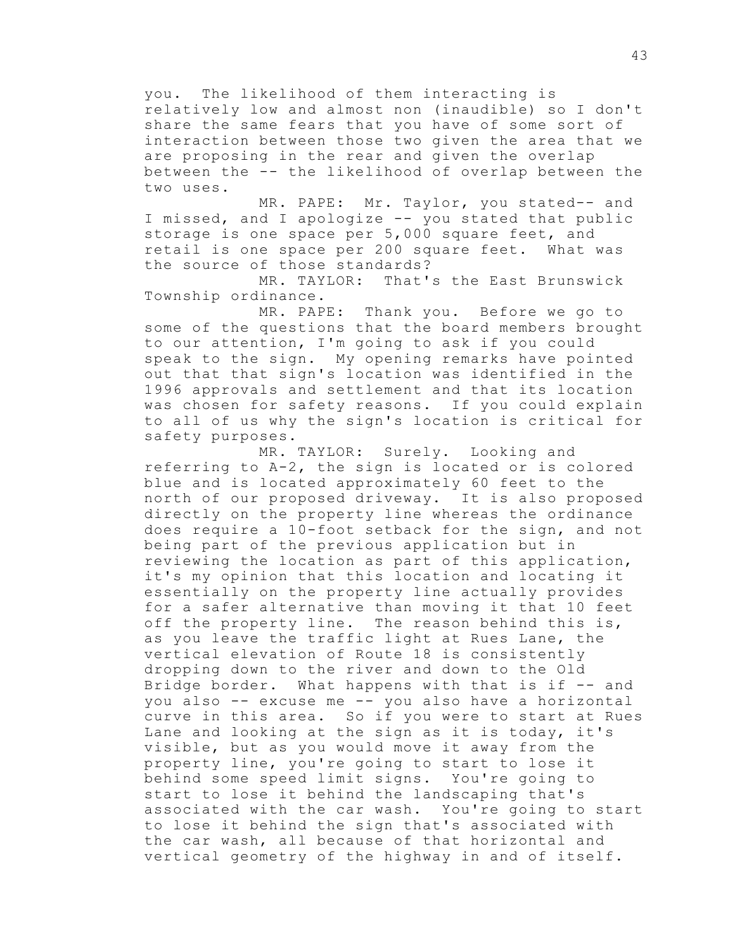you. The likelihood of them interacting is relatively low and almost non (inaudible) so I don't share the same fears that you have of some sort of interaction between those two given the area that we are proposing in the rear and given the overlap between the -- the likelihood of overlap between the two uses.

MR. PAPE: Mr. Taylor, you stated-- and I missed, and I apologize -- you stated that public storage is one space per 5,000 square feet, and retail is one space per 200 square feet. What was the source of those standards?

MR. TAYLOR: That's the East Brunswick Township ordinance.

MR. PAPE: Thank you. Before we go to some of the questions that the board members brought to our attention, I'm going to ask if you could speak to the sign. My opening remarks have pointed out that that sign's location was identified in the 1996 approvals and settlement and that its location was chosen for safety reasons. If you could explain to all of us why the sign's location is critical for safety purposes.

MR. TAYLOR: Surely. Looking and referring to A-2, the sign is located or is colored blue and is located approximately 60 feet to the north of our proposed driveway. It is also proposed directly on the property line whereas the ordinance does require a 10-foot setback for the sign, and not being part of the previous application but in reviewing the location as part of this application, it's my opinion that this location and locating it essentially on the property line actually provides for a safer alternative than moving it that 10 feet off the property line. The reason behind this is, as you leave the traffic light at Rues Lane, the vertical elevation of Route 18 is consistently dropping down to the river and down to the Old Bridge border. What happens with that is if -- and you also -- excuse me -- you also have a horizontal curve in this area. So if you were to start at Rues Lane and looking at the sign as it is today, it's visible, but as you would move it away from the property line, you're going to start to lose it behind some speed limit signs. You're going to start to lose it behind the landscaping that's associated with the car wash. You're going to start to lose it behind the sign that's associated with the car wash, all because of that horizontal and vertical geometry of the highway in and of itself.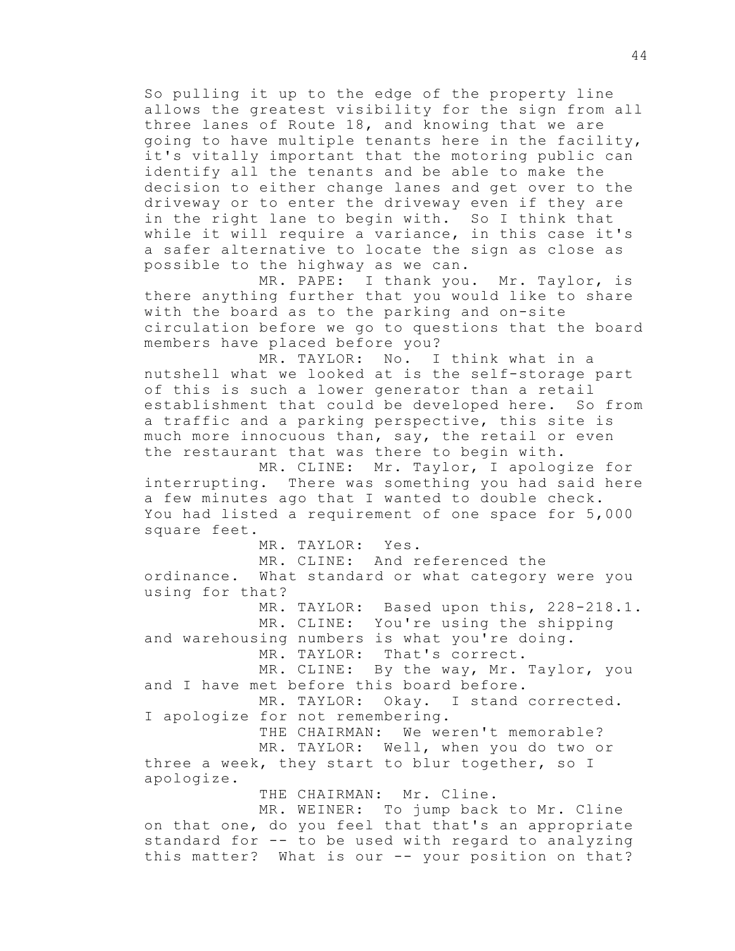So pulling it up to the edge of the property line allows the greatest visibility for the sign from all three lanes of Route 18, and knowing that we are going to have multiple tenants here in the facility, it's vitally important that the motoring public can identify all the tenants and be able to make the decision to either change lanes and get over to the driveway or to enter the driveway even if they are in the right lane to begin with. So I think that while it will require a variance, in this case it's a safer alternative to locate the sign as close as possible to the highway as we can.

MR. PAPE: I thank you. Mr. Taylor, is there anything further that you would like to share with the board as to the parking and on-site circulation before we go to questions that the board members have placed before you?

MR. TAYLOR: No. I think what in a nutshell what we looked at is the self-storage part of this is such a lower generator than a retail establishment that could be developed here. So from a traffic and a parking perspective, this site is much more innocuous than, say, the retail or even the restaurant that was there to begin with.

MR. CLINE: Mr. Taylor, I apologize for interrupting. There was something you had said here a few minutes ago that I wanted to double check. You had listed a requirement of one space for 5,000 square feet.

MR. TAYLOR: Yes.

MR. CLINE: And referenced the

ordinance. What standard or what category were you using for that?

MR. TAYLOR: Based upon this, 228-218.1. MR. CLINE: You're using the shipping and warehousing numbers is what you're doing. MR. TAYLOR: That's correct.

MR. CLINE: By the way, Mr. Taylor, you and I have met before this board before.

MR. TAYLOR: Okay. I stand corrected. I apologize for not remembering.

THE CHAIRMAN: We weren't memorable? MR. TAYLOR: Well, when you do two or three a week, they start to blur together, so I apologize.

THE CHAIRMAN: Mr. Cline.

MR. WEINER: To jump back to Mr. Cline on that one, do you feel that that's an appropriate standard for -- to be used with regard to analyzing this matter? What is our -- your position on that?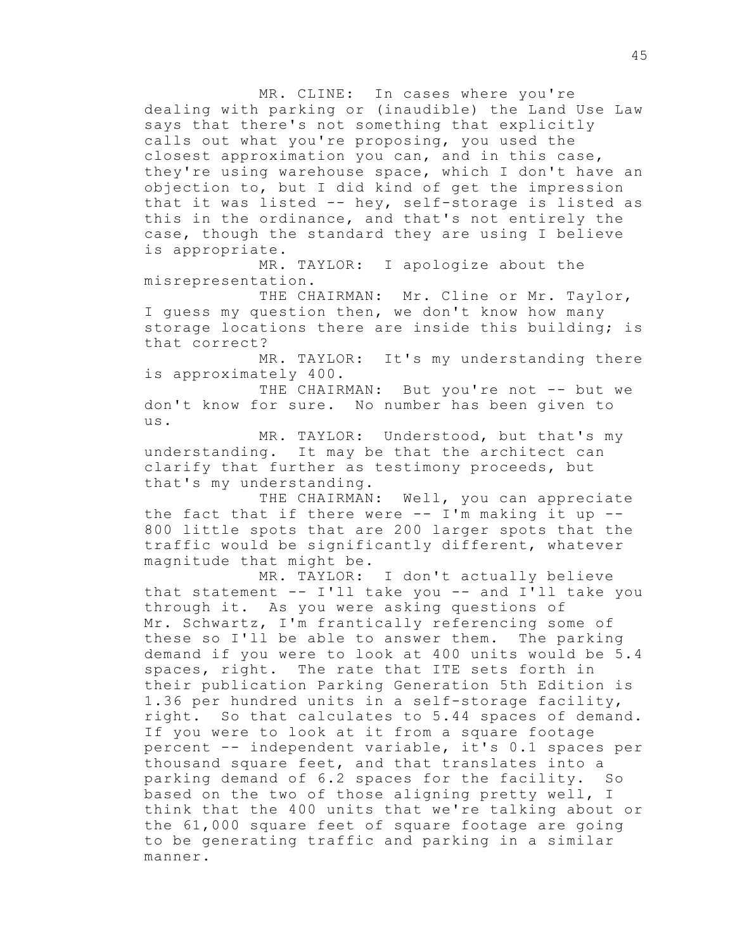MR. CLINE: In cases where you're dealing with parking or (inaudible) the Land Use Law says that there's not something that explicitly calls out what you're proposing, you used the closest approximation you can, and in this case, they're using warehouse space, which I don't have an objection to, but I did kind of get the impression that it was listed -- hey, self-storage is listed as this in the ordinance, and that's not entirely the case, though the standard they are using I believe is appropriate.

MR. TAYLOR: I apologize about the misrepresentation.

THE CHAIRMAN: Mr. Cline or Mr. Taylor, I guess my question then, we don't know how many storage locations there are inside this building; is that correct?

MR. TAYLOR: It's my understanding there is approximately 400.

THE CHAIRMAN: But you're not -- but we don't know for sure. No number has been given to us.

MR. TAYLOR: Understood, but that's my understanding. It may be that the architect can clarify that further as testimony proceeds, but that's my understanding.

THE CHAIRMAN: Well, you can appreciate the fact that if there were  $--$  I'm making it up  $--$ 800 little spots that are 200 larger spots that the traffic would be significantly different, whatever magnitude that might be.

MR. TAYLOR: I don't actually believe that statement -- I'll take you -- and I'll take you through it. As you were asking questions of Mr. Schwartz, I'm frantically referencing some of these so I'll be able to answer them. The parking demand if you were to look at 400 units would be 5.4 spaces, right. The rate that ITE sets forth in their publication Parking Generation 5th Edition is 1.36 per hundred units in a self-storage facility, right. So that calculates to 5.44 spaces of demand. If you were to look at it from a square footage percent -- independent variable, it's 0.1 spaces per thousand square feet, and that translates into a parking demand of 6.2 spaces for the facility. So based on the two of those aligning pretty well, I think that the 400 units that we're talking about or the 61,000 square feet of square footage are going to be generating traffic and parking in a similar manner.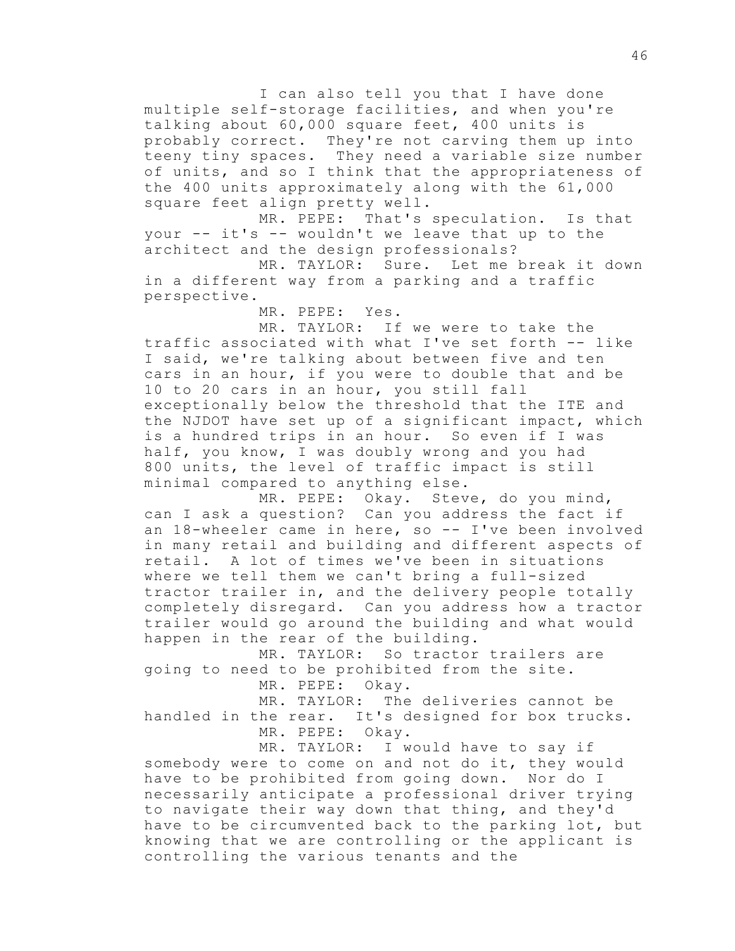I can also tell you that I have done multiple self-storage facilities, and when you're talking about 60,000 square feet, 400 units is probably correct. They're not carving them up into teeny tiny spaces. They need a variable size number of units, and so I think that the appropriateness of the 400 units approximately along with the 61,000 square feet align pretty well.

MR. PEPE: That's speculation. Is that your -- it's -- wouldn't we leave that up to the architect and the design professionals?

MR. TAYLOR: Sure. Let me break it down in a different way from a parking and a traffic perspective.

MR. PEPE: Yes.

MR. TAYLOR: If we were to take the traffic associated with what I've set forth -- like I said, we're talking about between five and ten cars in an hour, if you were to double that and be 10 to 20 cars in an hour, you still fall exceptionally below the threshold that the ITE and the NJDOT have set up of a significant impact, which is a hundred trips in an hour. So even if I was half, you know, I was doubly wrong and you had 800 units, the level of traffic impact is still minimal compared to anything else.

MR. PEPE: Okay. Steve, do you mind, can I ask a question? Can you address the fact if an 18-wheeler came in here, so -- I've been involved in many retail and building and different aspects of retail. A lot of times we've been in situations where we tell them we can't bring a full-sized tractor trailer in, and the delivery people totally completely disregard. Can you address how a tractor trailer would go around the building and what would happen in the rear of the building.

MR. TAYLOR: So tractor trailers are going to need to be prohibited from the site.

MR. PEPE: Okay.

MR. TAYLOR: The deliveries cannot be handled in the rear. It's designed for box trucks. MR. PEPE: Okay.

MR. TAYLOR: I would have to say if somebody were to come on and not do it, they would have to be prohibited from going down. Nor do I necessarily anticipate a professional driver trying to navigate their way down that thing, and they'd have to be circumvented back to the parking lot, but knowing that we are controlling or the applicant is controlling the various tenants and the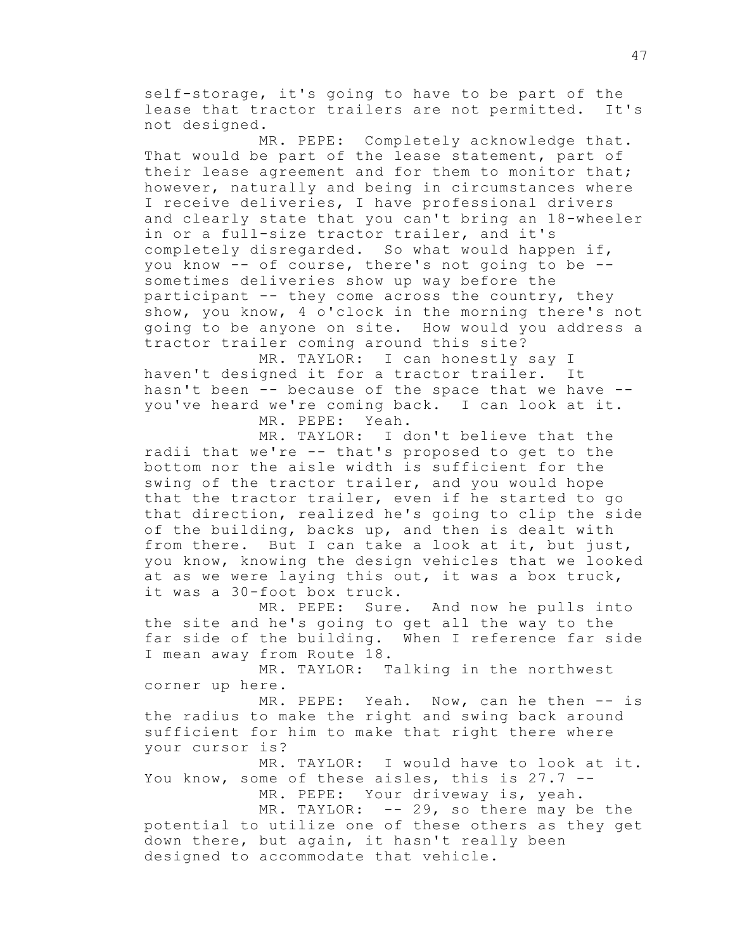self-storage, it's going to have to be part of the lease that tractor trailers are not permitted. It's not designed.

MR. PEPE: Completely acknowledge that. That would be part of the lease statement, part of their lease agreement and for them to monitor that; however, naturally and being in circumstances where I receive deliveries, I have professional drivers and clearly state that you can't bring an 18-wheeler in or a full-size tractor trailer, and it's completely disregarded. So what would happen if, you know -- of course, there's not going to be - sometimes deliveries show up way before the participant -- they come across the country, they show, you know, 4 o'clock in the morning there's not going to be anyone on site. How would you address a tractor trailer coming around this site?

MR. TAYLOR: I can honestly say I haven't designed it for a tractor trailer. It hasn't been -- because of the space that we have - you've heard we're coming back. I can look at it. MR. PEPE: Yeah.

MR. TAYLOR: I don't believe that the radii that we're -- that's proposed to get to the bottom nor the aisle width is sufficient for the swing of the tractor trailer, and you would hope that the tractor trailer, even if he started to go that direction, realized he's going to clip the side of the building, backs up, and then is dealt with from there. But I can take a look at it, but just, you know, knowing the design vehicles that we looked at as we were laying this out, it was a box truck, it was a 30-foot box truck.

MR. PEPE: Sure. And now he pulls into the site and he's going to get all the way to the far side of the building. When I reference far side I mean away from Route 18.

MR. TAYLOR: Talking in the northwest corner up here.

MR. PEPE: Yeah. Now, can he then -- is the radius to make the right and swing back around sufficient for him to make that right there where your cursor is?

MR. TAYLOR: I would have to look at it. You know, some of these aisles, this is 27.7 --

MR. PEPE: Your driveway is, yeah.

MR. TAYLOR: -- 29, so there may be the potential to utilize one of these others as they get down there, but again, it hasn't really been designed to accommodate that vehicle.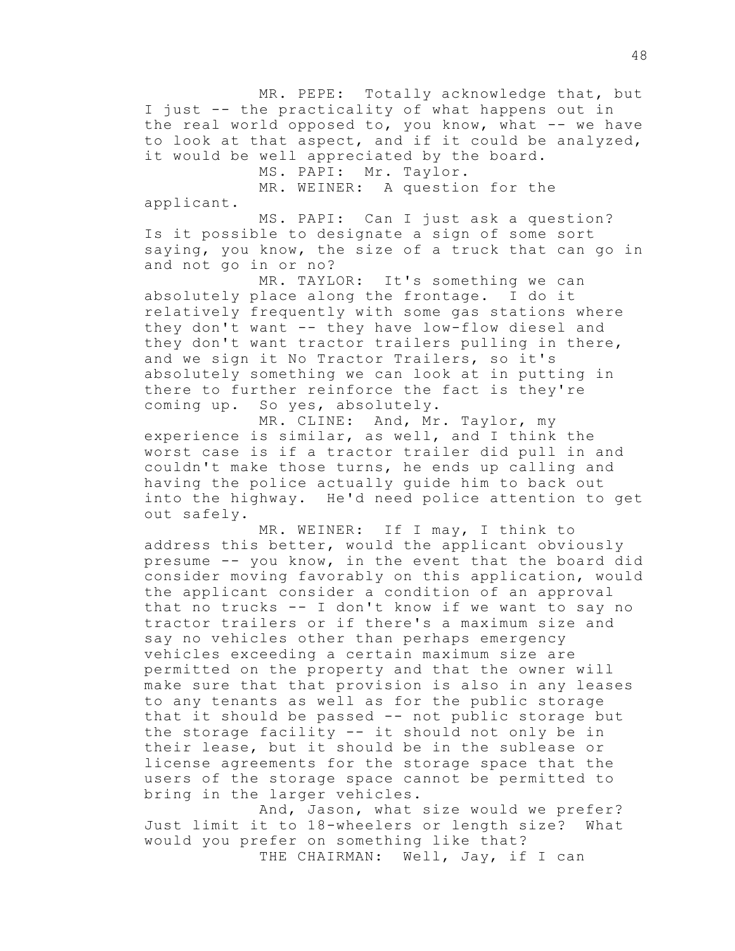MR. PEPE: Totally acknowledge that, but I just -- the practicality of what happens out in the real world opposed to, you know, what -- we have to look at that aspect, and if it could be analyzed, it would be well appreciated by the board.

MS. PAPI: Mr. Taylor.

MR. WEINER: A question for the applicant.

MS. PAPI: Can I just ask a question? Is it possible to designate a sign of some sort saying, you know, the size of a truck that can go in and not go in or no?

MR. TAYLOR: It's something we can absolutely place along the frontage. I do it relatively frequently with some gas stations where they don't want -- they have low-flow diesel and they don't want tractor trailers pulling in there, and we sign it No Tractor Trailers, so it's absolutely something we can look at in putting in there to further reinforce the fact is they're coming up. So yes, absolutely.

MR. CLINE: And, Mr. Taylor, my experience is similar, as well, and I think the worst case is if a tractor trailer did pull in and couldn't make those turns, he ends up calling and having the police actually guide him to back out into the highway. He'd need police attention to get out safely.

MR. WEINER: If I may, I think to address this better, would the applicant obviously presume -- you know, in the event that the board did consider moving favorably on this application, would the applicant consider a condition of an approval that no trucks -- I don't know if we want to say no tractor trailers or if there's a maximum size and say no vehicles other than perhaps emergency vehicles exceeding a certain maximum size are permitted on the property and that the owner will make sure that that provision is also in any leases to any tenants as well as for the public storage that it should be passed -- not public storage but the storage facility -- it should not only be in their lease, but it should be in the sublease or license agreements for the storage space that the users of the storage space cannot be permitted to bring in the larger vehicles.

And, Jason, what size would we prefer? Just limit it to 18-wheelers or length size? What would you prefer on something like that? THE CHAIRMAN: Well, Jay, if I can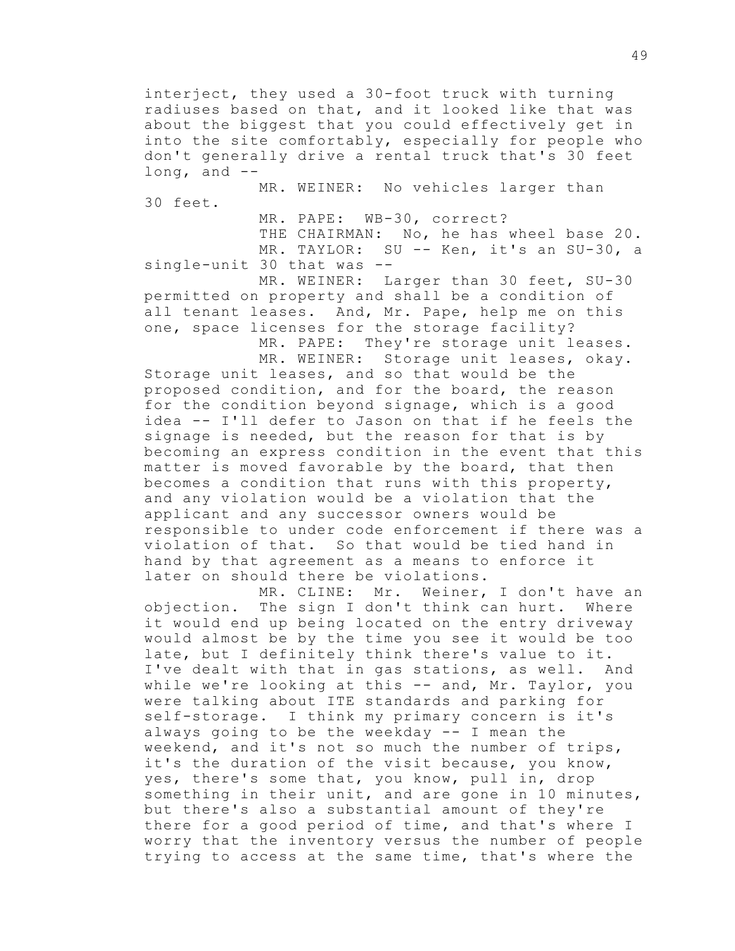interject, they used a 30-foot truck with turning radiuses based on that, and it looked like that was about the biggest that you could effectively get in into the site comfortably, especially for people who don't generally drive a rental truck that's 30 feet long, and  $--$ 

MR. WEINER: No vehicles larger than 30 feet.

MR. PAPE: WB-30, correct? THE CHAIRMAN: No, he has wheel base 20. MR. TAYLOR: SU -- Ken, it's an SU-30, a single-unit 30 that was --

MR. WEINER: Larger than 30 feet, SU-30 permitted on property and shall be a condition of all tenant leases. And, Mr. Pape, help me on this one, space licenses for the storage facility?

MR. PAPE: They're storage unit leases.

MR. WEINER: Storage unit leases, okay. Storage unit leases, and so that would be the proposed condition, and for the board, the reason for the condition beyond signage, which is a good idea -- I'll defer to Jason on that if he feels the signage is needed, but the reason for that is by becoming an express condition in the event that this matter is moved favorable by the board, that then becomes a condition that runs with this property, and any violation would be a violation that the applicant and any successor owners would be responsible to under code enforcement if there was a violation of that. So that would be tied hand in hand by that agreement as a means to enforce it later on should there be violations.

MR. CLINE: Mr. Weiner, I don't have an objection. The sign I don't think can hurt. Where it would end up being located on the entry driveway would almost be by the time you see it would be too late, but I definitely think there's value to it. I've dealt with that in gas stations, as well. And while we're looking at this -- and, Mr. Taylor, you were talking about ITE standards and parking for self-storage. I think my primary concern is it's always going to be the weekday -- I mean the weekend, and it's not so much the number of trips, it's the duration of the visit because, you know, yes, there's some that, you know, pull in, drop something in their unit, and are gone in 10 minutes, but there's also a substantial amount of they're there for a good period of time, and that's where I worry that the inventory versus the number of people trying to access at the same time, that's where the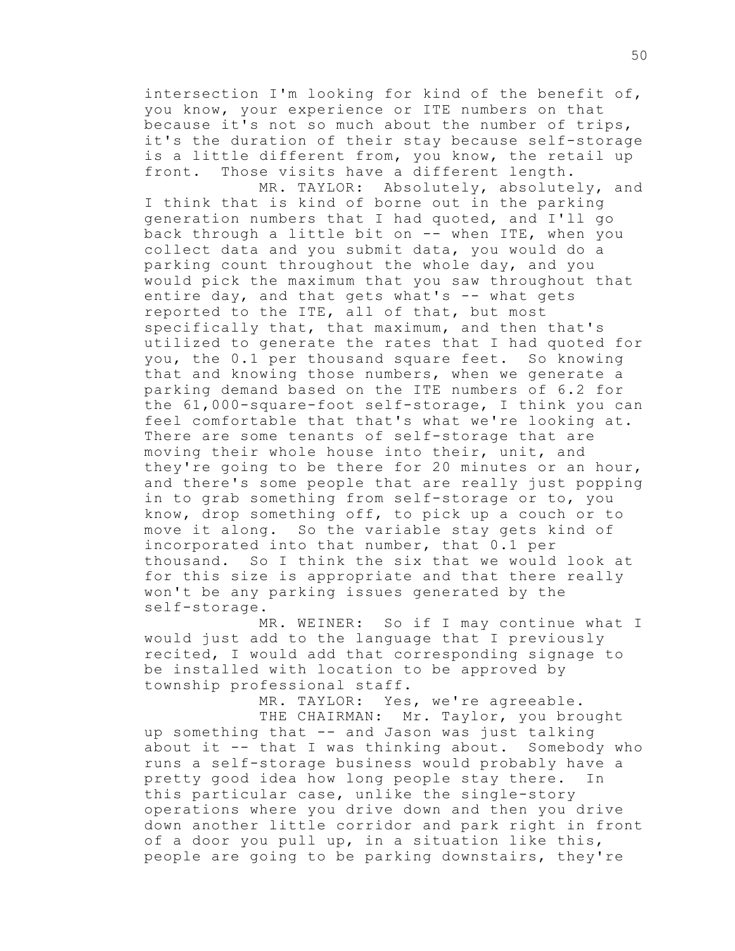intersection I'm looking for kind of the benefit of, you know, your experience or ITE numbers on that because it's not so much about the number of trips, it's the duration of their stay because self-storage is a little different from, you know, the retail up front. Those visits have a different length.

MR. TAYLOR: Absolutely, absolutely, and I think that is kind of borne out in the parking generation numbers that I had quoted, and I'll go back through a little bit on -- when ITE, when you collect data and you submit data, you would do a parking count throughout the whole day, and you would pick the maximum that you saw throughout that entire day, and that gets what's -- what gets reported to the ITE, all of that, but most specifically that, that maximum, and then that's utilized to generate the rates that I had quoted for you, the 0.1 per thousand square feet. So knowing that and knowing those numbers, when we generate a parking demand based on the ITE numbers of 6.2 for the 61,000-square-foot self-storage, I think you can feel comfortable that that's what we're looking at. There are some tenants of self-storage that are moving their whole house into their, unit, and they're going to be there for 20 minutes or an hour, and there's some people that are really just popping in to grab something from self-storage or to, you know, drop something off, to pick up a couch or to move it along. So the variable stay gets kind of incorporated into that number, that 0.1 per thousand. So I think the six that we would look at for this size is appropriate and that there really won't be any parking issues generated by the self-storage.

MR. WEINER: So if I may continue what I would just add to the language that I previously recited, I would add that corresponding signage to be installed with location to be approved by township professional staff.

MR. TAYLOR: Yes, we're agreeable. THE CHAIRMAN: Mr. Taylor, you brought up something that -- and Jason was just talking about it -- that I was thinking about. Somebody who runs a self-storage business would probably have a pretty good idea how long people stay there. In this particular case, unlike the single-story operations where you drive down and then you drive down another little corridor and park right in front of a door you pull up, in a situation like this, people are going to be parking downstairs, they're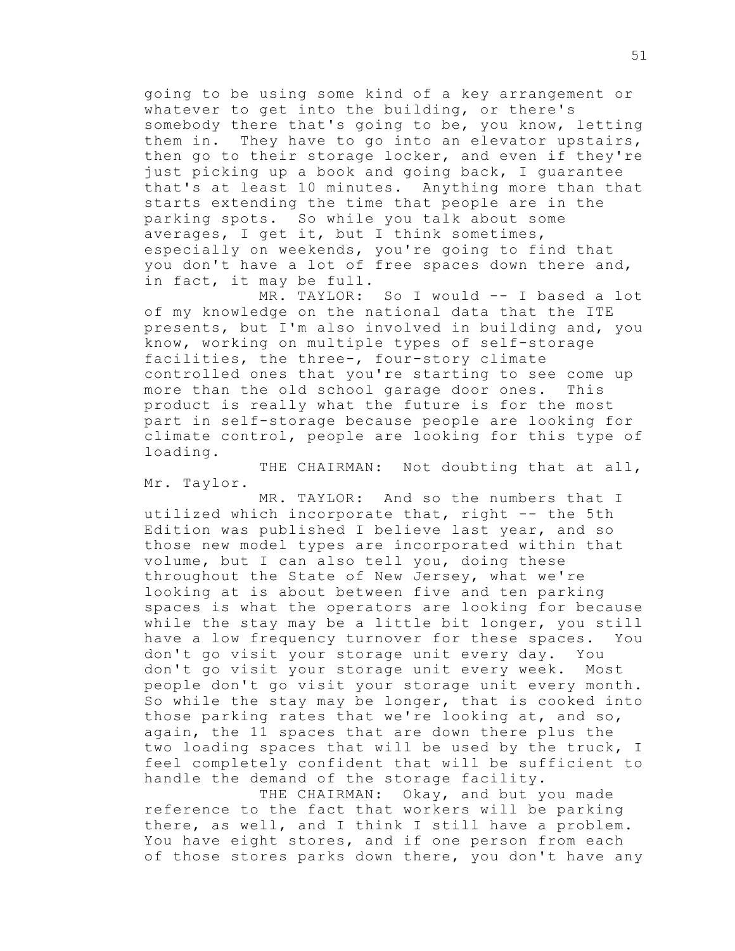going to be using some kind of a key arrangement or whatever to get into the building, or there's somebody there that's going to be, you know, letting them in. They have to go into an elevator upstairs, then go to their storage locker, and even if they're just picking up a book and going back, I guarantee that's at least 10 minutes. Anything more than that starts extending the time that people are in the parking spots. So while you talk about some averages, I get it, but I think sometimes, especially on weekends, you're going to find that you don't have a lot of free spaces down there and, in fact, it may be full.

MR. TAYLOR: So I would -- I based a lot of my knowledge on the national data that the ITE presents, but I'm also involved in building and, you know, working on multiple types of self-storage facilities, the three-, four-story climate controlled ones that you're starting to see come up more than the old school garage door ones. This product is really what the future is for the most part in self-storage because people are looking for climate control, people are looking for this type of loading.

THE CHAIRMAN: Not doubting that at all, Mr. Taylor.

MR. TAYLOR: And so the numbers that I utilized which incorporate that, right -- the 5th Edition was published I believe last year, and so those new model types are incorporated within that volume, but I can also tell you, doing these throughout the State of New Jersey, what we're looking at is about between five and ten parking spaces is what the operators are looking for because while the stay may be a little bit longer, you still have a low frequency turnover for these spaces. You don't go visit your storage unit every day. You don't go visit your storage unit every week. Most people don't go visit your storage unit every month. So while the stay may be longer, that is cooked into those parking rates that we're looking at, and so, again, the 11 spaces that are down there plus the two loading spaces that will be used by the truck, I feel completely confident that will be sufficient to handle the demand of the storage facility.

THE CHAIRMAN: Okay, and but you made reference to the fact that workers will be parking there, as well, and I think I still have a problem. You have eight stores, and if one person from each of those stores parks down there, you don't have any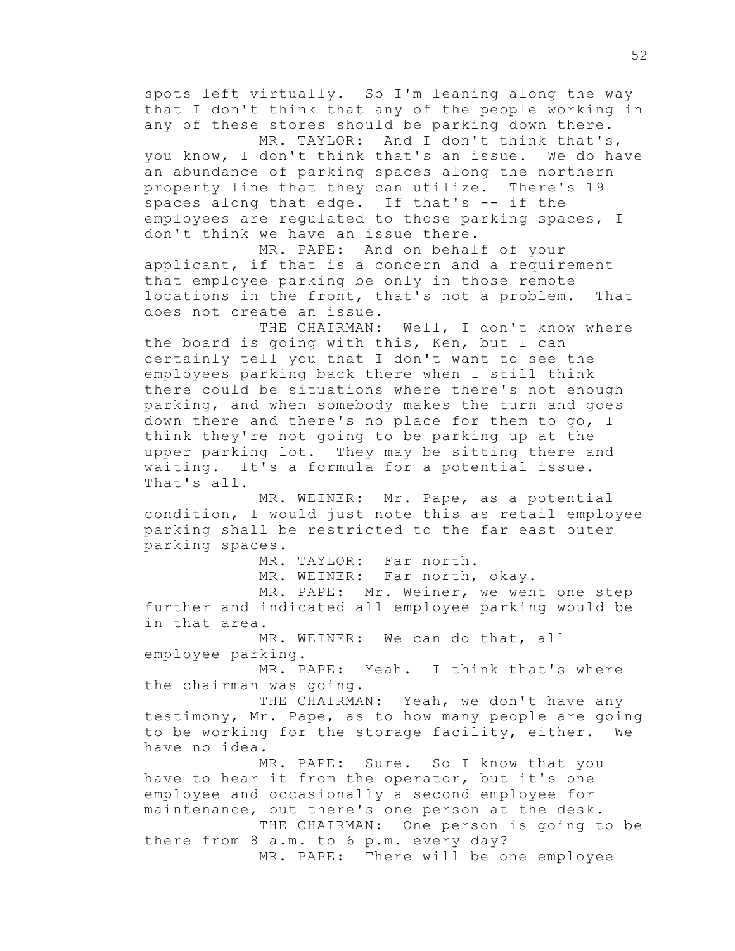spots left virtually. So I'm leaning along the way that I don't think that any of the people working in any of these stores should be parking down there.

MR. TAYLOR: And I don't think that's, you know, I don't think that's an issue. We do have an abundance of parking spaces along the northern property line that they can utilize. There's 19 spaces along that edge. If that's -- if the employees are regulated to those parking spaces, I don't think we have an issue there.

MR. PAPE: And on behalf of your applicant, if that is a concern and a requirement that employee parking be only in those remote locations in the front, that's not a problem. That does not create an issue.

THE CHAIRMAN: Well, I don't know where the board is going with this, Ken, but I can certainly tell you that I don't want to see the employees parking back there when I still think there could be situations where there's not enough parking, and when somebody makes the turn and goes down there and there's no place for them to go, I think they're not going to be parking up at the upper parking lot. They may be sitting there and waiting. It's a formula for a potential issue. That's all.

MR. WEINER: Mr. Pape, as a potential condition, I would just note this as retail employee parking shall be restricted to the far east outer parking spaces.

MR. TAYLOR: Far north.

MR. WEINER: Far north, okay.

MR. PAPE: Mr. Weiner, we went one step further and indicated all employee parking would be in that area.

MR. WEINER: We can do that, all employee parking.

MR. PAPE: Yeah. I think that's where the chairman was going.

THE CHAIRMAN: Yeah, we don't have any testimony, Mr. Pape, as to how many people are going to be working for the storage facility, either. We have no idea.

MR. PAPE: Sure. So I know that you have to hear it from the operator, but it's one employee and occasionally a second employee for maintenance, but there's one person at the desk. THE CHAIRMAN: One person is going to be there from 8 a.m. to 6 p.m. every day? MR. PAPE: There will be one employee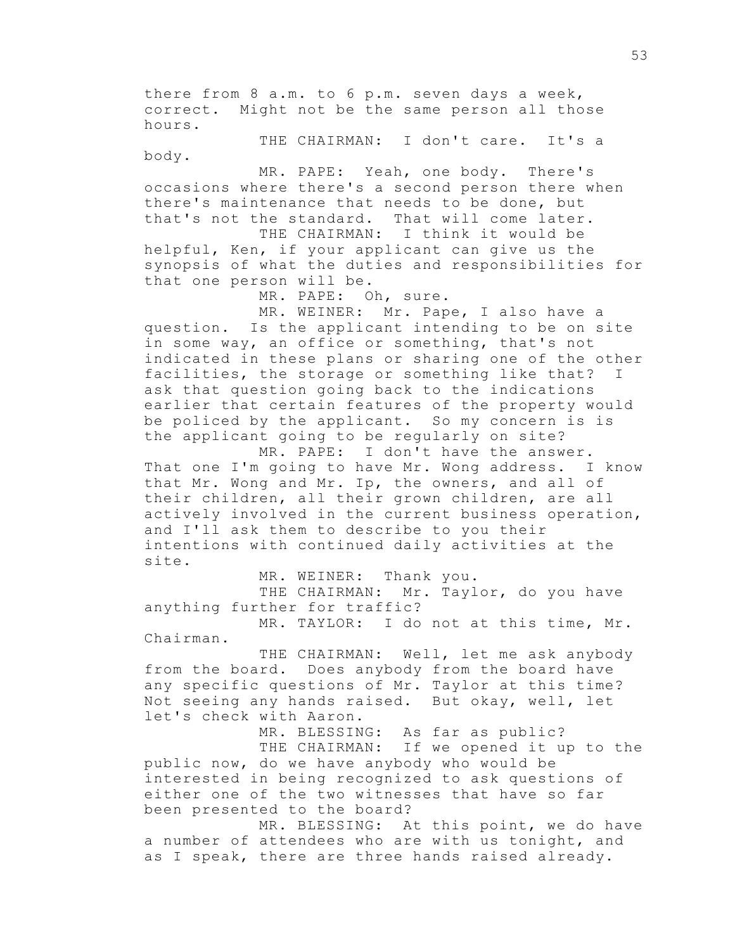there from 8 a.m. to 6 p.m. seven days a week, correct. Might not be the same person all those hours.

THE CHAIRMAN: I don't care. It's a

body.

MR. PAPE: Yeah, one body. There's occasions where there's a second person there when there's maintenance that needs to be done, but that's not the standard. That will come later.

THE CHAIRMAN: I think it would be helpful, Ken, if your applicant can give us the synopsis of what the duties and responsibilities for that one person will be.

MR. PAPE: Oh, sure.

MR. WEINER: Mr. Pape, I also have a question. Is the applicant intending to be on site in some way, an office or something, that's not indicated in these plans or sharing one of the other facilities, the storage or something like that? I ask that question going back to the indications earlier that certain features of the property would be policed by the applicant. So my concern is is the applicant going to be regularly on site?

MR. PAPE: I don't have the answer. That one I'm going to have Mr. Wong address. I know that Mr. Wong and Mr. Ip, the owners, and all of their children, all their grown children, are all actively involved in the current business operation, and I'll ask them to describe to you their intentions with continued daily activities at the site.

MR. WEINER: Thank you.

THE CHAIRMAN: Mr. Taylor, do you have anything further for traffic?

MR. TAYLOR: I do not at this time, Mr. Chairman.

THE CHAIRMAN: Well, let me ask anybody from the board. Does anybody from the board have any specific questions of Mr. Taylor at this time? Not seeing any hands raised. But okay, well, let let's check with Aaron.

MR. BLESSING: As far as public?

THE CHAIRMAN: If we opened it up to the public now, do we have anybody who would be interested in being recognized to ask questions of either one of the two witnesses that have so far been presented to the board?

MR. BLESSING: At this point, we do have a number of attendees who are with us tonight, and as I speak, there are three hands raised already.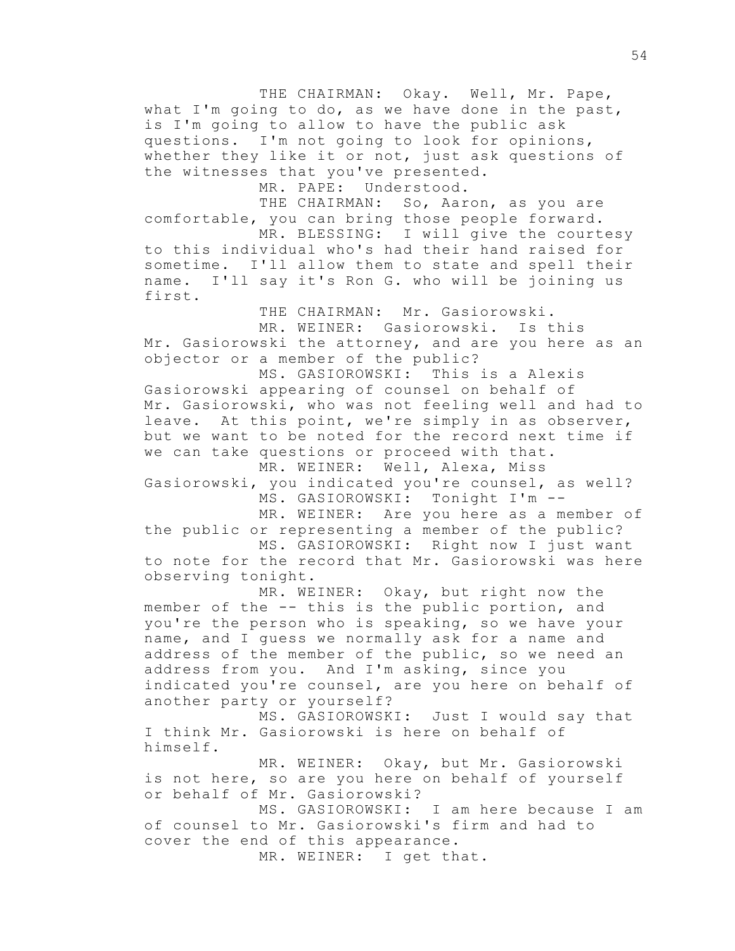THE CHAIRMAN: Okay. Well, Mr. Pape, what I'm going to do, as we have done in the past, is I'm going to allow to have the public ask questions. I'm not going to look for opinions, whether they like it or not, just ask questions of the witnesses that you've presented.

MR. PAPE: Understood.

THE CHAIRMAN: So, Aaron, as you are comfortable, you can bring those people forward.

MR. BLESSING: I will give the courtesy to this individual who's had their hand raised for sometime. I'll allow them to state and spell their name. I'll say it's Ron G. who will be joining us first.

THE CHAIRMAN: Mr. Gasiorowski.

MR. WEINER: Gasiorowski. Is this Mr. Gasiorowski the attorney, and are you here as an objector or a member of the public?

MS. GASIOROWSKI: This is a Alexis Gasiorowski appearing of counsel on behalf of Mr. Gasiorowski, who was not feeling well and had to leave. At this point, we're simply in as observer, but we want to be noted for the record next time if we can take questions or proceed with that.

MR. WEINER: Well, Alexa, Miss Gasiorowski, you indicated you're counsel, as well? MS. GASIOROWSKI: Tonight I'm --

MR. WEINER: Are you here as a member of

the public or representing a member of the public? MS. GASIOROWSKI: Right now I just want

to note for the record that Mr. Gasiorowski was here observing tonight.

MR. WEINER: Okay, but right now the member of the -- this is the public portion, and you're the person who is speaking, so we have your name, and I guess we normally ask for a name and address of the member of the public, so we need an address from you. And I'm asking, since you indicated you're counsel, are you here on behalf of another party or yourself?

MS. GASIOROWSKI: Just I would say that I think Mr. Gasiorowski is here on behalf of himself.

MR. WEINER: Okay, but Mr. Gasiorowski is not here, so are you here on behalf of yourself or behalf of Mr. Gasiorowski?

MS. GASIOROWSKI: I am here because I am of counsel to Mr. Gasiorowski's firm and had to cover the end of this appearance.

MR. WEINER: I get that.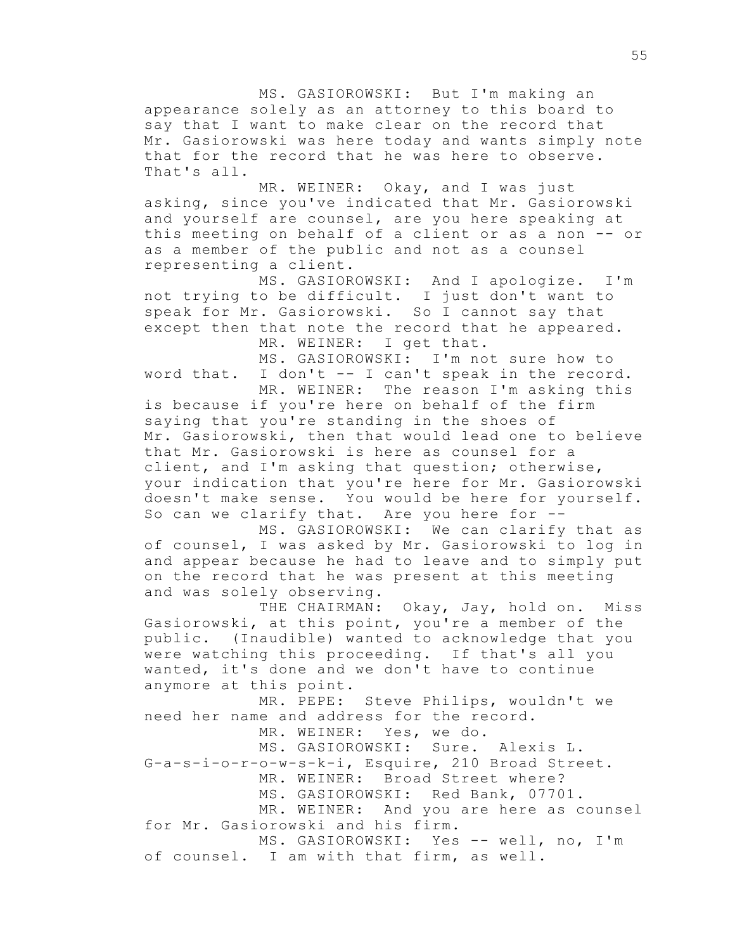MS. GASIOROWSKI: But I'm making an appearance solely as an attorney to this board to say that I want to make clear on the record that Mr. Gasiorowski was here today and wants simply note that for the record that he was here to observe. That's all.

MR. WEINER: Okay, and I was just asking, since you've indicated that Mr. Gasiorowski and yourself are counsel, are you here speaking at this meeting on behalf of a client or as a non -- or as a member of the public and not as a counsel representing a client.

MS. GASIOROWSKI: And I apologize. I'm not trying to be difficult. I just don't want to speak for Mr. Gasiorowski. So I cannot say that except then that note the record that he appeared. MR. WEINER: I get that.

MS. GASIOROWSKI: I'm not sure how to word that. I don't -- I can't speak in the record.

MR. WEINER: The reason I'm asking this is because if you're here on behalf of the firm saying that you're standing in the shoes of Mr. Gasiorowski, then that would lead one to believe that Mr. Gasiorowski is here as counsel for a client, and I'm asking that question; otherwise, your indication that you're here for Mr. Gasiorowski doesn't make sense. You would be here for yourself. So can we clarify that. Are you here for --

MS. GASIOROWSKI: We can clarify that as of counsel, I was asked by Mr. Gasiorowski to log in and appear because he had to leave and to simply put on the record that he was present at this meeting and was solely observing.

THE CHAIRMAN: Okay, Jay, hold on. Miss Gasiorowski, at this point, you're a member of the public. (Inaudible) wanted to acknowledge that you were watching this proceeding. If that's all you wanted, it's done and we don't have to continue anymore at this point.

MR. PEPE: Steve Philips, wouldn't we need her name and address for the record.

MR. WEINER: Yes, we do.

MS. GASIOROWSKI: Sure. Alexis L.

G-a-s-i-o-r-o-w-s-k-i, Esquire, 210 Broad Street.

MR. WEINER: Broad Street where?

MS. GASIOROWSKI: Red Bank, 07701.

MR. WEINER: And you are here as counsel for Mr. Gasiorowski and his firm.

MS. GASIOROWSKI: Yes -- well, no, I'm of counsel. I am with that firm, as well.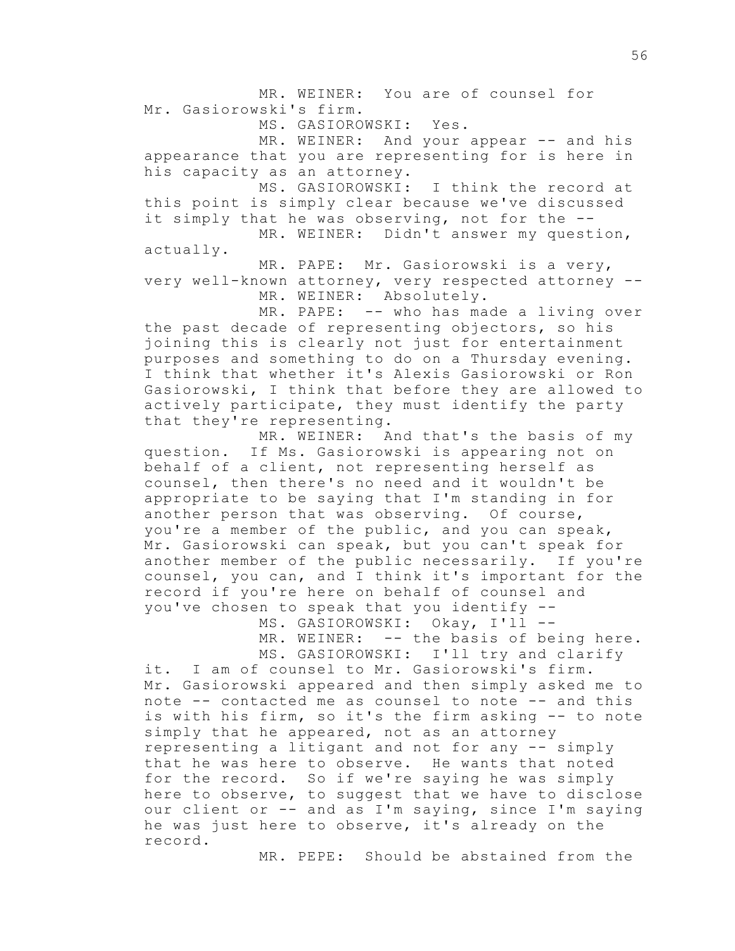MR. WEINER: You are of counsel for Mr. Gasiorowski's firm.

MS. GASIOROWSKI: Yes.

MR. WEINER: And your appear -- and his appearance that you are representing for is here in his capacity as an attorney.

MS. GASIOROWSKI: I think the record at this point is simply clear because we've discussed it simply that he was observing, not for the --

MR. WEINER: Didn't answer my question, actually.

MR. PAPE: Mr. Gasiorowski is a very, very well-known attorney, very respected attorney -- MR. WEINER: Absolutely.

MR. PAPE: -- who has made a living over the past decade of representing objectors, so his joining this is clearly not just for entertainment purposes and something to do on a Thursday evening. I think that whether it's Alexis Gasiorowski or Ron Gasiorowski, I think that before they are allowed to actively participate, they must identify the party that they're representing.

MR. WEINER: And that's the basis of my question. If Ms. Gasiorowski is appearing not on behalf of a client, not representing herself as counsel, then there's no need and it wouldn't be appropriate to be saying that I'm standing in for another person that was observing. Of course, you're a member of the public, and you can speak, Mr. Gasiorowski can speak, but you can't speak for another member of the public necessarily. If you're counsel, you can, and I think it's important for the record if you're here on behalf of counsel and you've chosen to speak that you identify --

> MS. GASIOROWSKI: Okay, I'll -- MR. WEINER: -- the basis of being here.

MS. GASIOROWSKI: I'll try and clarify

it. I am of counsel to Mr. Gasiorowski's firm. Mr. Gasiorowski appeared and then simply asked me to note -- contacted me as counsel to note -- and this is with his firm, so it's the firm asking -- to note simply that he appeared, not as an attorney representing a litigant and not for any -- simply that he was here to observe. He wants that noted for the record. So if we're saying he was simply here to observe, to suggest that we have to disclose our client or -- and as I'm saying, since I'm saying he was just here to observe, it's already on the record.

MR. PEPE: Should be abstained from the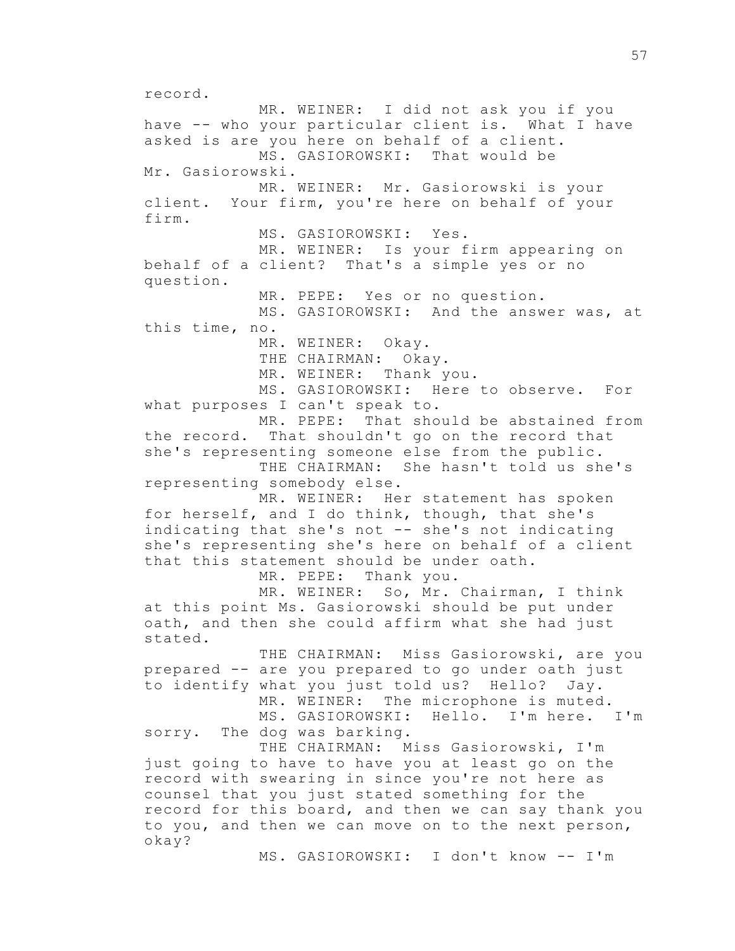record. MR. WEINER: I did not ask you if you have -- who your particular client is. What I have asked is are you here on behalf of a client. MS. GASIOROWSKI: That would be Mr. Gasiorowski. MR. WEINER: Mr. Gasiorowski is your client. Your firm, you're here on behalf of your firm. MS. GASIOROWSKI: Yes. MR. WEINER: Is your firm appearing on behalf of a client? That's a simple yes or no question. MR. PEPE: Yes or no question. MS. GASIOROWSKI: And the answer was, at this time, no. MR. WEINER: Okay. THE CHAIRMAN: Okay. MR. WEINER: Thank you. MS. GASIOROWSKI: Here to observe. For what purposes I can't speak to. MR. PEPE: That should be abstained from the record. That shouldn't go on the record that she's representing someone else from the public. THE CHAIRMAN: She hasn't told us she's representing somebody else. MR. WEINER: Her statement has spoken for herself, and I do think, though, that she's indicating that she's not -- she's not indicating she's representing she's here on behalf of a client that this statement should be under oath. MR. PEPE: Thank you. MR. WEINER: So, Mr. Chairman, I think at this point Ms. Gasiorowski should be put under oath, and then she could affirm what she had just stated. THE CHAIRMAN: Miss Gasiorowski, are you prepared -- are you prepared to go under oath just to identify what you just told us? Hello? Jay. MR. WEINER: The microphone is muted. MS. GASIOROWSKI: Hello. I'm here. I'm sorry. The dog was barking. THE CHAIRMAN: Miss Gasiorowski, I'm just going to have to have you at least go on the record with swearing in since you're not here as counsel that you just stated something for the record for this board, and then we can say thank you to you, and then we can move on to the next person, okay? MS. GASIOROWSKI: I don't know -- I'm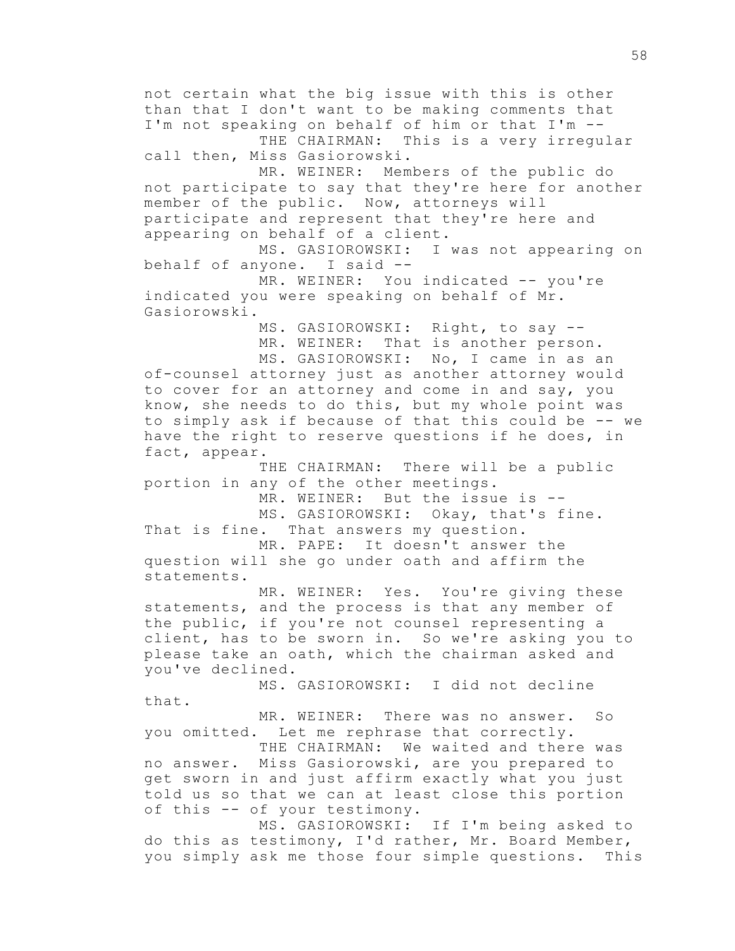not certain what the big issue with this is other than that I don't want to be making comments that I'm not speaking on behalf of him or that I'm -- THE CHAIRMAN: This is a very irregular

call then, Miss Gasiorowski.

MR. WEINER: Members of the public do not participate to say that they're here for another member of the public. Now, attorneys will participate and represent that they're here and appearing on behalf of a client.

MS. GASIOROWSKI: I was not appearing on behalf of anyone. I said --

MR. WEINER: You indicated -- you're indicated you were speaking on behalf of Mr. Gasiorowski.

MS. GASIOROWSKI: Right, to say --

MR. WEINER: That is another person.

MS. GASIOROWSKI: No, I came in as an of-counsel attorney just as another attorney would to cover for an attorney and come in and say, you know, she needs to do this, but my whole point was to simply ask if because of that this could be -- we have the right to reserve questions if he does, in fact, appear.

THE CHAIRMAN: There will be a public portion in any of the other meetings.

MR. WEINER: But the issue is --

MS. GASIOROWSKI: Okay, that's fine. That is fine. That answers my question.

MR. PAPE: It doesn't answer the question will she go under oath and affirm the statements.

MR. WEINER: Yes. You're giving these statements, and the process is that any member of the public, if you're not counsel representing a client, has to be sworn in. So we're asking you to please take an oath, which the chairman asked and you've declined.

MS. GASIOROWSKI: I did not decline that.

MR. WEINER: There was no answer. So you omitted. Let me rephrase that correctly.

THE CHAIRMAN: We waited and there was no answer. Miss Gasiorowski, are you prepared to get sworn in and just affirm exactly what you just told us so that we can at least close this portion of this -- of your testimony.

MS. GASIOROWSKI: If I'm being asked to do this as testimony, I'd rather, Mr. Board Member, you simply ask me those four simple questions. This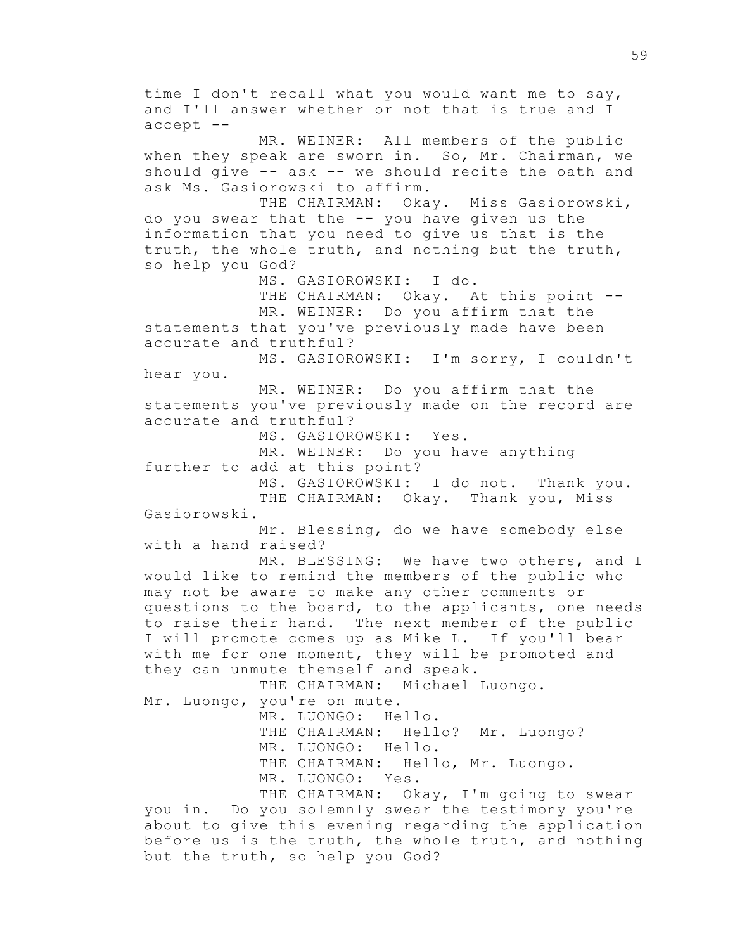time I don't recall what you would want me to say, and I'll answer whether or not that is true and I accept -- MR. WEINER: All members of the public when they speak are sworn in. So, Mr. Chairman, we should give -- ask -- we should recite the oath and ask Ms. Gasiorowski to affirm. THE CHAIRMAN: Okay. Miss Gasiorowski, do you swear that the -- you have given us the information that you need to give us that is the truth, the whole truth, and nothing but the truth, so help you God? MS. GASIOROWSKI: I do. THE CHAIRMAN: Okay. At this point --MR. WEINER: Do you affirm that the statements that you've previously made have been accurate and truthful? MS. GASIOROWSKI: I'm sorry, I couldn't hear you. MR. WEINER: Do you affirm that the statements you've previously made on the record are accurate and truthful? MS. GASIOROWSKI: Yes. MR. WEINER: Do you have anything further to add at this point? MS. GASIOROWSKI: I do not. Thank you. THE CHAIRMAN: Okay. Thank you, Miss Gasiorowski. Mr. Blessing, do we have somebody else with a hand raised? MR. BLESSING: We have two others, and I would like to remind the members of the public who may not be aware to make any other comments or questions to the board, to the applicants, one needs to raise their hand. The next member of the public I will promote comes up as Mike L. If you'll bear with me for one moment, they will be promoted and they can unmute themself and speak. THE CHAIRMAN: Michael Luongo. Mr. Luongo, you're on mute. MR. LUONGO: Hello. THE CHAIRMAN: Hello? Mr. Luongo? MR. LUONGO: Hello. THE CHAIRMAN: Hello, Mr. Luongo. MR. LUONGO: Yes. THE CHAIRMAN: Okay, I'm going to swear you in. Do you solemnly swear the testimony you're about to give this evening regarding the application before us is the truth, the whole truth, and nothing but the truth, so help you God?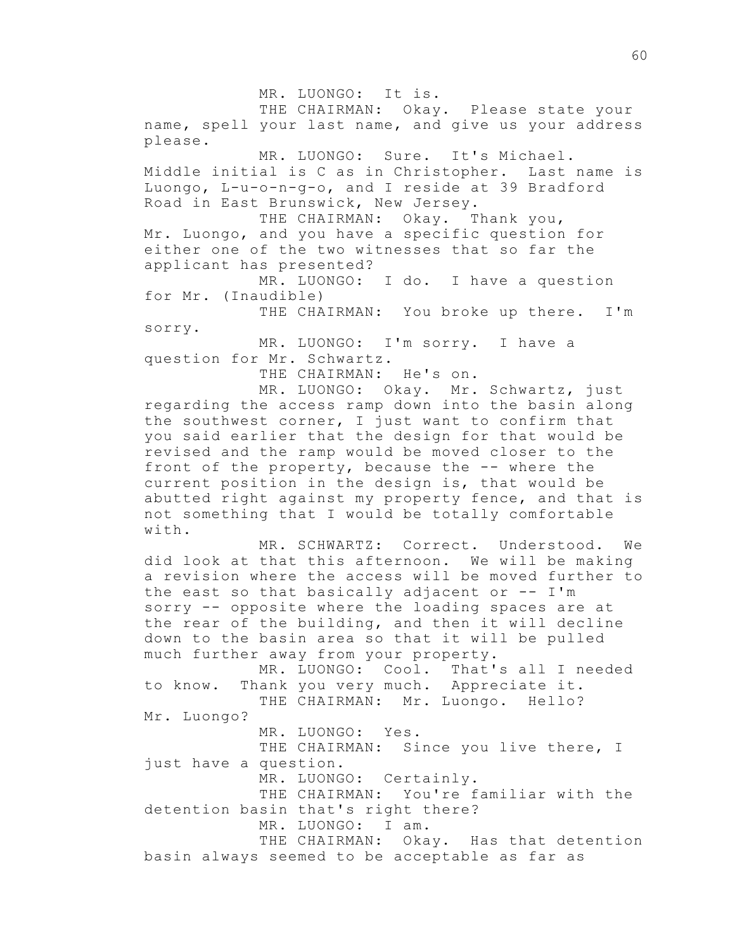MR. LUONGO: It is.

THE CHAIRMAN: Okay. Please state your name, spell your last name, and give us your address please.

MR. LUONGO: Sure. It's Michael. Middle initial is C as in Christopher. Last name is Luongo, L-u-o-n-g-o, and I reside at 39 Bradford Road in East Brunswick, New Jersey.

THE CHAIRMAN: Okay. Thank you, Mr. Luongo, and you have a specific question for either one of the two witnesses that so far the applicant has presented?

MR. LUONGO: I do. I have a question for Mr. (Inaudible)

THE CHAIRMAN: You broke up there. I'm sorry.

MR. LUONGO: I'm sorry. I have a question for Mr. Schwartz.

THE CHAIRMAN: He's on.

MR. LUONGO: Okay. Mr. Schwartz, just regarding the access ramp down into the basin along the southwest corner, I just want to confirm that you said earlier that the design for that would be revised and the ramp would be moved closer to the front of the property, because the -- where the current position in the design is, that would be abutted right against my property fence, and that is not something that I would be totally comfortable with.

MR. SCHWARTZ: Correct. Understood. We did look at that this afternoon. We will be making a revision where the access will be moved further to the east so that basically adjacent or -- I'm sorry -- opposite where the loading spaces are at the rear of the building, and then it will decline down to the basin area so that it will be pulled much further away from your property.

MR. LUONGO: Cool. That's all I needed to know. Thank you very much. Appreciate it. THE CHAIRMAN: Mr. Luongo. Hello? Mr. Luongo? MR. LUONGO: Yes. THE CHAIRMAN: Since you live there, I just have a question. MR. LUONGO: Certainly. THE CHAIRMAN: You're familiar with the detention basin that's right there? MR. LUONGO: I am. THE CHAIRMAN: Okay. Has that detention basin always seemed to be acceptable as far as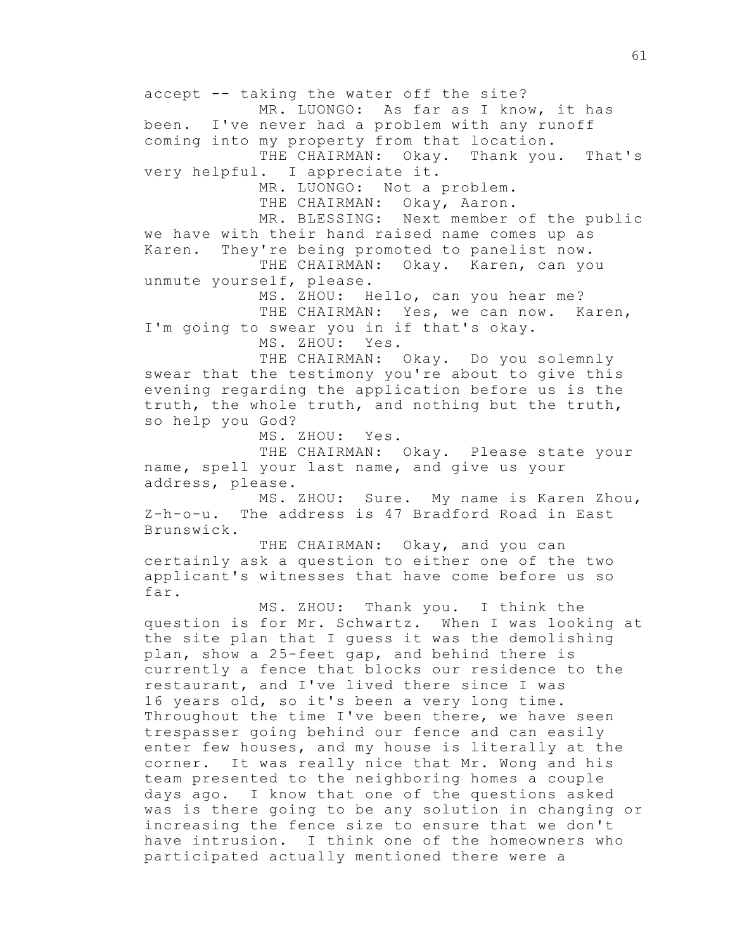accept -- taking the water off the site? MR. LUONGO: As far as I know, it has been. I've never had a problem with any runoff coming into my property from that location. THE CHAIRMAN: Okay. Thank you. That's very helpful. I appreciate it. MR. LUONGO: Not a problem. THE CHAIRMAN: Okay, Aaron. MR. BLESSING: Next member of the public we have with their hand raised name comes up as Karen. They're being promoted to panelist now. THE CHAIRMAN: Okay. Karen, can you unmute yourself, please. MS. ZHOU: Hello, can you hear me? THE CHAIRMAN: Yes, we can now. Karen, I'm going to swear you in if that's okay. MS. ZHOU: Yes. THE CHAIRMAN: Okay. Do you solemnly swear that the testimony you're about to give this evening regarding the application before us is the truth, the whole truth, and nothing but the truth, so help you God? MS. ZHOU: Yes. THE CHAIRMAN: Okay. Please state your name, spell your last name, and give us your address, please. MS. ZHOU: Sure. My name is Karen Zhou, Z-h-o-u. The address is 47 Bradford Road in East Brunswick. THE CHAIRMAN: Okay, and you can certainly ask a question to either one of the two applicant's witnesses that have come before us so far. MS. ZHOU: Thank you. I think the question is for Mr. Schwartz. When I was looking at the site plan that I guess it was the demolishing plan, show a 25-feet gap, and behind there is currently a fence that blocks our residence to the restaurant, and I've lived there since I was 16 years old, so it's been a very long time. Throughout the time I've been there, we have seen trespasser going behind our fence and can easily enter few houses, and my house is literally at the corner. It was really nice that Mr. Wong and his team presented to the neighboring homes a couple days ago. I know that one of the questions asked was is there going to be any solution in changing or increasing the fence size to ensure that we don't have intrusion. I think one of the homeowners who participated actually mentioned there were a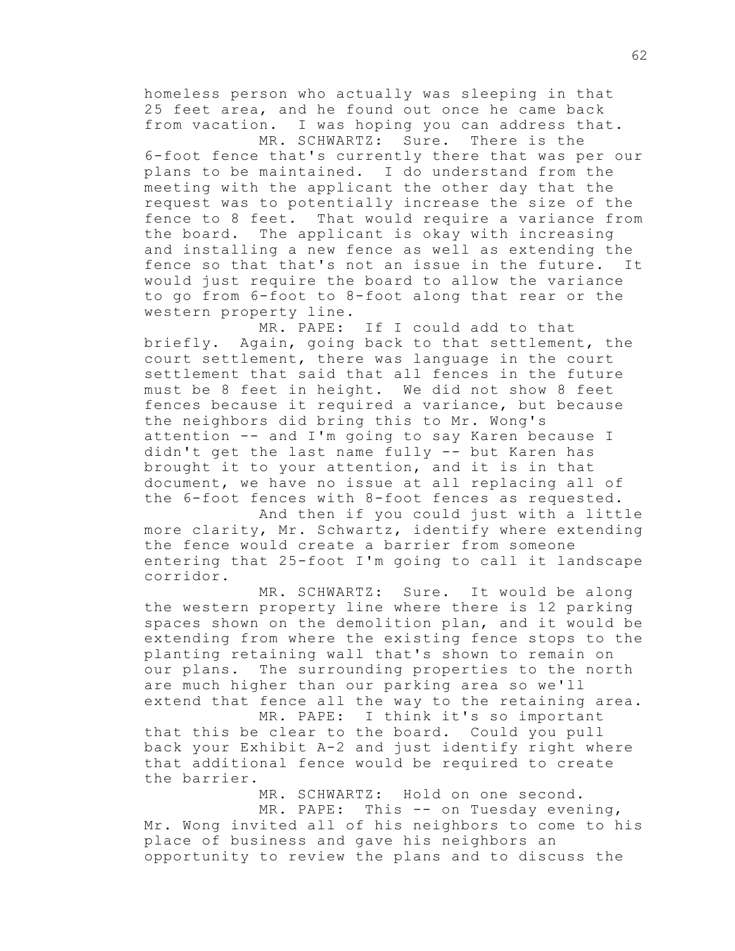homeless person who actually was sleeping in that 25 feet area, and he found out once he came back from vacation. I was hoping you can address that.

MR. SCHWARTZ: Sure. There is the 6-foot fence that's currently there that was per our plans to be maintained. I do understand from the meeting with the applicant the other day that the request was to potentially increase the size of the fence to 8 feet. That would require a variance from the board. The applicant is okay with increasing and installing a new fence as well as extending the fence so that that's not an issue in the future. It would just require the board to allow the variance to go from 6-foot to 8-foot along that rear or the western property line.

MR. PAPE: If I could add to that briefly. Again, going back to that settlement, the court settlement, there was language in the court settlement that said that all fences in the future must be 8 feet in height. We did not show 8 feet fences because it required a variance, but because the neighbors did bring this to Mr. Wong's attention -- and I'm going to say Karen because I didn't get the last name fully -- but Karen has brought it to your attention, and it is in that document, we have no issue at all replacing all of the 6-foot fences with 8-foot fences as requested.

And then if you could just with a little more clarity, Mr. Schwartz, identify where extending the fence would create a barrier from someone entering that 25-foot I'm going to call it landscape corridor.

MR. SCHWARTZ: Sure. It would be along the western property line where there is 12 parking spaces shown on the demolition plan, and it would be extending from where the existing fence stops to the planting retaining wall that's shown to remain on our plans. The surrounding properties to the north are much higher than our parking area so we'll extend that fence all the way to the retaining area.

MR. PAPE: I think it's so important that this be clear to the board. Could you pull back your Exhibit A-2 and just identify right where that additional fence would be required to create the barrier.

MR. SCHWARTZ: Hold on one second.

MR. PAPE: This -- on Tuesday evening, Mr. Wong invited all of his neighbors to come to his place of business and gave his neighbors an opportunity to review the plans and to discuss the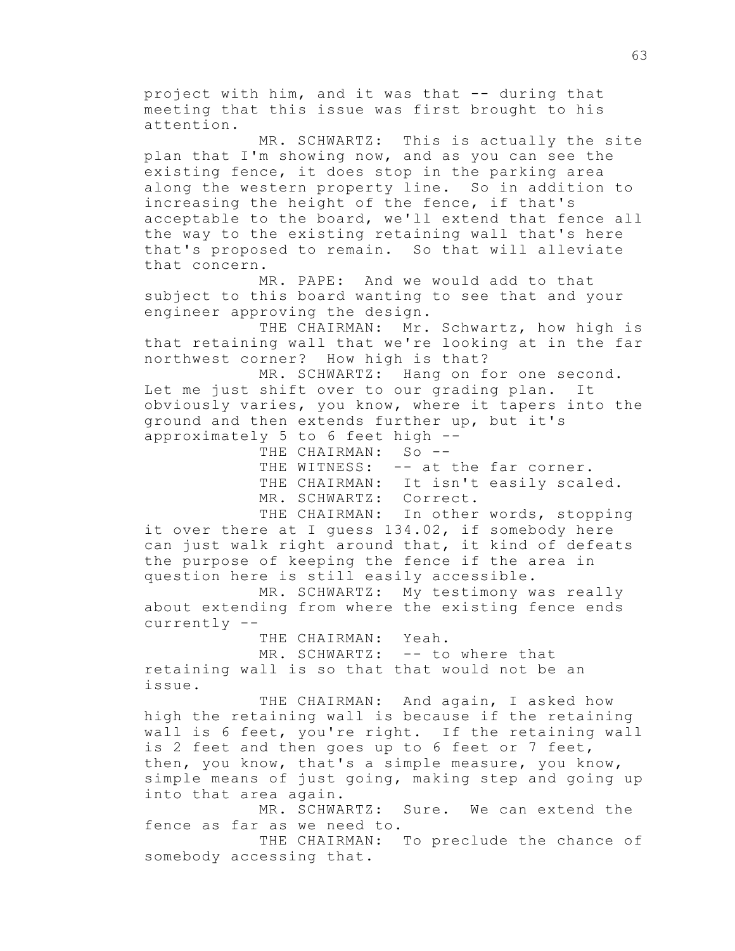project with him, and it was that -- during that meeting that this issue was first brought to his attention.

MR. SCHWARTZ: This is actually the site plan that I'm showing now, and as you can see the existing fence, it does stop in the parking area along the western property line. So in addition to increasing the height of the fence, if that's acceptable to the board, we'll extend that fence all the way to the existing retaining wall that's here that's proposed to remain. So that will alleviate that concern.

MR. PAPE: And we would add to that subject to this board wanting to see that and your engineer approving the design.

THE CHAIRMAN: Mr. Schwartz, how high is that retaining wall that we're looking at in the far northwest corner? How high is that?

MR. SCHWARTZ: Hang on for one second. Let me just shift over to our grading plan. It obviously varies, you know, where it tapers into the ground and then extends further up, but it's approximately 5 to 6 feet high --

THE CHAIRMAN: So --

THE WITNESS: -- at the far corner. THE CHAIRMAN: It isn't easily scaled. MR. SCHWARTZ: Correct. THE CHAIRMAN: In other words, stopping

it over there at I guess 134.02, if somebody here can just walk right around that, it kind of defeats the purpose of keeping the fence if the area in question here is still easily accessible.

MR. SCHWARTZ: My testimony was really about extending from where the existing fence ends currently --

THE CHAIRMAN: Yeah.

MR. SCHWARTZ: -- to where that retaining wall is so that that would not be an issue.

THE CHAIRMAN: And again, I asked how high the retaining wall is because if the retaining wall is 6 feet, you're right. If the retaining wall is 2 feet and then goes up to 6 feet or 7 feet, then, you know, that's a simple measure, you know, simple means of just going, making step and going up into that area again.

MR. SCHWARTZ: Sure. We can extend the fence as far as we need to.

THE CHAIRMAN: To preclude the chance of somebody accessing that.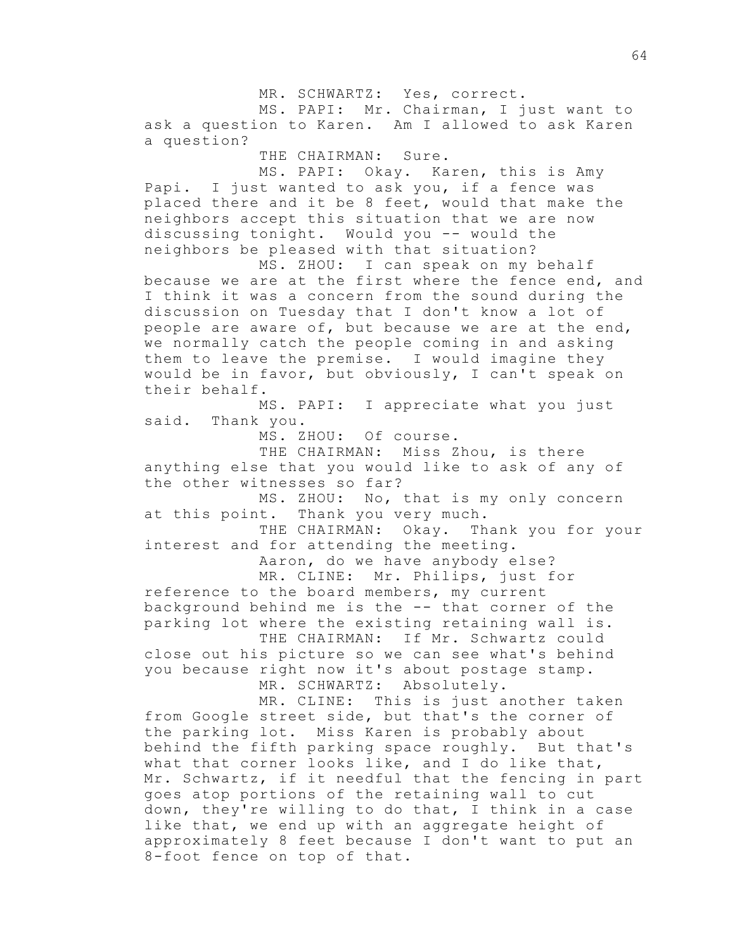MR. SCHWARTZ: Yes, correct.

MS. PAPI: Mr. Chairman, I just want to ask a question to Karen. Am I allowed to ask Karen a question?

THE CHAIRMAN: Sure.

MS. PAPI: Okay. Karen, this is Amy Papi. I just wanted to ask you, if a fence was placed there and it be 8 feet, would that make the neighbors accept this situation that we are now discussing tonight. Would you -- would the neighbors be pleased with that situation?

MS. ZHOU: I can speak on my behalf because we are at the first where the fence end, and I think it was a concern from the sound during the discussion on Tuesday that I don't know a lot of people are aware of, but because we are at the end, we normally catch the people coming in and asking them to leave the premise. I would imagine they would be in favor, but obviously, I can't speak on their behalf.

MS. PAPI: I appreciate what you just said. Thank you.

MS. ZHOU: Of course.

THE CHAIRMAN: Miss Zhou, is there anything else that you would like to ask of any of the other witnesses so far?

MS. ZHOU: No, that is my only concern at this point. Thank you very much.

THE CHAIRMAN: Okay. Thank you for your interest and for attending the meeting.

> Aaron, do we have anybody else? MR. CLINE: Mr. Philips, just for

reference to the board members, my current background behind me is the -- that corner of the parking lot where the existing retaining wall is.

THE CHAIRMAN: If Mr. Schwartz could close out his picture so we can see what's behind you because right now it's about postage stamp. MR. SCHWARTZ: Absolutely.

MR. CLINE: This is just another taken from Google street side, but that's the corner of the parking lot. Miss Karen is probably about behind the fifth parking space roughly. But that's what that corner looks like, and I do like that, Mr. Schwartz, if it needful that the fencing in part goes atop portions of the retaining wall to cut down, they're willing to do that, I think in a case like that, we end up with an aggregate height of approximately 8 feet because I don't want to put an 8-foot fence on top of that.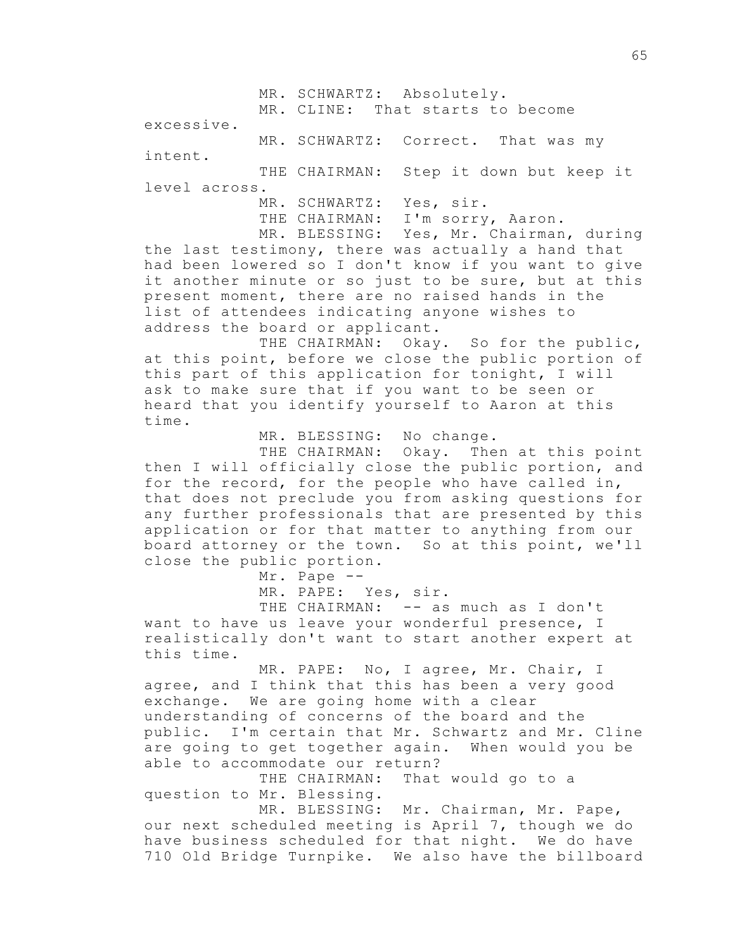MR. SCHWARTZ: Absolutely. MR. CLINE: That starts to become excessive. MR. SCHWARTZ: Correct. That was my intent.

THE CHAIRMAN: Step it down but keep it level across.

> MR. SCHWARTZ: Yes, sir. THE CHAIRMAN: I'm sorry, Aaron. MR. BLESSING: Yes, Mr. Chairman, during

the last testimony, there was actually a hand that had been lowered so I don't know if you want to give it another minute or so just to be sure, but at this present moment, there are no raised hands in the list of attendees indicating anyone wishes to address the board or applicant.

THE CHAIRMAN: Okay. So for the public, at this point, before we close the public portion of this part of this application for tonight, I will ask to make sure that if you want to be seen or heard that you identify yourself to Aaron at this time.

MR. BLESSING: No change.

THE CHAIRMAN: Okay. Then at this point then I will officially close the public portion, and for the record, for the people who have called in, that does not preclude you from asking questions for any further professionals that are presented by this application or for that matter to anything from our board attorney or the town. So at this point, we'll close the public portion.

Mr. Pape -- MR. PAPE: Yes, sir. THE CHAIRMAN: -- as much as I don't want to have us leave your wonderful presence, I

realistically don't want to start another expert at this time.

MR. PAPE: No, I agree, Mr. Chair, I agree, and I think that this has been a very good exchange. We are going home with a clear understanding of concerns of the board and the public. I'm certain that Mr. Schwartz and Mr. Cline are going to get together again. When would you be able to accommodate our return?

THE CHAIRMAN: That would go to a question to Mr. Blessing.

MR. BLESSING: Mr. Chairman, Mr. Pape, our next scheduled meeting is April 7, though we do have business scheduled for that night. We do have 710 Old Bridge Turnpike. We also have the billboard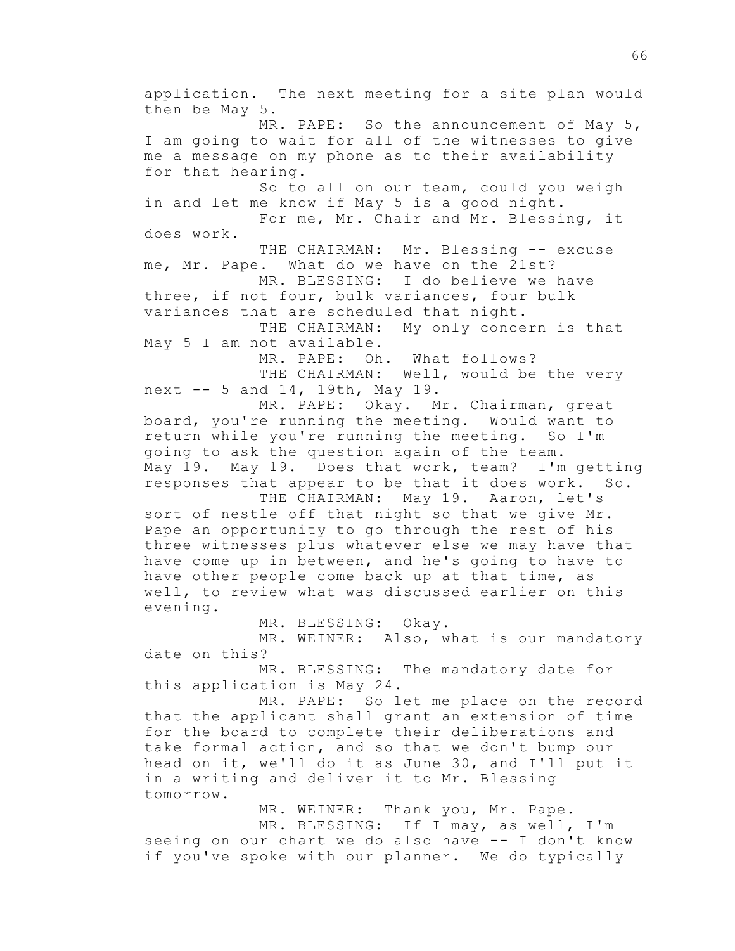application. The next meeting for a site plan would then be May 5. MR. PAPE: So the announcement of May 5, I am going to wait for all of the witnesses to give me a message on my phone as to their availability for that hearing. So to all on our team, could you weigh in and let me know if May 5 is a good night. For me, Mr. Chair and Mr. Blessing, it does work. THE CHAIRMAN: Mr. Blessing -- excuse me, Mr. Pape. What do we have on the 21st? MR. BLESSING: I do believe we have three, if not four, bulk variances, four bulk variances that are scheduled that night. THE CHAIRMAN: My only concern is that May 5 I am not available. MR. PAPE: Oh. What follows? THE CHAIRMAN: Well, would be the very next -- 5 and 14, 19th, May 19. MR. PAPE: Okay. Mr. Chairman, great board, you're running the meeting. Would want to return while you're running the meeting. So I'm going to ask the question again of the team. May 19. May 19. Does that work, team? I'm getting responses that appear to be that it does work. So. THE CHAIRMAN: May 19. Aaron, let's sort of nestle off that night so that we give Mr. Pape an opportunity to go through the rest of his three witnesses plus whatever else we may have that have come up in between, and he's going to have to have other people come back up at that time, as well, to review what was discussed earlier on this evening. MR. BLESSING: Okay. MR. WEINER: Also, what is our mandatory date on this? MR. BLESSING: The mandatory date for this application is May 24. MR. PAPE: So let me place on the record that the applicant shall grant an extension of time for the board to complete their deliberations and take formal action, and so that we don't bump our head on it, we'll do it as June 30, and I'll put it in a writing and deliver it to Mr. Blessing tomorrow. MR. WEINER: Thank you, Mr. Pape. MR. BLESSING: If I may, as well, I'm seeing on our chart we do also have -- I don't know if you've spoke with our planner. We do typically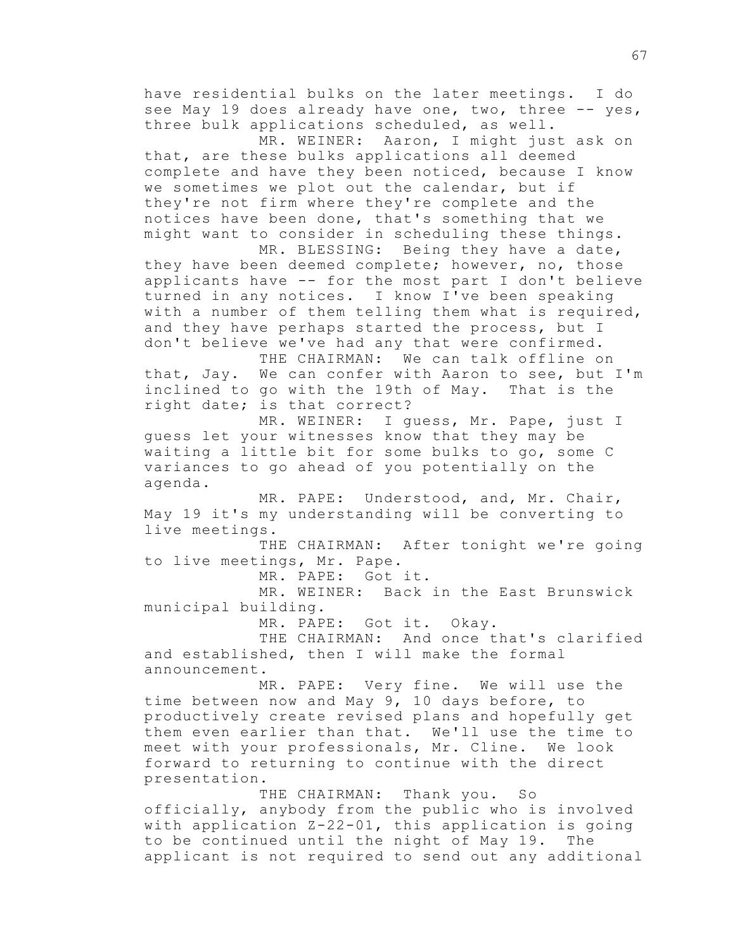have residential bulks on the later meetings. I do see May 19 does already have one, two, three  $-$ - yes, three bulk applications scheduled, as well.

MR. WEINER: Aaron, I might just ask on that, are these bulks applications all deemed complete and have they been noticed, because I know we sometimes we plot out the calendar, but if they're not firm where they're complete and the notices have been done, that's something that we might want to consider in scheduling these things.

MR. BLESSING: Being they have a date, they have been deemed complete; however, no, those applicants have -- for the most part I don't believe turned in any notices. I know I've been speaking with a number of them telling them what is required, and they have perhaps started the process, but I don't believe we've had any that were confirmed.

THE CHAIRMAN: We can talk offline on that, Jay. We can confer with Aaron to see, but I'm inclined to go with the 19th of May. That is the right date; is that correct?

MR. WEINER: I guess, Mr. Pape, just I guess let your witnesses know that they may be waiting a little bit for some bulks to go, some C variances to go ahead of you potentially on the agenda.

MR. PAPE: Understood, and, Mr. Chair, May 19 it's my understanding will be converting to live meetings.

THE CHAIRMAN: After tonight we're going to live meetings, Mr. Pape.

MR. PAPE: Got it.

MR. WEINER: Back in the East Brunswick municipal building.

MR. PAPE: Got it. Okay.

THE CHAIRMAN: And once that's clarified and established, then I will make the formal announcement.

MR. PAPE: Very fine. We will use the time between now and May 9, 10 days before, to productively create revised plans and hopefully get them even earlier than that. We'll use the time to meet with your professionals, Mr. Cline. We look forward to returning to continue with the direct presentation.

THE CHAIRMAN: Thank you. So officially, anybody from the public who is involved with application Z-22-01, this application is going to be continued until the night of May 19. The applicant is not required to send out any additional